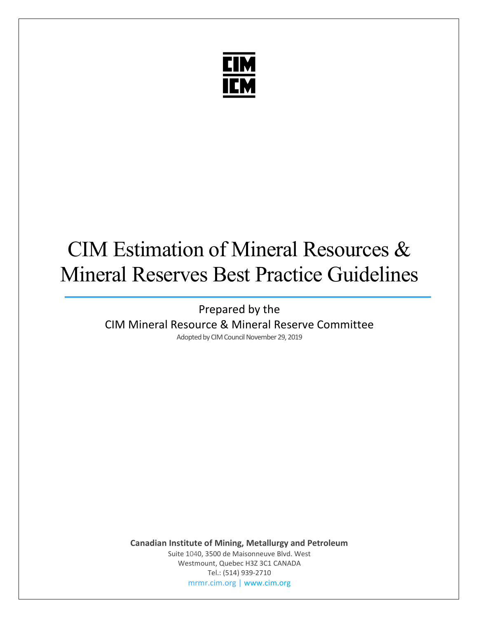

# CIM Estimation of Mineral Resources & Mineral Reserves Best Practice Guidelines

Prepared by the CIM Mineral Resource & Mineral Reserve Committee Adopted by CIM Council November 29, 2019

**Canadian Institute of Mining, Metallurgy and Petroleum**

Suite 1040, 3500 de Maisonneuve Blvd. West Westmount, Quebec H3Z 3C1 CANADA Tel.: (514) 939-2710 [mrmr.cim.org](https://mrmr.cim.org/en/) [| www.cim.org](https://www.cim.org/en)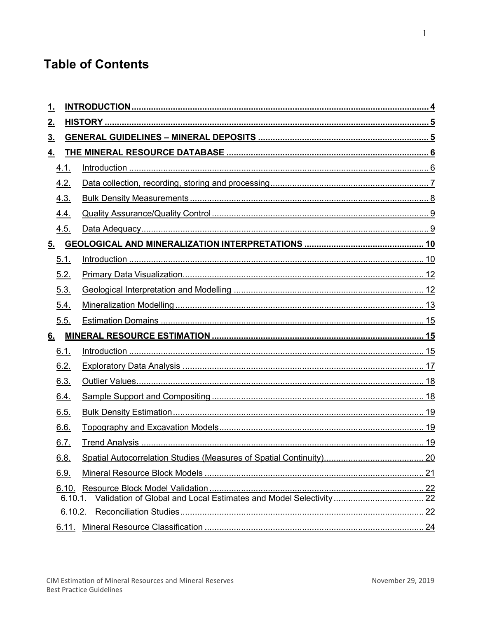# **Table of Contents**

| <u>1.</u>                  |  |  |  |
|----------------------------|--|--|--|
| <u>2.</u>                  |  |  |  |
| 3 <sub>1</sub>             |  |  |  |
| <u>4.</u>                  |  |  |  |
| 4.1.                       |  |  |  |
| 4.2.                       |  |  |  |
| 4.3.                       |  |  |  |
| 4.4.                       |  |  |  |
| 4.5.                       |  |  |  |
| $\underline{\mathbf{5}}$ . |  |  |  |
| 5.1.                       |  |  |  |
| 5.2.                       |  |  |  |
| 5.3.                       |  |  |  |
| 5.4.                       |  |  |  |
| 5.5.                       |  |  |  |
| 6.                         |  |  |  |
| 6.1.                       |  |  |  |
| 6.2.                       |  |  |  |
| 6.3.                       |  |  |  |
| 6.4.                       |  |  |  |
| 6.5.                       |  |  |  |
| 6.6.                       |  |  |  |
| 6.7.                       |  |  |  |
| 6.8.                       |  |  |  |
| 6.9.                       |  |  |  |
| <u>6.10.</u>               |  |  |  |
| 6.10.1                     |  |  |  |
| 6.10.2.                    |  |  |  |
| <u>6.11.</u>               |  |  |  |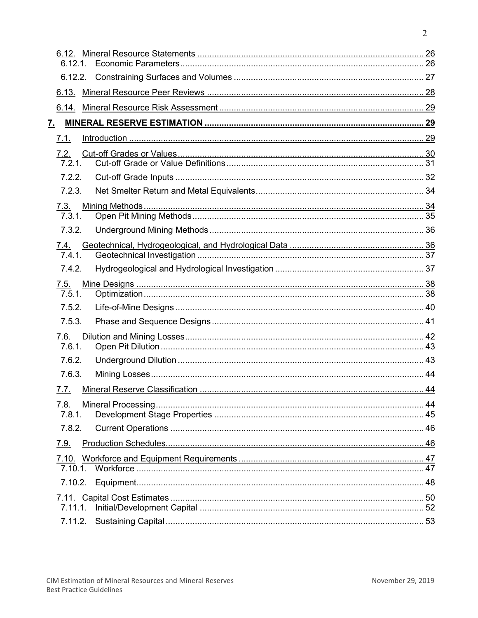| 6.12.1.              |  |
|----------------------|--|
|                      |  |
|                      |  |
|                      |  |
| <u>7. </u>           |  |
| 7.1.                 |  |
| 7.2.                 |  |
| 7.2.1.               |  |
| 7.2.2.               |  |
| 7.2.3.               |  |
| 7.3.                 |  |
| 7.3.1.               |  |
| 7.3.2.               |  |
| 7.4.                 |  |
| 7.4.1.               |  |
| 7.4.2.               |  |
| 7.5.                 |  |
| $\overline{7.5.1}$ . |  |
| 7.5.2.               |  |
| 7.5.3.               |  |
| <u>7.6.</u>          |  |
| 7.6.1.               |  |
| 7.6.2.               |  |
| 7.6.3.               |  |
| 7.7.                 |  |
| <u>7.8.</u>          |  |
| 7.8.1.               |  |
| 7.8.2.               |  |
| 7.9.                 |  |
|                      |  |
|                      |  |
|                      |  |
|                      |  |
| 7.11.1.              |  |
| 7.11.2.              |  |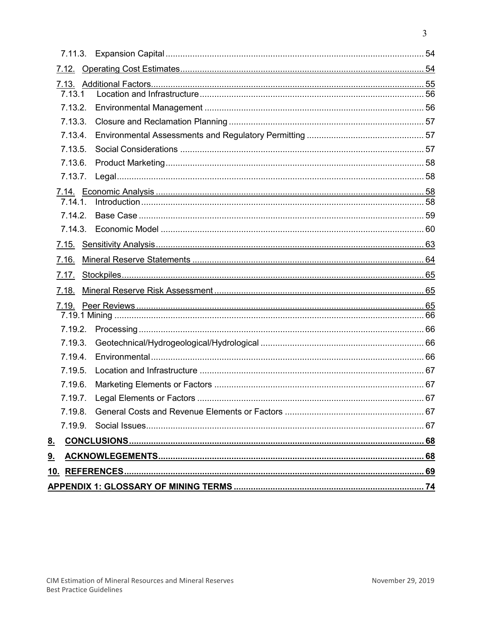| 7.13.1         |  |  |  |  |
|----------------|--|--|--|--|
| 7.13.2.        |  |  |  |  |
| 7.13.3.        |  |  |  |  |
| 7.13.4.        |  |  |  |  |
| 7.13.5.        |  |  |  |  |
| 7.13.6.        |  |  |  |  |
| 7.13.7.        |  |  |  |  |
|                |  |  |  |  |
| 7 14 1         |  |  |  |  |
| 7.14.2.        |  |  |  |  |
|                |  |  |  |  |
|                |  |  |  |  |
| 7.16.          |  |  |  |  |
| 7.17.          |  |  |  |  |
| 7.18.          |  |  |  |  |
|                |  |  |  |  |
|                |  |  |  |  |
| 7.19.2.        |  |  |  |  |
| 7.19.3.        |  |  |  |  |
| 7.19.4.        |  |  |  |  |
| 7.19.5.        |  |  |  |  |
| 7.19.6.        |  |  |  |  |
|                |  |  |  |  |
| 7.19.8.        |  |  |  |  |
| 7.19.9.        |  |  |  |  |
| 8 <sub>1</sub> |  |  |  |  |
| 9 <sub>1</sub> |  |  |  |  |
|                |  |  |  |  |
|                |  |  |  |  |
|                |  |  |  |  |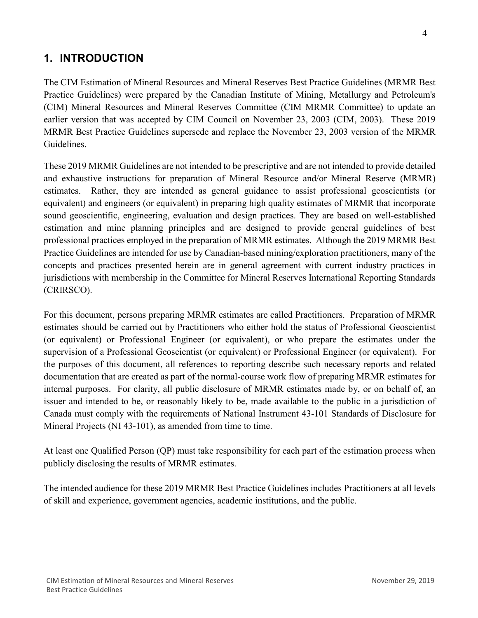Best Practice Guidelines

# <span id="page-4-0"></span>**1. INTRODUCTION**

The CIM Estimation of Mineral Resources and Mineral Reserves Best Practice Guidelines (MRMR Best Practice Guidelines) were prepared by the Canadian Institute of Mining, Metallurgy and Petroleum's (CIM) Mineral Resources and Mineral Reserves Committee (CIM MRMR Committee) to update an earlier version that was accepted by CIM Council on November 23, 2003 (CIM, 2003). These 2019 MRMR Best Practice Guidelines supersede and replace the November 23, 2003 version of the MRMR Guidelines.

These 2019 MRMR Guidelines are not intended to be prescriptive and are not intended to provide detailed and exhaustive instructions for preparation of Mineral Resource and/or Mineral Reserve (MRMR) estimates. Rather, they are intended as general guidance to assist professional geoscientists (or equivalent) and engineers (or equivalent) in preparing high quality estimates of MRMR that incorporate sound geoscientific, engineering, evaluation and design practices. They are based on well-established estimation and mine planning principles and are designed to provide general guidelines of best professional practices employed in the preparation of MRMR estimates. Although the 2019 MRMR Best Practice Guidelines are intended for use by Canadian-based mining/exploration practitioners, many of the concepts and practices presented herein are in general agreement with current industry practices in jurisdictions with membership in the Committee for Mineral Reserves International Reporting Standards (CRIRSCO).

For this document, persons preparing MRMR estimates are called Practitioners. Preparation of MRMR estimates should be carried out by Practitioners who either hold the status of Professional Geoscientist (or equivalent) or Professional Engineer (or equivalent), or who prepare the estimates under the supervision of a Professional Geoscientist (or equivalent) or Professional Engineer (or equivalent). For the purposes of this document, all references to reporting describe such necessary reports and related documentation that are created as part of the normal-course work flow of preparing MRMR estimates for internal purposes. For clarity, all public disclosure of MRMR estimates made by, or on behalf of, an issuer and intended to be, or reasonably likely to be, made available to the public in a jurisdiction of Canada must comply with the requirements of National Instrument 43-101 Standards of Disclosure for Mineral Projects (NI 43-101), as amended from time to time.

At least one Qualified Person (QP) must take responsibility for each part of the estimation process when publicly disclosing the results of MRMR estimates.

The intended audience for these 2019 MRMR Best Practice Guidelines includes Practitioners at all levels of skill and experience, government agencies, academic institutions, and the public.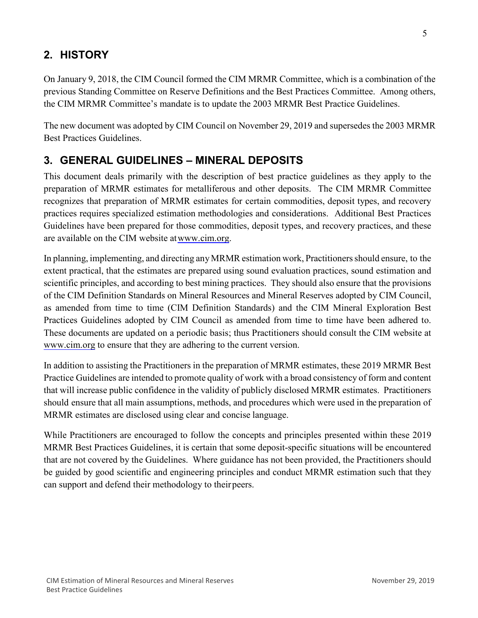# <span id="page-5-0"></span>**2. HISTORY**

On January 9, 2018, the CIM Council formed the CIM MRMR Committee, which is a combination of the previous Standing Committee on Reserve Definitions and the Best Practices Committee. Among others, the CIM MRMR Committee's mandate is to update the 2003 MRMR Best Practice Guidelines.

The new document was adopted by CIM Council on November 29, 2019 and supersedes the 2003 MRMR Best Practices Guidelines.

# <span id="page-5-1"></span>**3. GENERAL GUIDELINES – MINERAL DEPOSITS**

This document deals primarily with the description of best practice guidelines as they apply to the preparation of MRMR estimates for metalliferous and other deposits. The CIM MRMR Committee recognizes that preparation of MRMR estimates for certain commodities, deposit types, and recovery practices requires specialized estimation methodologies and considerations. Additional Best Practices Guidelines have been prepared for those commodities, deposit types, and recovery practices, and these are available on the CIM website at www.cim.org.

In planning, implementing, and directing any MRMR estimation work, Practitioners should ensure, to the extent practical, that the estimates are prepared using sound evaluation practices, sound estimation and scientific principles, and according to best mining practices. They should also ensure that the provisions of the CIM Definition Standards on Mineral Resources and Mineral Reserves adopted by CIM Council, as amended from time to time (CIM Definition Standards) and the CIM Mineral Exploration Best Practices Guidelines adopted by CIM Council as amended from time to time have been adhered to. These documents are updated on a periodic basis; thus Practitioners should consult the CIM website at [www.cim.org](http://www.cim.org/) to ensure that they are adhering to the current version.

In addition to assisting the Practitioners in the preparation of MRMR estimates, these 2019 MRMR Best Practice Guidelines are intended to promote quality of work with a broad consistency of form and content that will increase public confidence in the validity of publicly disclosed MRMR estimates. Practitioners should ensure that all main assumptions, methods, and procedures which were used in the preparation of MRMR estimates are disclosed using clear and concise language.

While Practitioners are encouraged to follow the concepts and principles presented within these 2019 MRMR Best Practices Guidelines, it is certain that some deposit-specific situations will be encountered that are not covered by the Guidelines. Where guidance has not been provided, the Practitioners should be guided by good scientific and engineering principles and conduct MRMR estimation such that they can support and defend their methodology to theirpeers.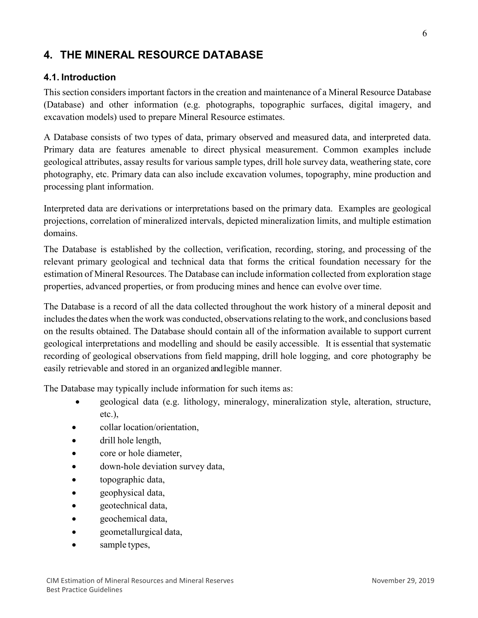# <span id="page-6-0"></span>**4. THE MINERAL RESOURCE DATABASE**

#### <span id="page-6-1"></span>**4.1. Introduction**

This section considers important factors in the creation and maintenance of a Mineral Resource Database (Database) and other information (e.g. photographs, topographic surfaces, digital imagery, and excavation models) used to prepare Mineral Resource estimates.

A Database consists of two types of data, primary observed and measured data, and interpreted data. Primary data are features amenable to direct physical measurement. Common examples include geological attributes, assay results for various sample types, drill hole survey data, weathering state, core photography, etc. Primary data can also include excavation volumes, topography, mine production and processing plant information.

Interpreted data are derivations or interpretations based on the primary data. Examples are geological projections, correlation of mineralized intervals, depicted mineralization limits, and multiple estimation domains.

The Database is established by the collection, verification, recording, storing, and processing of the relevant primary geological and technical data that forms the critical foundation necessary for the estimation of Mineral Resources. The Database can include information collected from exploration stage properties, advanced properties, or from producing mines and hence can evolve over time.

The Database is a record of all the data collected throughout the work history of a mineral deposit and includes the dates when the work was conducted, observations relating to the work, and conclusions based on the results obtained. The Database should contain all of the information available to support current geological interpretations and modelling and should be easily accessible. It is essential that systematic recording of geological observations from field mapping, drill hole logging, and core photography be easily retrievable and stored in an organized and legible manner.

The Database may typically include information for such items as:

- geological data (e.g. lithology, mineralogy, mineralization style, alteration, structure, etc.),
- collar location/orientation,
- drill hole length,
- core or hole diameter,
- down-hole deviation survey data,
- topographic data,
- geophysical data,
- geotechnical data,
- geochemical data,
- geometallurgical data,
- sample types,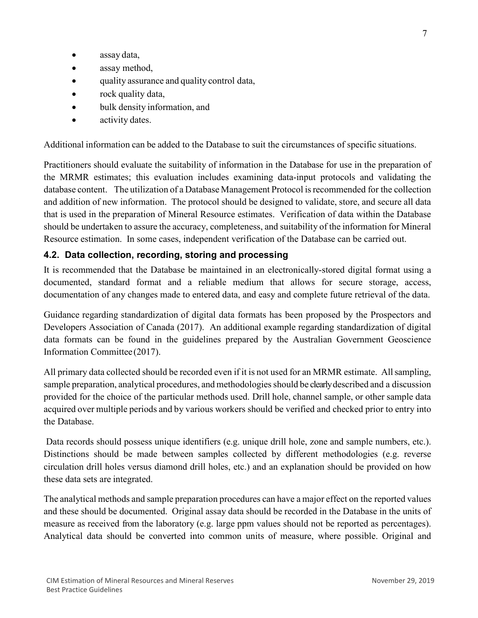- assay data,
- assay method,
- quality assurance and quality control data,
- rock quality data,
- bulk density information, and
- activity dates.

Additional information can be added to the Database to suit the circumstances of specific situations.

Practitioners should evaluate the suitability of information in the Database for use in the preparation of the MRMR estimates; this evaluation includes examining data-input protocols and validating the database content. The utilization of a Database Management Protocol isrecommended for the collection and addition of new information. The protocol should be designed to validate, store, and secure all data that is used in the preparation of Mineral Resource estimates. Verification of data within the Database should be undertaken to assure the accuracy, completeness, and suitability of the information for Mineral Resource estimation. In some cases, independent verification of the Database can be carried out.

#### <span id="page-7-0"></span>**4.2. Data collection, recording, storing and processing**

It is recommended that the Database be maintained in an electronically-stored digital format using a documented, standard format and a reliable medium that allows for secure storage, access, documentation of any changes made to entered data, and easy and complete future retrieval of the data.

Guidance regarding standardization of digital data formats has been proposed by the Prospectors and Developers Association of Canada (2017). An additional example regarding standardization of digital data formats can be found in the guidelines prepared by the Australian Government Geoscience Information Committee (2017).

All primary data collected should be recorded even if it is not used for an MRMR estimate. Allsampling, sample preparation, analytical procedures, and methodologies should be clearly described and a discussion provided for the choice of the particular methods used. Drill hole, channel sample, or other sample data acquired over multiple periods and by various workers should be verified and checked prior to entry into the Database.

Data records should possess unique identifiers (e.g. unique drill hole, zone and sample numbers, etc.). Distinctions should be made between samples collected by different methodologies (e.g. reverse circulation drill holes versus diamond drill holes, etc.) and an explanation should be provided on how these data sets are integrated.

The analytical methods and sample preparation procedures can have a major effect on the reported values and these should be documented. Original assay data should be recorded in the Database in the units of measure as received from the laboratory (e.g. large ppm values should not be reported as percentages). Analytical data should be converted into common units of measure, where possible. Original and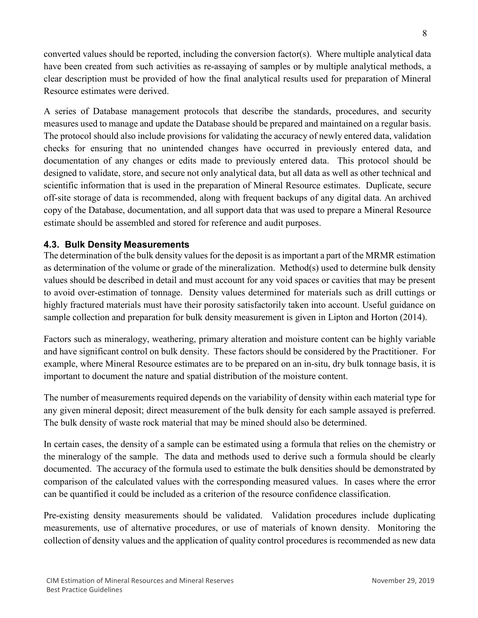converted values should be reported, including the conversion factor(s). Where multiple analytical data have been created from such activities as re-assaying of samples or by multiple analytical methods, a clear description must be provided of how the final analytical results used for preparation of Mineral Resource estimates were derived.

A series of Database management protocols that describe the standards, procedures, and security measures used to manage and update the Database should be prepared and maintained on a regular basis. The protocol should also include provisions for validating the accuracy of newly entered data, validation checks for ensuring that no unintended changes have occurred in previously entered data, and documentation of any changes or edits made to previously entered data. This protocol should be designed to validate, store, and secure not only analytical data, but all data as well as other technical and scientific information that is used in the preparation of Mineral Resource estimates. Duplicate, secure off-site storage of data is recommended, along with frequent backups of any digital data. An archived copy of the Database, documentation, and all support data that was used to prepare a Mineral Resource estimate should be assembled and stored for reference and audit purposes.

#### <span id="page-8-0"></span>**4.3. Bulk Density Measurements**

The determination of the bulk density values for the deposit is as important a part of the MRMR estimation as determination of the volume or grade of the mineralization. Method(s) used to determine bulk density values should be described in detail and must account for any void spaces or cavities that may be present to avoid over-estimation of tonnage. Density values determined for materials such as drill cuttings or highly fractured materials must have their porosity satisfactorily taken into account. Useful guidance on sample collection and preparation for bulk density measurement is given in Lipton and Horton (2014).

Factors such as mineralogy, weathering, primary alteration and moisture content can be highly variable and have significant control on bulk density. These factors should be considered by the Practitioner. For example, where Mineral Resource estimates are to be prepared on an in-situ, dry bulk tonnage basis, it is important to document the nature and spatial distribution of the moisture content.

The number of measurements required depends on the variability of density within each material type for any given mineral deposit; direct measurement of the bulk density for each sample assayed is preferred. The bulk density of waste rock material that may be mined should also be determined.

In certain cases, the density of a sample can be estimated using a formula that relies on the chemistry or the mineralogy of the sample. The data and methods used to derive such a formula should be clearly documented. The accuracy of the formula used to estimate the bulk densities should be demonstrated by comparison of the calculated values with the corresponding measured values. In cases where the error can be quantified it could be included as a criterion of the resource confidence classification.

Pre-existing density measurements should be validated. Validation procedures include duplicating measurements, use of alternative procedures, or use of materials of known density. Monitoring the collection of density values and the application of quality control procedures is recommended as new data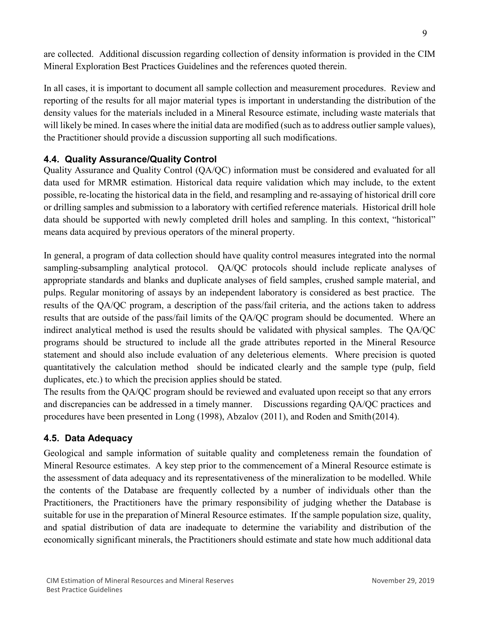are collected. Additional discussion regarding collection of density information is provided in the CIM Mineral Exploration Best Practices Guidelines and the references quoted therein.

In all cases, it is important to document all sample collection and measurement procedures. Review and reporting of the results for all major material types is important in understanding the distribution of the density values for the materials included in a Mineral Resource estimate, including waste materials that will likely be mined. In cases where the initial data are modified (such as to address outlier sample values), the Practitioner should provide a discussion supporting all such modifications.

## <span id="page-9-0"></span>**4.4. Quality Assurance/Quality Control**

Quality Assurance and Quality Control (QA/QC) information must be considered and evaluated for all data used for MRMR estimation. Historical data require validation which may include, to the extent possible, re-locating the historical data in the field, and resampling and re-assaying of historical drill core or drilling samples and submission to a laboratory with certified reference materials. Historical drill hole data should be supported with newly completed drill holes and sampling. In this context, "historical" means data acquired by previous operators of the mineral property.

In general, a program of data collection should have quality control measures integrated into the normal sampling-subsampling analytical protocol. QA/QC protocols should include replicate analyses of appropriate standards and blanks and duplicate analyses of field samples, crushed sample material, and pulps. Regular monitoring of assays by an independent laboratory is considered as best practice. The results of the QA/QC program, a description of the pass/fail criteria, and the actions taken to address results that are outside of the pass/fail limits of the QA/QC program should be documented. Where an indirect analytical method is used the results should be validated with physical samples. The QA/QC programs should be structured to include all the grade attributes reported in the Mineral Resource statement and should also include evaluation of any deleterious elements. Where precision is quoted quantitatively the calculation method should be indicated clearly and the sample type (pulp, field duplicates, etc.) to which the precision applies should be stated.

The results from the QA/QC program should be reviewed and evaluated upon receipt so that any errors and discrepancies can be addressed in a timely manner. Discussions regarding QA/QC practices and procedures have been presented in Long (1998), Abzalov (2011), and Roden and Smith(2014).

# <span id="page-9-1"></span>**4.5. Data Adequacy**

Geological and sample information of suitable quality and completeness remain the foundation of Mineral Resource estimates. A key step prior to the commencement of a Mineral Resource estimate is the assessment of data adequacy and its representativeness of the mineralization to be modelled. While the contents of the Database are frequently collected by a number of individuals other than the Practitioners, the Practitioners have the primary responsibility of judging whether the Database is suitable for use in the preparation of Mineral Resource estimates. If the sample population size, quality, and spatial distribution of data are inadequate to determine the variability and distribution of the economically significant minerals, the Practitioners should estimate and state how much additional data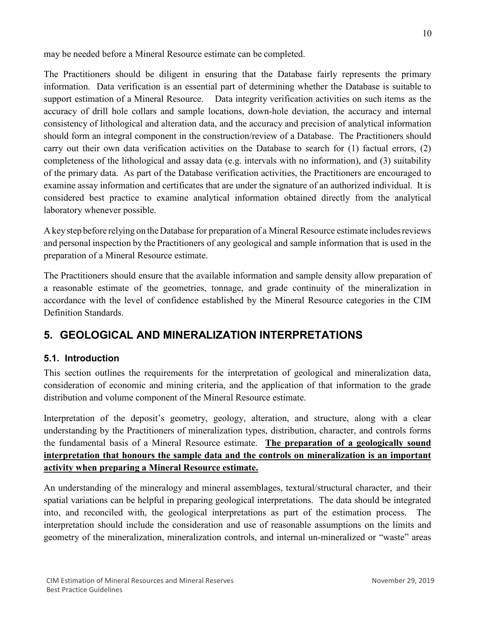may be needed before a Mineral Resource estimate can be completed.

The Practitioners should be diligent in ensuring that the Database fairly represents the primary information. Data verification is an essential part of determining whether the Database is suitable to support estimation of a Mineral Resource. Data integrity verification activities on such items as the accuracy of drill hole collars and sample locations, down-hole deviation, the accuracy and internal consistency of lithological and alteration data, and the accuracy and precision of analytical information should form an integral component in the construction/review of a Database. The Practitioners should carry out their own data verification activities on the Database to search for (1) factual errors, (2) completeness of the lithological and assay data (e.g. intervals with no information), and (3) suitability of the primary data. As part of the Database verification activities, the Practitioners are encouraged to examine assay information and certificates that are under the signature of an authorized individual. It is considered best practice to examine analytical information obtained directly from the analytical laboratory whenever possible.

A keystep before relying on the Database for preparation of a Mineral Resource estimate includesreviews and personal inspection by the Practitioners of any geological and sample information that is used in the preparation of a Mineral Resource estimate.

The Practitioners should ensure that the available information and sample density allow preparation of a reasonable estimate of the geometries, tonnage, and grade continuity of the mineralization in accordance with the level of confidence established by the Mineral Resource categories in the CIM Definition Standards.

# <span id="page-10-0"></span>**5. GEOLOGICAL AND MINERALIZATION INTERPRETATIONS**

# <span id="page-10-1"></span>**5.1. Introduction**

This section outlines the requirements for the interpretation of geological and mineralization data, consideration of economic and mining criteria, and the application of that information to the grade distribution and volume component of the Mineral Resource estimate.

Interpretation of the deposit's geometry, geology, alteration, and structure, along with a clear understanding by the Practitioners of mineralization types, distribution, character, and controls forms the fundamental basis of a Mineral Resource estimate. **The preparation of a geologically sound interpretation that honours the sample data and the controls on mineralization is an important activity when preparing a Mineral Resource estimate.**

An understanding of the mineralogy and mineral assemblages, textural/structural character, and their spatial variations can be helpful in preparing geological interpretations. The data should be integrated into, and reconciled with, the geological interpretations as part of the estimation process. The interpretation should include the consideration and use of reasonable assumptions on the limits and geometry of the mineralization, mineralization controls, and internal un-mineralized or "waste" areas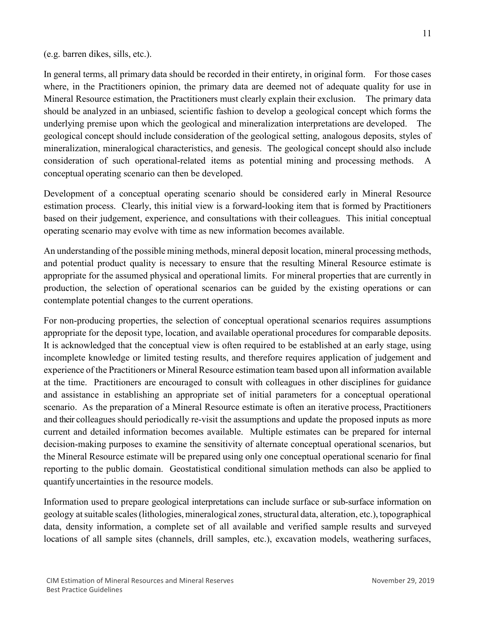#### (e.g. barren dikes, sills, etc.).

In general terms, all primary data should be recorded in their entirety, in original form. For those cases where, in the Practitioners opinion, the primary data are deemed not of adequate quality for use in Mineral Resource estimation, the Practitioners must clearly explain their exclusion. The primary data should be analyzed in an unbiased, scientific fashion to develop a geological concept which forms the underlying premise upon which the geological and mineralization interpretations are developed. The geological concept should include consideration of the geological setting, analogous deposits, styles of mineralization, mineralogical characteristics, and genesis. The geological concept should also include consideration of such operational-related items as potential mining and processing methods. A conceptual operating scenario can then be developed.

Development of a conceptual operating scenario should be considered early in Mineral Resource estimation process. Clearly, this initial view is a forward-looking item that is formed by Practitioners based on their judgement, experience, and consultations with their colleagues. This initial conceptual operating scenario may evolve with time as new information becomes available.

An understanding of the possible mining methods, mineral deposit location, mineral processing methods, and potential product quality is necessary to ensure that the resulting Mineral Resource estimate is appropriate for the assumed physical and operational limits. For mineral properties that are currently in production, the selection of operational scenarios can be guided by the existing operations or can contemplate potential changes to the current operations.

For non-producing properties, the selection of conceptual operational scenarios requires assumptions appropriate for the deposit type, location, and available operational procedures for comparable deposits. It is acknowledged that the conceptual view is often required to be established at an early stage, using incomplete knowledge or limited testing results, and therefore requires application of judgement and experience of the Practitioners or Mineral Resource estimation team based upon all information available at the time. Practitioners are encouraged to consult with colleagues in other disciplines for guidance and assistance in establishing an appropriate set of initial parameters for a conceptual operational scenario. As the preparation of a Mineral Resource estimate is often an iterative process, Practitioners and their colleagues should periodically re-visit the assumptions and update the proposed inputs as more current and detailed information becomes available. Multiple estimates can be prepared for internal decision-making purposes to examine the sensitivity of alternate conceptual operational scenarios, but the Mineral Resource estimate will be prepared using only one conceptual operational scenario for final reporting to the public domain. Geostatistical conditional simulation methods can also be applied to quantifyuncertainties in the resource models.

Information used to prepare geological interpretations can include surface or sub-surface information on geology at suitable scales (lithologies, mineralogical zones, structural data, alteration, etc.), topographical data, density information, a complete set of all available and verified sample results and surveyed locations of all sample sites (channels, drill samples, etc.), excavation models, weathering surfaces,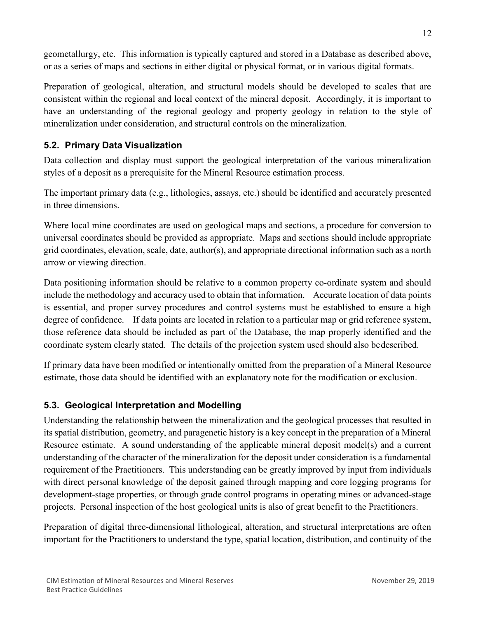geometallurgy, etc. This information is typically captured and stored in a Database as described above, or as a series of maps and sections in either digital or physical format, or in various digital formats.

Preparation of geological, alteration, and structural models should be developed to scales that are consistent within the regional and local context of the mineral deposit. Accordingly, it is important to have an understanding of the regional geology and property geology in relation to the style of mineralization under consideration, and structural controls on the mineralization.

# <span id="page-12-0"></span>**5.2. Primary Data Visualization**

Data collection and display must support the geological interpretation of the various mineralization styles of a deposit as a prerequisite for the Mineral Resource estimation process.

The important primary data (e.g., lithologies, assays, etc.) should be identified and accurately presented in three dimensions.

Where local mine coordinates are used on geological maps and sections, a procedure for conversion to universal coordinates should be provided as appropriate. Maps and sections should include appropriate grid coordinates, elevation, scale, date, author(s), and appropriate directional information such as a north arrow or viewing direction.

Data positioning information should be relative to a common property co-ordinate system and should include the methodology and accuracy used to obtain that information. Accurate location of data points is essential, and proper survey procedures and control systems must be established to ensure a high degree of confidence. If data points are located in relation to a particular map or grid reference system, those reference data should be included as part of the Database, the map properly identified and the coordinate system clearly stated. The details of the projection system used should also bedescribed.

If primary data have been modified or intentionally omitted from the preparation of a Mineral Resource estimate, those data should be identified with an explanatory note for the modification or exclusion.

# <span id="page-12-1"></span>**5.3. Geological Interpretation and Modelling**

Understanding the relationship between the mineralization and the geological processes that resulted in its spatial distribution, geometry, and paragenetic history is a key concept in the preparation of a Mineral Resource estimate. A sound understanding of the applicable mineral deposit model(s) and a current understanding of the character of the mineralization for the deposit under consideration is a fundamental requirement of the Practitioners. This understanding can be greatly improved by input from individuals with direct personal knowledge of the deposit gained through mapping and core logging programs for development-stage properties, or through grade control programs in operating mines or advanced-stage projects. Personal inspection of the host geological units is also of great benefit to the Practitioners.

Preparation of digital three-dimensional lithological, alteration, and structural interpretations are often important for the Practitioners to understand the type, spatial location, distribution, and continuity of the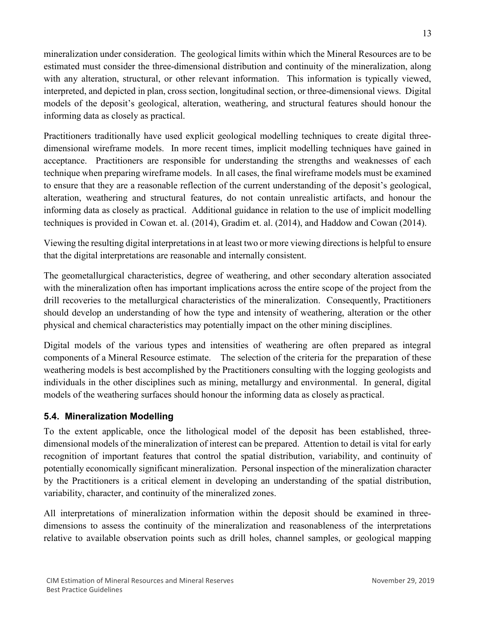mineralization under consideration. The geological limits within which the Mineral Resources are to be estimated must consider the three-dimensional distribution and continuity of the mineralization, along with any alteration, structural, or other relevant information. This information is typically viewed, interpreted, and depicted in plan, cross section, longitudinal section, or three-dimensional views. Digital models of the deposit's geological, alteration, weathering, and structural features should honour the informing data as closely as practical.

Practitioners traditionally have used explicit geological modelling techniques to create digital threedimensional wireframe models. In more recent times, implicit modelling techniques have gained in acceptance. Practitioners are responsible for understanding the strengths and weaknesses of each technique when preparing wireframe models. In all cases, the final wireframe models must be examined to ensure that they are a reasonable reflection of the current understanding of the deposit's geological, alteration, weathering and structural features, do not contain unrealistic artifacts, and honour the informing data as closely as practical. Additional guidance in relation to the use of implicit modelling techniques is provided in Cowan et. al. (2014), Gradim et. al. (2014), and Haddow and Cowan (2014).

Viewing the resulting digital interpretations in at least two or more viewing directions is helpful to ensure that the digital interpretations are reasonable and internally consistent.

The geometallurgical characteristics, degree of weathering, and other secondary alteration associated with the mineralization often has important implications across the entire scope of the project from the drill recoveries to the metallurgical characteristics of the mineralization. Consequently, Practitioners should develop an understanding of how the type and intensity of weathering, alteration or the other physical and chemical characteristics may potentially impact on the other mining disciplines.

Digital models of the various types and intensities of weathering are often prepared as integral components of a Mineral Resource estimate. The selection of the criteria for the preparation of these weathering models is best accomplished by the Practitioners consulting with the logging geologists and individuals in the other disciplines such as mining, metallurgy and environmental. In general, digital models of the weathering surfaces should honour the informing data as closely as practical.

# <span id="page-13-0"></span>**5.4. Mineralization Modelling**

To the extent applicable, once the lithological model of the deposit has been established, threedimensional models of the mineralization of interest can be prepared. Attention to detail is vital for early recognition of important features that control the spatial distribution, variability, and continuity of potentially economically significant mineralization. Personal inspection of the mineralization character by the Practitioners is a critical element in developing an understanding of the spatial distribution, variability, character, and continuity of the mineralized zones.

All interpretations of mineralization information within the deposit should be examined in threedimensions to assess the continuity of the mineralization and reasonableness of the interpretations relative to available observation points such as drill holes, channel samples, or geological mapping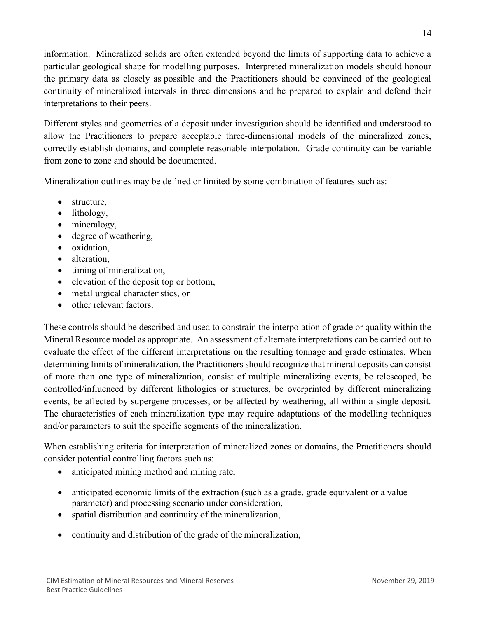information. Mineralized solids are often extended beyond the limits of supporting data to achieve a particular geological shape for modelling purposes. Interpreted mineralization models should honour the primary data as closely as possible and the Practitioners should be convinced of the geological continuity of mineralized intervals in three dimensions and be prepared to explain and defend their interpretations to their peers.

Different styles and geometries of a deposit under investigation should be identified and understood to allow the Practitioners to prepare acceptable three-dimensional models of the mineralized zones, correctly establish domains, and complete reasonable interpolation. Grade continuity can be variable from zone to zone and should be documented.

Mineralization outlines may be defined or limited by some combination of features such as:

- structure,
- lithology,
- mineralogy,
- degree of weathering,
- oxidation,
- alteration,
- timing of mineralization,
- elevation of the deposit top or bottom,
- metallurgical characteristics, or
- other relevant factors.

These controls should be described and used to constrain the interpolation of grade or quality within the Mineral Resource model as appropriate. An assessment of alternate interpretations can be carried out to evaluate the effect of the different interpretations on the resulting tonnage and grade estimates. When determining limits of mineralization, the Practitioners should recognize that mineral deposits can consist of more than one type of mineralization, consist of multiple mineralizing events, be telescoped, be controlled/influenced by different lithologies or structures, be overprinted by different mineralizing events, be affected by supergene processes, or be affected by weathering, all within a single deposit. The characteristics of each mineralization type may require adaptations of the modelling techniques and/or parameters to suit the specific segments of the mineralization.

When establishing criteria for interpretation of mineralized zones or domains, the Practitioners should consider potential controlling factors such as:

- anticipated mining method and mining rate,
- anticipated economic limits of the extraction (such as a grade, grade equivalent or a value parameter) and processing scenario under consideration,
- spatial distribution and continuity of the mineralization,
- continuity and distribution of the grade of the mineralization,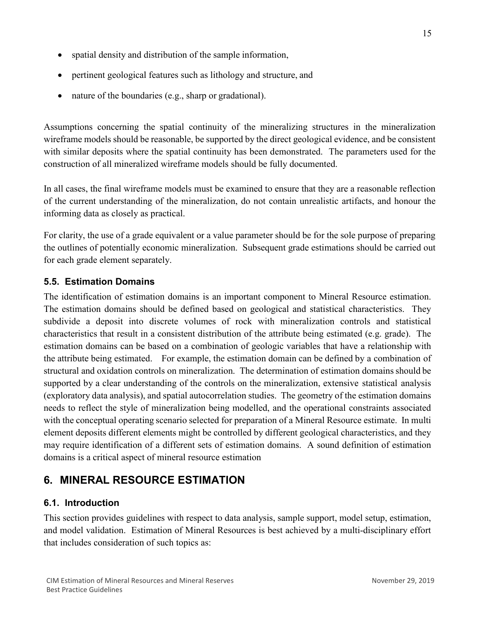- spatial density and distribution of the sample information,
- pertinent geological features such as lithology and structure, and
- nature of the boundaries (e.g., sharp or gradational).

Assumptions concerning the spatial continuity of the mineralizing structures in the mineralization wireframe models should be reasonable, be supported by the direct geological evidence, and be consistent with similar deposits where the spatial continuity has been demonstrated. The parameters used for the construction of all mineralized wireframe models should be fully documented.

In all cases, the final wireframe models must be examined to ensure that they are a reasonable reflection of the current understanding of the mineralization, do not contain unrealistic artifacts, and honour the informing data as closely as practical.

For clarity, the use of a grade equivalent or a value parameter should be for the sole purpose of preparing the outlines of potentially economic mineralization. Subsequent grade estimations should be carried out for each grade element separately.

# <span id="page-15-0"></span>**5.5. Estimation Domains**

The identification of estimation domains is an important component to Mineral Resource estimation. The estimation domains should be defined based on geological and statistical characteristics. They subdivide a deposit into discrete volumes of rock with mineralization controls and statistical characteristics that result in a consistent distribution of the attribute being estimated (e.g. grade). The estimation domains can be based on a combination of geologic variables that have a relationship with the attribute being estimated. For example, the estimation domain can be defined by a combination of structural and oxidation controls on mineralization. The determination of estimation domains should be supported by a clear understanding of the controls on the mineralization, extensive statistical analysis (exploratory data analysis), and spatial autocorrelation studies. The geometry of the estimation domains needs to reflect the style of mineralization being modelled, and the operational constraints associated with the conceptual operating scenario selected for preparation of a Mineral Resource estimate. In multi element deposits different elements might be controlled by different geological characteristics, and they may require identification of a different sets of estimation domains. A sound definition of estimation domains is a critical aspect of mineral resource estimation

# <span id="page-15-1"></span>**6. MINERAL RESOURCE ESTIMATION**

# <span id="page-15-2"></span>**6.1. Introduction**

This section provides guidelines with respect to data analysis, sample support, model setup, estimation, and model validation. Estimation of Mineral Resources is best achieved by a multi-disciplinary effort that includes consideration of such topics as: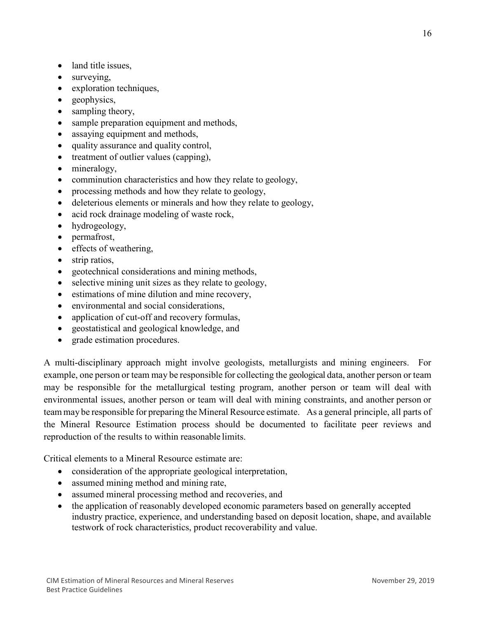- land title issues.
- surveying,
- exploration techniques,
- geophysics,
- sampling theory,
- sample preparation equipment and methods,
- assaying equipment and methods,
- quality assurance and quality control,
- treatment of outlier values (capping),
- mineralogy,
- comminution characteristics and how they relate to geology,
- processing methods and how they relate to geology,
- deleterious elements or minerals and how they relate to geology,
- acid rock drainage modeling of waste rock,
- hydrogeology,
- permafrost,
- effects of weathering,
- strip ratios,
- geotechnical considerations and mining methods,
- selective mining unit sizes as they relate to geology,
- estimations of mine dilution and mine recovery,
- environmental and social considerations,
- application of cut-off and recovery formulas,
- geostatistical and geological knowledge, and
- grade estimation procedures.

A multi-disciplinary approach might involve geologists, metallurgists and mining engineers. For example, one person or team may be responsible for collecting the geological data, another person or team may be responsible for the metallurgical testing program, another person or team will deal with environmental issues, another person or team will deal with mining constraints, and another person or team may be responsible for preparing the Mineral Resource estimate. As a general principle, all parts of the Mineral Resource Estimation process should be documented to facilitate peer reviews and reproduction of the results to within reasonable limits.

Critical elements to a Mineral Resource estimate are:

- consideration of the appropriate geological interpretation,
- assumed mining method and mining rate,
- assumed mineral processing method and recoveries, and
- the application of reasonably developed economic parameters based on generally accepted industry practice, experience, and understanding based on deposit location, shape, and available testwork of rock characteristics, product recoverability and value.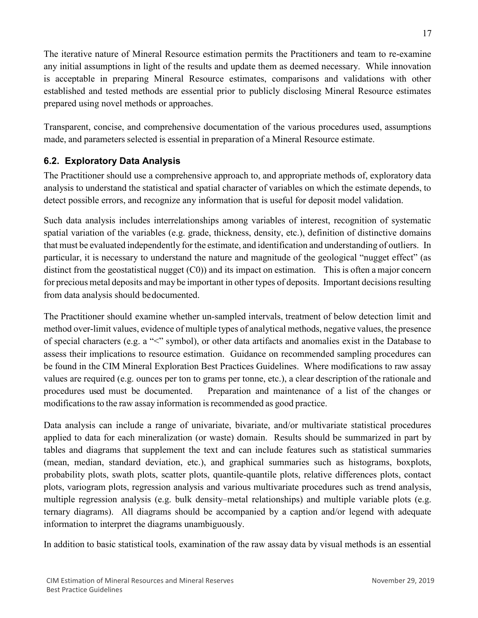The iterative nature of Mineral Resource estimation permits the Practitioners and team to re-examine any initial assumptions in light of the results and update them as deemed necessary. While innovation is acceptable in preparing Mineral Resource estimates, comparisons and validations with other established and tested methods are essential prior to publicly disclosing Mineral Resource estimates prepared using novel methods or approaches.

Transparent, concise, and comprehensive documentation of the various procedures used, assumptions made, and parameters selected is essential in preparation of a Mineral Resource estimate.

# <span id="page-17-0"></span>**6.2. Exploratory Data Analysis**

The Practitioner should use a comprehensive approach to, and appropriate methods of, exploratory data analysis to understand the statistical and spatial character of variables on which the estimate depends, to detect possible errors, and recognize any information that is useful for deposit model validation.

Such data analysis includes interrelationships among variables of interest, recognition of systematic spatial variation of the variables (e.g. grade, thickness, density, etc.), definition of distinctive domains that must be evaluated independently for the estimate, and identification and understanding of outliers. In particular, it is necessary to understand the nature and magnitude of the geological "nugget effect" (as distinct from the geostatistical nugget (C0)) and its impact on estimation. This is often a major concern for precious metal deposits and may be important in other types of deposits. Important decisions resulting from data analysis should bedocumented.

The Practitioner should examine whether un-sampled intervals, treatment of below detection limit and method over-limit values, evidence of multiple types of analytical methods, negative values, the presence of special characters (e.g. a "<" symbol), or other data artifacts and anomalies exist in the Database to assess their implications to resource estimation. Guidance on recommended sampling procedures can be found in the CIM Mineral Exploration Best Practices Guidelines. Where modifications to raw assay values are required (e.g. ounces per ton to grams per tonne, etc.), a clear description of the rationale and procedures used must be documented. Preparation and maintenance of a list of the changes or modifications to the raw assay information is recommended as good practice.

Data analysis can include a range of univariate, bivariate, and/or multivariate statistical procedures applied to data for each mineralization (or waste) domain. Results should be summarized in part by tables and diagrams that supplement the text and can include features such as statistical summaries (mean, median, standard deviation, etc.), and graphical summaries such as histograms, boxplots, probability plots, swath plots, scatter plots, quantile-quantile plots, relative differences plots, contact plots, variogram plots, regression analysis and various multivariate procedures such as trend analysis, multiple regression analysis (e.g. bulk density–metal relationships) and multiple variable plots (e.g. ternary diagrams). All diagrams should be accompanied by a caption and/or legend with adequate information to interpret the diagrams unambiguously.

In addition to basic statistical tools, examination of the raw assay data by visual methods is an essential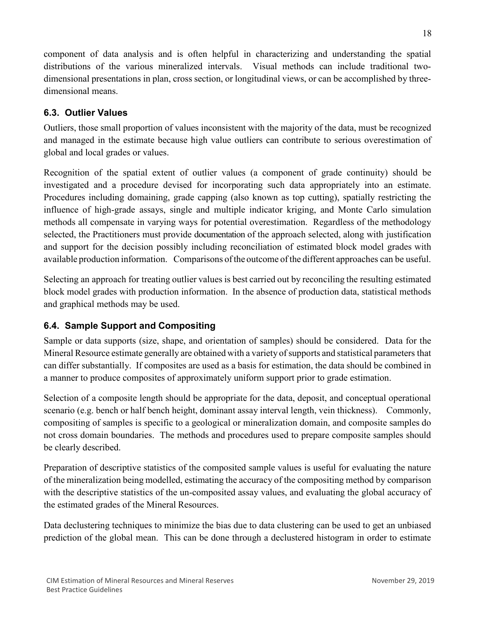component of data analysis and is often helpful in characterizing and understanding the spatial distributions of the various mineralized intervals. Visual methods can include traditional twodimensional presentations in plan, cross section, or longitudinal views, or can be accomplished by threedimensional means.

# <span id="page-18-0"></span>**6.3. Outlier Values**

Outliers, those small proportion of values inconsistent with the majority of the data, must be recognized and managed in the estimate because high value outliers can contribute to serious overestimation of global and local grades or values.

Recognition of the spatial extent of outlier values (a component of grade continuity) should be investigated and a procedure devised for incorporating such data appropriately into an estimate. Procedures including domaining, grade capping (also known as top cutting), spatially restricting the influence of high-grade assays, single and multiple indicator kriging, and Monte Carlo simulation methods all compensate in varying ways for potential overestimation. Regardless of the methodology selected, the Practitioners must provide documentation of the approach selected, along with justification and support for the decision possibly including reconciliation of estimated block model grades with available production information. Comparisons ofthe outcome of the different approaches can be useful.

Selecting an approach for treating outlier values is best carried out by reconciling the resulting estimated block model grades with production information. In the absence of production data, statistical methods and graphical methods may be used.

# <span id="page-18-1"></span>**6.4. Sample Support and Compositing**

Sample or data supports (size, shape, and orientation of samples) should be considered. Data for the Mineral Resource estimate generally are obtained with a variety of supports and statistical parameters that can differ substantially. If composites are used as a basis for estimation, the data should be combined in a manner to produce composites of approximately uniform support prior to grade estimation.

Selection of a composite length should be appropriate for the data, deposit, and conceptual operational scenario (e.g. bench or half bench height, dominant assay interval length, vein thickness). Commonly, compositing of samples is specific to a geological or mineralization domain, and composite samples do not cross domain boundaries. The methods and procedures used to prepare composite samples should be clearly described.

Preparation of descriptive statistics of the composited sample values is useful for evaluating the nature of the mineralization being modelled, estimating the accuracy of the compositing method by comparison with the descriptive statistics of the un-composited assay values, and evaluating the global accuracy of the estimated grades of the Mineral Resources.

Data declustering techniques to minimize the bias due to data clustering can be used to get an unbiased prediction of the global mean. This can be done through a declustered histogram in order to estimate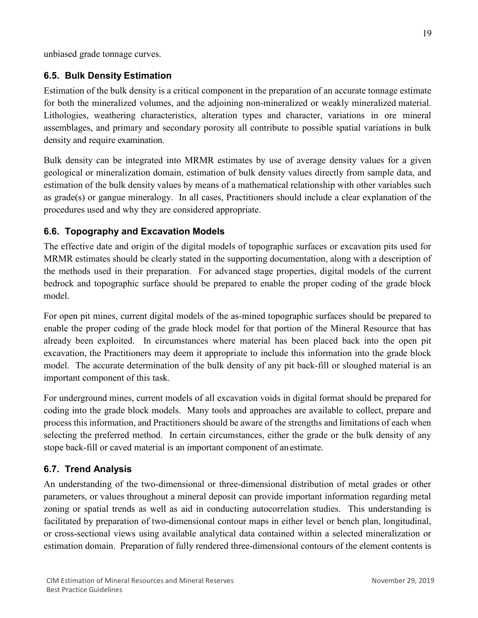unbiased grade tonnage curves.

# <span id="page-19-0"></span>**6.5. Bulk Density Estimation**

Estimation of the bulk density is a critical component in the preparation of an accurate tonnage estimate for both the mineralized volumes, and the adjoining non-mineralized or weakly mineralized material. Lithologies, weathering characteristics, alteration types and character, variations in ore mineral assemblages, and primary and secondary porosity all contribute to possible spatial variations in bulk density and require examination.

Bulk density can be integrated into MRMR estimates by use of average density values for a given geological or mineralization domain, estimation of bulk density values directly from sample data, and estimation of the bulk density values by means of a mathematical relationship with other variables such as grade(s) or gangue mineralogy. In all cases, Practitioners should include a clear explanation of the procedures used and why they are considered appropriate.

# <span id="page-19-1"></span>**6.6. Topography and Excavation Models**

The effective date and origin of the digital models of topographic surfaces or excavation pits used for MRMR estimates should be clearly stated in the supporting documentation, along with a description of the methods used in their preparation. For advanced stage properties, digital models of the current bedrock and topographic surface should be prepared to enable the proper coding of the grade block model.

For open pit mines, current digital models of the as-mined topographic surfaces should be prepared to enable the proper coding of the grade block model for that portion of the Mineral Resource that has already been exploited. In circumstances where material has been placed back into the open pit excavation, the Practitioners may deem it appropriate to include this information into the grade block model. The accurate determination of the bulk density of any pit back-fill or sloughed material is an important component of this task.

For underground mines, current models of all excavation voids in digital format should be prepared for coding into the grade block models. Many tools and approaches are available to collect, prepare and process this information, and Practitioners should be aware of the strengths and limitations of each when selecting the preferred method. In certain circumstances, either the grade or the bulk density of any stope back-fill or caved material is an important component of an estimate.

#### <span id="page-19-2"></span>**6.7. Trend Analysis**

An understanding of the two-dimensional or three-dimensional distribution of metal grades or other parameters, or values throughout a mineral deposit can provide important information regarding metal zoning or spatial trends as well as aid in conducting autocorrelation studies. This understanding is facilitated by preparation of two-dimensional contour maps in either level or bench plan, longitudinal, or cross-sectional views using available analytical data contained within a selected mineralization or estimation domain. Preparation of fully rendered three-dimensional contours of the element contents is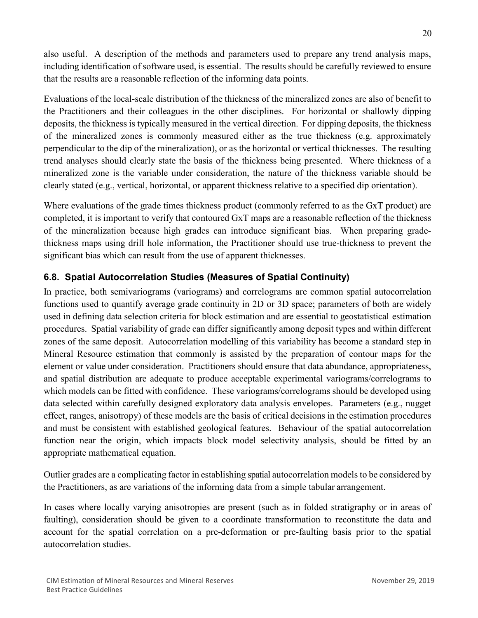also useful. A description of the methods and parameters used to prepare any trend analysis maps, including identification of software used, is essential. The results should be carefully reviewed to ensure that the results are a reasonable reflection of the informing data points.

Evaluations of the local-scale distribution of the thickness of the mineralized zones are also of benefit to the Practitioners and their colleagues in the other disciplines. For horizontal or shallowly dipping deposits, the thickness is typically measured in the vertical direction. For dipping deposits, the thickness of the mineralized zones is commonly measured either as the true thickness (e.g. approximately perpendicular to the dip of the mineralization), or as the horizontal or vertical thicknesses. The resulting trend analyses should clearly state the basis of the thickness being presented. Where thickness of a mineralized zone is the variable under consideration, the nature of the thickness variable should be clearly stated (e.g., vertical, horizontal, or apparent thickness relative to a specified dip orientation).

Where evaluations of the grade times thickness product (commonly referred to as the GxT product) are completed, it is important to verify that contoured GxT maps are a reasonable reflection of the thickness of the mineralization because high grades can introduce significant bias. When preparing gradethickness maps using drill hole information, the Practitioner should use true-thickness to prevent the significant bias which can result from the use of apparent thicknesses.

# <span id="page-20-0"></span>**6.8. Spatial Autocorrelation Studies (Measures of Spatial Continuity)**

In practice, both semivariograms (variograms) and correlograms are common spatial autocorrelation functions used to quantify average grade continuity in 2D or 3D space; parameters of both are widely used in defining data selection criteria for block estimation and are essential to geostatistical estimation procedures. Spatial variability of grade can differ significantly among deposit types and within different zones of the same deposit. Autocorrelation modelling of this variability has become a standard step in Mineral Resource estimation that commonly is assisted by the preparation of contour maps for the element or value under consideration. Practitioners should ensure that data abundance, appropriateness, and spatial distribution are adequate to produce acceptable experimental variograms/correlograms to which models can be fitted with confidence. These variograms/correlograms should be developed using data selected within carefully designed exploratory data analysis envelopes. Parameters (e.g., nugget effect, ranges, anisotropy) of these models are the basis of critical decisions in the estimation procedures and must be consistent with established geological features. Behaviour of the spatial autocorrelation function near the origin, which impacts block model selectivity analysis, should be fitted by an appropriate mathematical equation.

Outlier grades are a complicating factor in establishing spatial autocorrelation models to be considered by the Practitioners, as are variations of the informing data from a simple tabular arrangement.

In cases where locally varying anisotropies are present (such as in folded stratigraphy or in areas of faulting), consideration should be given to a coordinate transformation to reconstitute the data and account for the spatial correlation on a pre-deformation or pre-faulting basis prior to the spatial autocorrelation studies.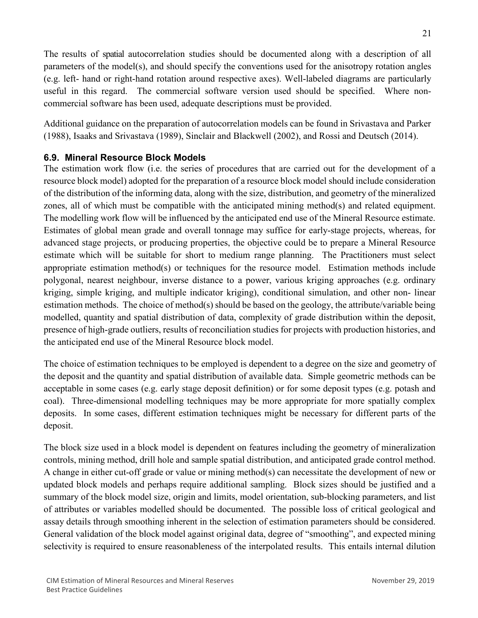The results of spatial autocorrelation studies should be documented along with a description of all parameters of the model(s), and should specify the conventions used for the anisotropy rotation angles (e.g. left- hand or right-hand rotation around respective axes). Well-labeled diagrams are particularly useful in this regard. The commercial software version used should be specified. Where noncommercial software has been used, adequate descriptions must be provided.

Additional guidance on the preparation of autocorrelation models can be found in Srivastava and Parker (1988), Isaaks and Srivastava (1989), Sinclair and Blackwell (2002), and Rossi and Deutsch (2014).

### <span id="page-21-0"></span>**6.9. Mineral Resource Block Models**

The estimation work flow (i.e. the series of procedures that are carried out for the development of a resource block model) adopted for the preparation of a resource block model should include consideration of the distribution of the informing data, along with the size, distribution, and geometry of the mineralized zones, all of which must be compatible with the anticipated mining method(s) and related equipment. The modelling work flow will be influenced by the anticipated end use of the Mineral Resource estimate. Estimates of global mean grade and overall tonnage may suffice for early-stage projects, whereas, for advanced stage projects, or producing properties, the objective could be to prepare a Mineral Resource estimate which will be suitable for short to medium range planning. The Practitioners must select appropriate estimation method(s) or techniques for the resource model. Estimation methods include polygonal, nearest neighbour, inverse distance to a power, various kriging approaches (e.g. ordinary kriging, simple kriging, and multiple indicator kriging), conditional simulation, and other non- linear estimation methods. The choice of method(s) should be based on the geology, the attribute/variable being modelled, quantity and spatial distribution of data, complexity of grade distribution within the deposit, presence of high-grade outliers, results of reconciliation studies for projects with production histories, and the anticipated end use of the Mineral Resource block model.

The choice of estimation techniques to be employed is dependent to a degree on the size and geometry of the deposit and the quantity and spatial distribution of available data. Simple geometric methods can be acceptable in some cases (e.g. early stage deposit definition) or for some deposit types (e.g. potash and coal). Three-dimensional modelling techniques may be more appropriate for more spatially complex deposits. In some cases, different estimation techniques might be necessary for different parts of the deposit.

The block size used in a block model is dependent on features including the geometry of mineralization controls, mining method, drill hole and sample spatial distribution, and anticipated grade control method. A change in either cut-off grade or value or mining method(s) can necessitate the development of new or updated block models and perhaps require additional sampling. Block sizes should be justified and a summary of the block model size, origin and limits, model orientation, sub-blocking parameters, and list of attributes or variables modelled should be documented. The possible loss of critical geological and assay details through smoothing inherent in the selection of estimation parameters should be considered. General validation of the block model against original data, degree of "smoothing", and expected mining selectivity is required to ensure reasonableness of the interpolated results. This entails internal dilution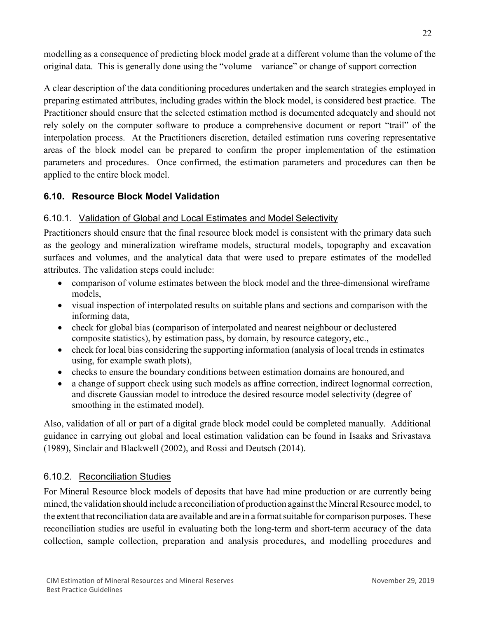modelling as a consequence of predicting block model grade at a different volume than the volume of the original data. This is generally done using the "volume – variance" or change of support correction

A clear description of the data conditioning procedures undertaken and the search strategies employed in preparing estimated attributes, including grades within the block model, is considered best practice. The Practitioner should ensure that the selected estimation method is documented adequately and should not rely solely on the computer software to produce a comprehensive document or report "trail" of the interpolation process. At the Practitioners discretion, detailed estimation runs covering representative areas of the block model can be prepared to confirm the proper implementation of the estimation parameters and procedures. Once confirmed, the estimation parameters and procedures can then be applied to the entire block model.

# <span id="page-22-0"></span>**6.10. Resource Block Model Validation**

# <span id="page-22-1"></span>6.10.1. Validation of Global and Local Estimates and Model Selectivity

Practitioners should ensure that the final resource block model is consistent with the primary data such as the geology and mineralization wireframe models, structural models, topography and excavation surfaces and volumes, and the analytical data that were used to prepare estimates of the modelled attributes. The validation steps could include:

- comparison of volume estimates between the block model and the three-dimensional wireframe models,
- visual inspection of interpolated results on suitable plans and sections and comparison with the informing data,
- check for global bias (comparison of interpolated and nearest neighbour or declustered composite statistics), by estimation pass, by domain, by resource category, etc.,
- check for local bias considering the supporting information (analysis of local trends in estimates using, for example swath plots),
- checks to ensure the boundary conditions between estimation domains are honoured, and
- a change of support check using such models as affine correction, indirect lognormal correction, and discrete Gaussian model to introduce the desired resource model selectivity (degree of smoothing in the estimated model).

Also, validation of all or part of a digital grade block model could be completed manually. Additional guidance in carrying out global and local estimation validation can be found in Isaaks and Srivastava (1989), Sinclair and Blackwell (2002), and Rossi and Deutsch (2014).

#### <span id="page-22-2"></span>6.10.2. Reconciliation Studies

For Mineral Resource block models of deposits that have had mine production or are currently being mined, the validation should include a reconciliation of production against the Mineral Resource model, to the extent that reconciliation data are available and are in a format suitable for comparison purposes. These reconciliation studies are useful in evaluating both the long-term and short-term accuracy of the data collection, sample collection, preparation and analysis procedures, and modelling procedures and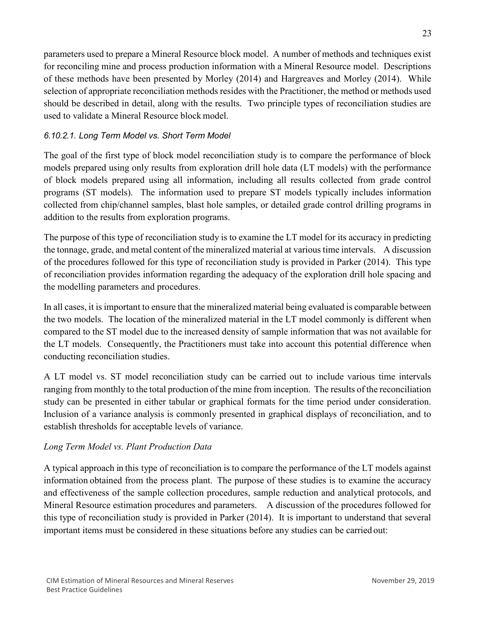parameters used to prepare a Mineral Resource block model. A number of methods and techniques exist for reconciling mine and process production information with a Mineral Resource model. Descriptions of these methods have been presented by Morley (2014) and Hargreaves and Morley (2014). While selection of appropriate reconciliation methods resides with the Practitioner, the method or methods used should be described in detail, along with the results. Two principle types of reconciliation studies are used to validate a Mineral Resource block model.

## *6.10.2.1. Long Term Model vs. Short Term Model*

The goal of the first type of block model reconciliation study is to compare the performance of block models prepared using only results from exploration drill hole data (LT models) with the performance of block models prepared using all information, including all results collected from grade control programs (ST models). The information used to prepare ST models typically includes information collected from chip/channel samples, blast hole samples, or detailed grade control drilling programs in addition to the results from exploration programs.

The purpose of this type of reconciliation study is to examine the LT model for its accuracy in predicting the tonnage, grade, and metal content of the mineralized material at varioustime intervals. A discussion of the procedures followed for this type of reconciliation study is provided in Parker (2014). This type of reconciliation provides information regarding the adequacy of the exploration drill hole spacing and the modelling parameters and procedures.

In all cases, it is important to ensure that the mineralized material being evaluated is comparable between the two models. The location of the mineralized material in the LT model commonly is different when compared to the ST model due to the increased density of sample information that was not available for the LT models. Consequently, the Practitioners must take into account this potential difference when conducting reconciliation studies.

A LT model vs. ST model reconciliation study can be carried out to include various time intervals ranging from monthly to the total production of the mine from inception. The results of the reconciliation study can be presented in either tabular or graphical formats for the time period under consideration. Inclusion of a variance analysis is commonly presented in graphical displays of reconciliation, and to establish thresholds for acceptable levels of variance.

#### *Long Term Model vs. Plant Production Data*

A typical approach in this type of reconciliation is to compare the performance of the LT models against information obtained from the process plant. The purpose of these studies is to examine the accuracy and effectiveness of the sample collection procedures, sample reduction and analytical protocols, and Mineral Resource estimation procedures and parameters. A discussion of the procedures followed for this type of reconciliation study is provided in Parker (2014). It is important to understand that several important items must be considered in these situations before any studies can be carried out: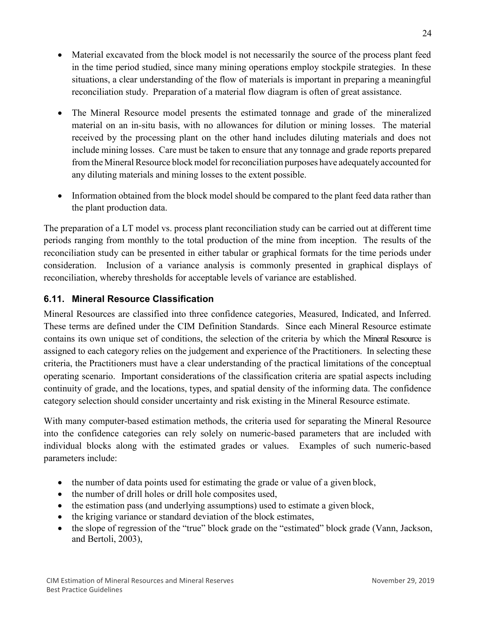- Material excavated from the block model is not necessarily the source of the process plant feed in the time period studied, since many mining operations employ stockpile strategies. In these situations, a clear understanding of the flow of materials is important in preparing a meaningful reconciliation study. Preparation of a material flow diagram is often of great assistance.
- The Mineral Resource model presents the estimated tonnage and grade of the mineralized material on an in-situ basis, with no allowances for dilution or mining losses. The material received by the processing plant on the other hand includes diluting materials and does not include mining losses. Care must be taken to ensure that any tonnage and grade reports prepared from the Mineral Resource block model for reconciliation purposes have adequately accounted for any diluting materials and mining losses to the extent possible.
- Information obtained from the block model should be compared to the plant feed data rather than the plant production data.

The preparation of a LT model vs. process plant reconciliation study can be carried out at different time periods ranging from monthly to the total production of the mine from inception. The results of the reconciliation study can be presented in either tabular or graphical formats for the time periods under consideration. Inclusion of a variance analysis is commonly presented in graphical displays of reconciliation, whereby thresholds for acceptable levels of variance are established.

# <span id="page-24-0"></span>**6.11. Mineral Resource Classification**

Mineral Resources are classified into three confidence categories, Measured, Indicated, and Inferred. These terms are defined under the CIM Definition Standards. Since each Mineral Resource estimate contains its own unique set of conditions, the selection of the criteria by which the Mineral Resource is assigned to each category relies on the judgement and experience of the Practitioners. In selecting these criteria, the Practitioners must have a clear understanding of the practical limitations of the conceptual operating scenario. Important considerations of the classification criteria are spatial aspects including continuity of grade, and the locations, types, and spatial density of the informing data. The confidence category selection should consider uncertainty and risk existing in the Mineral Resource estimate.

With many computer-based estimation methods, the criteria used for separating the Mineral Resource into the confidence categories can rely solely on numeric-based parameters that are included with individual blocks along with the estimated grades or values. Examples of such numeric-based parameters include:

- the number of data points used for estimating the grade or value of a given block,
- the number of drill holes or drill hole composites used,
- the estimation pass (and underlying assumptions) used to estimate a given block,
- the kriging variance or standard deviation of the block estimates,
- the slope of regression of the "true" block grade on the "estimated" block grade (Vann, Jackson, and Bertoli, 2003),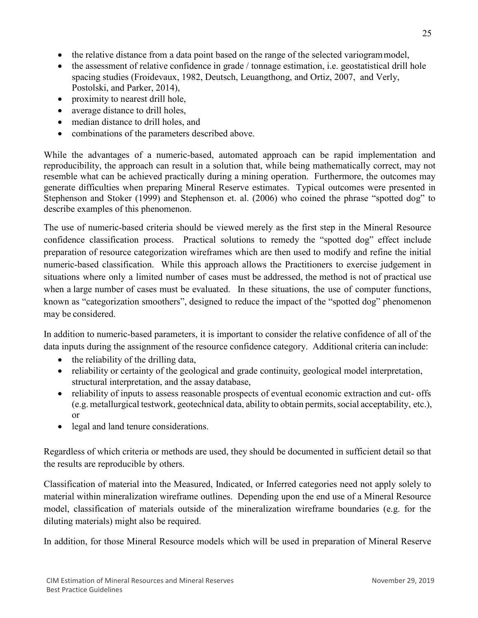- the relative distance from a data point based on the range of the selected variogrammodel,
- the assessment of relative confidence in grade / tonnage estimation, i.e. geostatistical drill hole spacing studies (Froidevaux, 1982, Deutsch, Leuangthong, and Ortiz, 2007, and Verly, Postolski, and Parker, 2014),
- proximity to nearest drill hole,
- average distance to drill holes,
- median distance to drill holes, and
- combinations of the parameters described above.

While the advantages of a numeric-based, automated approach can be rapid implementation and reproducibility, the approach can result in a solution that, while being mathematically correct, may not resemble what can be achieved practically during a mining operation. Furthermore, the outcomes may generate difficulties when preparing Mineral Reserve estimates. Typical outcomes were presented in Stephenson and Stoker (1999) and Stephenson et. al. (2006) who coined the phrase "spotted dog" to describe examples of this phenomenon.

The use of numeric-based criteria should be viewed merely as the first step in the Mineral Resource confidence classification process. Practical solutions to remedy the "spotted dog" effect include preparation of resource categorization wireframes which are then used to modify and refine the initial numeric-based classification. While this approach allows the Practitioners to exercise judgement in situations where only a limited number of cases must be addressed, the method is not of practical use when a large number of cases must be evaluated. In these situations, the use of computer functions, known as "categorization smoothers", designed to reduce the impact of the "spotted dog" phenomenon may be considered.

In addition to numeric-based parameters, it is important to consider the relative confidence of all of the data inputs during the assignment of the resource confidence category. Additional criteria can include:

- the reliability of the drilling data,
- reliability or certainty of the geological and grade continuity, geological model interpretation, structural interpretation, and the assay database,
- reliability of inputs to assess reasonable prospects of eventual economic extraction and cut- offs (e.g. metallurgical testwork, geotechnical data, ability to obtain permits,social acceptability, etc.), or
- legal and land tenure considerations.

Regardless of which criteria or methods are used, they should be documented in sufficient detail so that the results are reproducible by others.

Classification of material into the Measured, Indicated, or Inferred categories need not apply solely to material within mineralization wireframe outlines. Depending upon the end use of a Mineral Resource model, classification of materials outside of the mineralization wireframe boundaries (e.g. for the diluting materials) might also be required.

In addition, for those Mineral Resource models which will be used in preparation of Mineral Reserve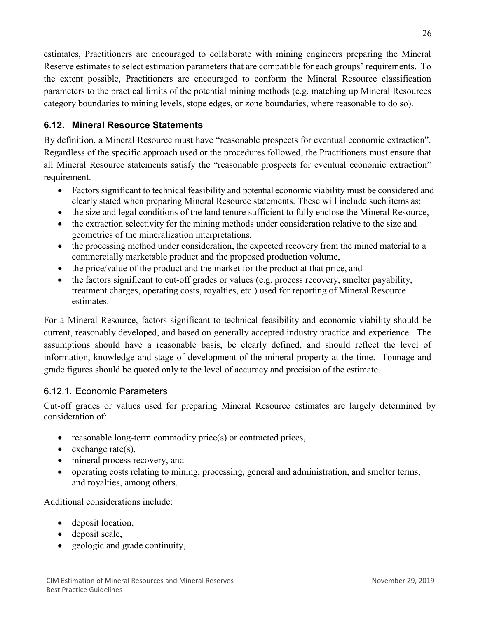estimates, Practitioners are encouraged to collaborate with mining engineers preparing the Mineral Reserve estimates to select estimation parameters that are compatible for each groups' requirements. To the extent possible, Practitioners are encouraged to conform the Mineral Resource classification parameters to the practical limits of the potential mining methods (e.g. matching up Mineral Resources category boundaries to mining levels, stope edges, or zone boundaries, where reasonable to do so).

# <span id="page-26-0"></span>**6.12. Mineral Resource Statements**

By definition, a Mineral Resource must have "reasonable prospects for eventual economic extraction". Regardless of the specific approach used or the procedures followed, the Practitioners must ensure that all Mineral Resource statements satisfy the "reasonable prospects for eventual economic extraction" requirement.

- Factors significant to technical feasibility and potential economic viability must be considered and clearly stated when preparing Mineral Resource statements. These will include such items as:
- the size and legal conditions of the land tenure sufficient to fully enclose the Mineral Resource,
- the extraction selectivity for the mining methods under consideration relative to the size and geometries of the mineralization interpretations,
- the processing method under consideration, the expected recovery from the mined material to a commercially marketable product and the proposed production volume,
- the price/value of the product and the market for the product at that price, and
- the factors significant to cut-off grades or values (e.g. process recovery, smelter payability, treatment charges, operating costs, royalties, etc.) used for reporting of Mineral Resource estimates.

For a Mineral Resource, factors significant to technical feasibility and economic viability should be current, reasonably developed, and based on generally accepted industry practice and experience. The assumptions should have a reasonable basis, be clearly defined, and should reflect the level of information, knowledge and stage of development of the mineral property at the time. Tonnage and grade figures should be quoted only to the level of accuracy and precision of the estimate.

# <span id="page-26-1"></span>6.12.1. Economic Parameters

Cut-off grades or values used for preparing Mineral Resource estimates are largely determined by consideration of:

- reasonable long-term commodity price(s) or contracted prices,
- exchange rate(s),
- mineral process recovery, and
- operating costs relating to mining, processing, general and administration, and smelter terms, and royalties, among others.

Additional considerations include:

- deposit location,
- deposit scale,
- geologic and grade continuity,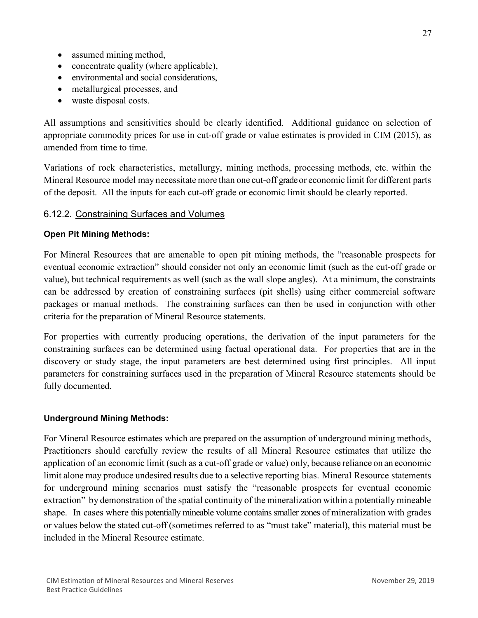- assumed mining method,
- concentrate quality (where applicable),
- environmental and social considerations,
- metallurgical processes, and
- waste disposal costs.

All assumptions and sensitivities should be clearly identified. Additional guidance on selection of appropriate commodity prices for use in cut-off grade or value estimates is provided in CIM (2015), as amended from time to time.

Variations of rock characteristics, metallurgy, mining methods, processing methods, etc. within the Mineral Resource model may necessitate more than one cut-off grade or economic limit for different parts of the deposit. All the inputs for each cut-off grade or economic limit should be clearly reported.

## <span id="page-27-0"></span>6.12.2. Constraining Surfaces and Volumes

#### **Open Pit Mining Methods:**

For Mineral Resources that are amenable to open pit mining methods, the "reasonable prospects for eventual economic extraction" should consider not only an economic limit (such as the cut-off grade or value), but technical requirements as well (such as the wall slope angles). At a minimum, the constraints can be addressed by creation of constraining surfaces (pit shells) using either commercial software packages or manual methods. The constraining surfaces can then be used in conjunction with other criteria for the preparation of Mineral Resource statements.

For properties with currently producing operations, the derivation of the input parameters for the constraining surfaces can be determined using factual operational data. For properties that are in the discovery or study stage, the input parameters are best determined using first principles. All input parameters for constraining surfaces used in the preparation of Mineral Resource statements should be fully documented.

#### **Underground Mining Methods:**

For Mineral Resource estimates which are prepared on the assumption of underground mining methods, Practitioners should carefully review the results of all Mineral Resource estimates that utilize the application of an economic limit (such as a cut-off grade or value) only, because reliance on an economic limit alone may produce undesired results due to a selective reporting bias. Mineral Resource statements for underground mining scenarios must satisfy the "reasonable prospects for eventual economic extraction" by demonstration of the spatial continuity of the mineralization within a potentially mineable shape. In cases where this potentially mineable volume contains smaller zones of mineralization with grades or values below the stated cut-off (sometimes referred to as "must take" material), this material must be included in the Mineral Resource estimate.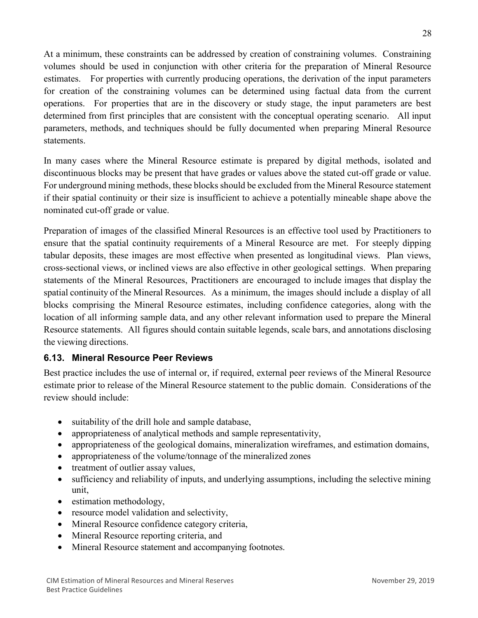At a minimum, these constraints can be addressed by creation of constraining volumes. Constraining volumes should be used in conjunction with other criteria for the preparation of Mineral Resource estimates. For properties with currently producing operations, the derivation of the input parameters for creation of the constraining volumes can be determined using factual data from the current operations. For properties that are in the discovery or study stage, the input parameters are best determined from first principles that are consistent with the conceptual operating scenario. All input parameters, methods, and techniques should be fully documented when preparing Mineral Resource statements.

In many cases where the Mineral Resource estimate is prepared by digital methods, isolated and discontinuous blocks may be present that have grades or values above the stated cut-off grade or value. For underground mining methods, these blocks should be excluded from the Mineral Resource statement if their spatial continuity or their size is insufficient to achieve a potentially mineable shape above the nominated cut-off grade or value.

Preparation of images of the classified Mineral Resources is an effective tool used by Practitioners to ensure that the spatial continuity requirements of a Mineral Resource are met. For steeply dipping tabular deposits, these images are most effective when presented as longitudinal views. Plan views, cross-sectional views, or inclined views are also effective in other geological settings. When preparing statements of the Mineral Resources, Practitioners are encouraged to include images that display the spatial continuity of the Mineral Resources. As a minimum, the images should include a display of all blocks comprising the Mineral Resource estimates, including confidence categories, along with the location of all informing sample data, and any other relevant information used to prepare the Mineral Resource statements. All figures should contain suitable legends, scale bars, and annotations disclosing the viewing directions.

# <span id="page-28-0"></span>**6.13. Mineral Resource Peer Reviews**

Best practice includes the use of internal or, if required, external peer reviews of the Mineral Resource estimate prior to release of the Mineral Resource statement to the public domain. Considerations of the review should include:

- suitability of the drill hole and sample database,
- appropriateness of analytical methods and sample representativity,
- appropriateness of the geological domains, mineralization wireframes, and estimation domains,
- appropriateness of the volume/tonnage of the mineralized zones
- treatment of outlier assay values,
- sufficiency and reliability of inputs, and underlying assumptions, including the selective mining unit,
- estimation methodology,
- resource model validation and selectivity,
- Mineral Resource confidence category criteria,
- Mineral Resource reporting criteria, and
- Mineral Resource statement and accompanying footnotes.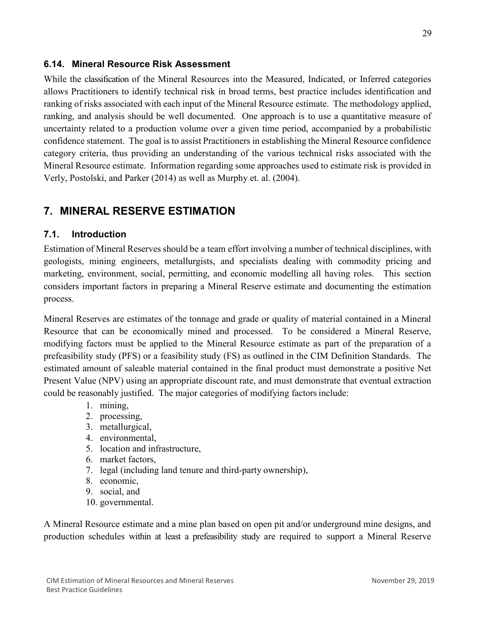#### <span id="page-29-0"></span>**6.14. Mineral Resource Risk Assessment**

While the classification of the Mineral Resources into the Measured, Indicated, or Inferred categories allows Practitioners to identify technical risk in broad terms, best practice includes identification and ranking of risks associated with each input of the Mineral Resource estimate. The methodology applied, ranking, and analysis should be well documented. One approach is to use a quantitative measure of uncertainty related to a production volume over a given time period, accompanied by a probabilistic confidence statement. The goal is to assist Practitioners in establishing the Mineral Resource confidence category criteria, thus providing an understanding of the various technical risks associated with the Mineral Resource estimate. Information regarding some approaches used to estimate risk is provided in Verly, Postolski, and Parker (2014) as well as Murphy et. al. (2004).

# <span id="page-29-1"></span>**7. MINERAL RESERVE ESTIMATION**

#### <span id="page-29-2"></span>**7.1. Introduction**

Estimation of Mineral Reserves should be a team effort involving a number of technical disciplines, with geologists, mining engineers, metallurgists, and specialists dealing with commodity pricing and marketing, environment, social, permitting, and economic modelling all having roles. This section considers important factors in preparing a Mineral Reserve estimate and documenting the estimation process.

Mineral Reserves are estimates of the tonnage and grade or quality of material contained in a Mineral Resource that can be economically mined and processed. To be considered a Mineral Reserve, modifying factors must be applied to the Mineral Resource estimate as part of the preparation of a prefeasibility study (PFS) or a feasibility study (FS) as outlined in the CIM Definition Standards. The estimated amount of saleable material contained in the final product must demonstrate a positive Net Present Value (NPV) using an appropriate discount rate, and must demonstrate that eventual extraction could be reasonably justified. The major categories of modifying factorsinclude:

- 1. mining,
- 2. processing,
- 3. metallurgical,
- 4. environmental,
- 5. location and infrastructure,
- 6. market factors,
- 7. legal (including land tenure and third-party ownership),
- 8. economic,
- 9. social, and
- 10. governmental.

A Mineral Resource estimate and a mine plan based on open pit and/or underground mine designs, and production schedules within at least a prefeasibility study are required to support a Mineral Reserve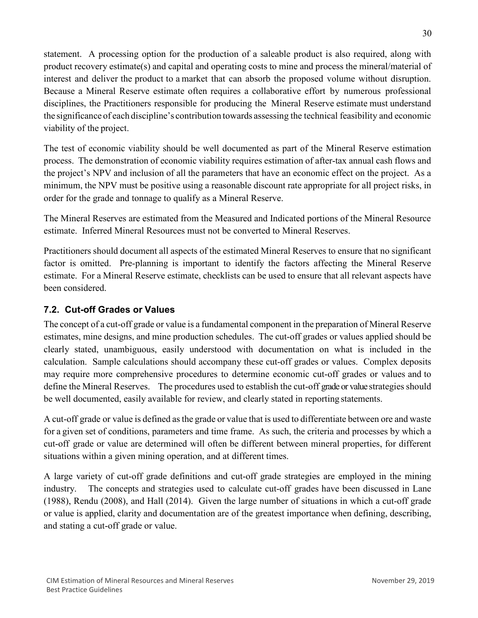statement. A processing option for the production of a saleable product is also required, along with product recovery estimate(s) and capital and operating costs to mine and process the mineral/material of interest and deliver the product to a market that can absorb the proposed volume without disruption. Because a Mineral Reserve estimate often requires a collaborative effort by numerous professional disciplines, the Practitioners responsible for producing the Mineral Reserve estimate must understand the significance of each discipline's contribution towards assessing the technical feasibility and economic viability of the project.

The test of economic viability should be well documented as part of the Mineral Reserve estimation process. The demonstration of economic viability requires estimation of after-tax annual cash flows and the project's NPV and inclusion of all the parameters that have an economic effect on the project. As a minimum, the NPV must be positive using a reasonable discount rate appropriate for all project risks, in order for the grade and tonnage to qualify as a Mineral Reserve.

The Mineral Reserves are estimated from the Measured and Indicated portions of the Mineral Resource estimate. Inferred Mineral Resources must not be converted to Mineral Reserves.

Practitioners should document all aspects of the estimated Mineral Reserves to ensure that no significant factor is omitted. Pre-planning is important to identify the factors affecting the Mineral Reserve estimate. For a Mineral Reserve estimate, checklists can be used to ensure that all relevant aspects have been considered.

# <span id="page-30-0"></span>**7.2. Cut-off Grades or Values**

The concept of a cut-off grade or value is a fundamental component in the preparation of Mineral Reserve estimates, mine designs, and mine production schedules. The cut-off grades or values applied should be clearly stated, unambiguous, easily understood with documentation on what is included in the calculation. Sample calculations should accompany these cut-off grades or values. Complex deposits may require more comprehensive procedures to determine economic cut-off grades or values and to define the Mineral Reserves. The procedures used to establish the cut-off grade or value strategies should be well documented, easily available for review, and clearly stated in reporting statements.

A cut-off grade or value is defined asthe grade or value that is used to differentiate between ore and waste for a given set of conditions, parameters and time frame. As such, the criteria and processes by which a cut-off grade or value are determined will often be different between mineral properties, for different situations within a given mining operation, and at different times.

A large variety of cut-off grade definitions and cut-off grade strategies are employed in the mining industry. The concepts and strategies used to calculate cut-off grades have been discussed in Lane (1988), Rendu (2008), and Hall (2014). Given the large number of situations in which a cut-off grade or value is applied, clarity and documentation are of the greatest importance when defining, describing, and stating a cut-off grade or value.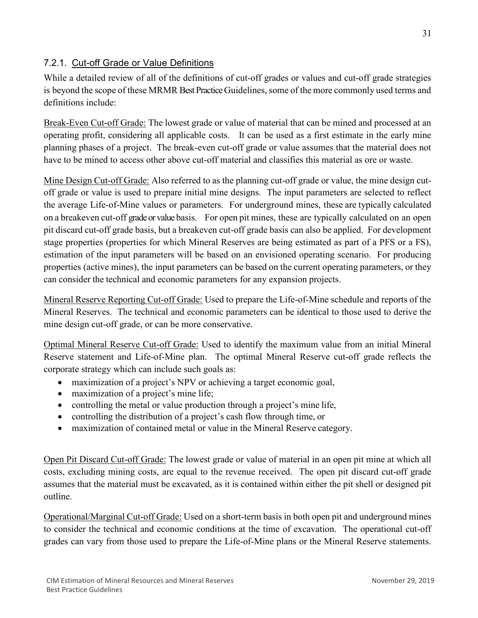# <span id="page-31-0"></span>7.2.1. Cut-off Grade or Value Definitions

While a detailed review of all of the definitions of cut-off grades or values and cut-off grade strategies is beyond the scope of these MRMR Best Practice Guidelines, some of the more commonly used terms and definitions include:

Break-Even Cut-off Grade: The lowest grade or value of material that can be mined and processed at an operating profit, considering all applicable costs. It can be used as a first estimate in the early mine planning phases of a project. The break-even cut-off grade or value assumes that the material does not have to be mined to access other above cut-off material and classifies this material as ore or waste.

Mine Design Cut-off Grade: Also referred to as the planning cut-off grade or value, the mine design cutoff grade or value is used to prepare initial mine designs. The input parameters are selected to reflect the average Life-of-Mine values or parameters. For underground mines, these are typically calculated on a breakeven cut-off grade or value basis. For open pit mines, these are typically calculated on an open pit discard cut-off grade basis, but a breakeven cut-off grade basis can also be applied. For development stage properties (properties for which Mineral Reserves are being estimated as part of a PFS or a FS), estimation of the input parameters will be based on an envisioned operating scenario. For producing properties (active mines), the input parameters can be based on the current operating parameters, or they can consider the technical and economic parameters for any expansion projects.

Mineral Reserve Reporting Cut-off Grade: Used to prepare the Life-of-Mine schedule and reports of the Mineral Reserves. The technical and economic parameters can be identical to those used to derive the mine design cut-off grade, or can be more conservative.

Optimal Mineral Reserve Cut-off Grade: Used to identify the maximum value from an initial Mineral Reserve statement and Life-of-Mine plan. The optimal Mineral Reserve cut-off grade reflects the corporate strategy which can include such goals as:

- maximization of a project's NPV or achieving a target economic goal,
- maximization of a project's mine life;
- controlling the metal or value production through a project's mine life,
- controlling the distribution of a project's cash flow through time, or
- maximization of contained metal or value in the Mineral Reserve category.

Open Pit Discard Cut-off Grade: The lowest grade or value of material in an open pit mine at which all costs, excluding mining costs, are equal to the revenue received. The open pit discard cut-off grade assumes that the material must be excavated, as it is contained within either the pit shell or designed pit outline.

Operational/Marginal Cut-off Grade: Used on a short-term basis in both open pit and underground mines to consider the technical and economic conditions at the time of excavation. The operational cut-off grades can vary from those used to prepare the Life-of-Mine plans or the Mineral Reserve statements.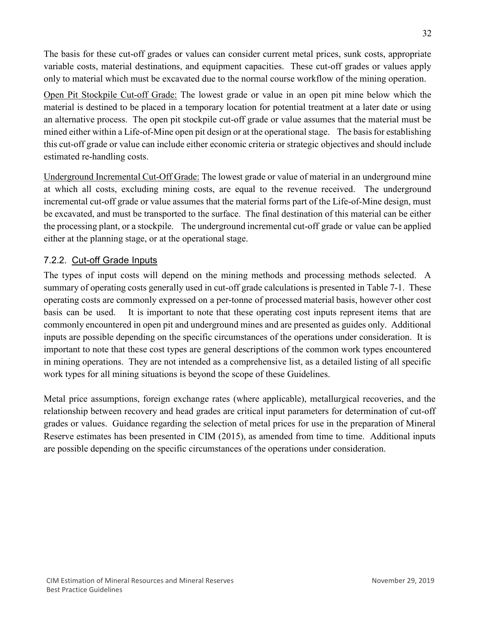The basis for these cut-off grades or values can consider current metal prices, sunk costs, appropriate variable costs, material destinations, and equipment capacities. These cut-off grades or values apply only to material which must be excavated due to the normal course workflow of the mining operation.

Open Pit Stockpile Cut-off Grade: The lowest grade or value in an open pit mine below which the material is destined to be placed in a temporary location for potential treatment at a later date or using an alternative process. The open pit stockpile cut-off grade or value assumes that the material must be mined either within a Life-of-Mine open pit design or at the operational stage. The basis for establishing this cut-off grade or value can include either economic criteria or strategic objectives and should include estimated re-handling costs.

Underground Incremental Cut-Off Grade: The lowest grade or value of material in an underground mine at which all costs, excluding mining costs, are equal to the revenue received. The underground incremental cut-off grade or value assumes that the material forms part of the Life-of-Mine design, must be excavated, and must be transported to the surface. The final destination of this material can be either the processing plant, or a stockpile. The underground incremental cut-off grade or value can be applied either at the planning stage, or at the operational stage.

# <span id="page-32-0"></span>7.2.2. Cut-off Grade Inputs

The types of input costs will depend on the mining methods and processing methods selected. A summary of operating costs generally used in cut-off grade calculations is presented in Table 7-1. These operating costs are commonly expressed on a per-tonne of processed material basis, however other cost basis can be used. It is important to note that these operating cost inputs represent items that are commonly encountered in open pit and underground mines and are presented as guides only. Additional inputs are possible depending on the specific circumstances of the operations under consideration. It is important to note that these cost types are general descriptions of the common work types encountered in mining operations. They are not intended as a comprehensive list, as a detailed listing of all specific work types for all mining situations is beyond the scope of these Guidelines.

Metal price assumptions, foreign exchange rates (where applicable), metallurgical recoveries, and the relationship between recovery and head grades are critical input parameters for determination of cut-off grades or values. Guidance regarding the selection of metal prices for use in the preparation of Mineral Reserve estimates has been presented in CIM (2015), as amended from time to time. Additional inputs are possible depending on the specific circumstances of the operations under consideration.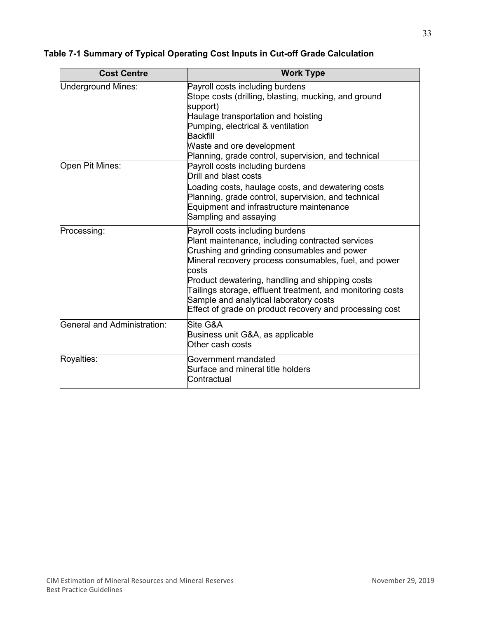| <b>Cost Centre</b>          | <b>Work Type</b>                                                                                                                                                                                                                                                                                                                                                                                                           |
|-----------------------------|----------------------------------------------------------------------------------------------------------------------------------------------------------------------------------------------------------------------------------------------------------------------------------------------------------------------------------------------------------------------------------------------------------------------------|
| <b>Underground Mines:</b>   | Payroll costs including burdens<br>Stope costs (drilling, blasting, mucking, and ground<br>support)<br>Haulage transportation and hoisting<br>Pumping, electrical & ventilation<br><b>Backfill</b><br>Waste and ore development<br>Planning, grade control, supervision, and technical                                                                                                                                     |
| Open Pit Mines:             | Payroll costs including burdens<br>Drill and blast costs<br>oading costs, haulage costs, and dewatering costs<br>Planning, grade control, supervision, and technical<br>Equipment and infrastructure maintenance<br>Sampling and assaying                                                                                                                                                                                  |
| Processing:                 | Payroll costs including burdens<br>Plant maintenance, including contracted services<br>Crushing and grinding consumables and power<br>Mineral recovery process consumables, fuel, and power<br>costs<br>Product dewatering, handling and shipping costs<br>Tailings storage, effluent treatment, and monitoring costs<br>Sample and analytical laboratory costs<br>Effect of grade on product recovery and processing cost |
| General and Administration: | Site G&A<br>Business unit G&A, as applicable<br>Other cash costs                                                                                                                                                                                                                                                                                                                                                           |
| Royalties:                  | Government mandated<br>Surface and mineral title holders<br>Contractual                                                                                                                                                                                                                                                                                                                                                    |

# **Table 7-1 Summary of Typical Operating Cost Inputs in Cut-off Grade Calculation**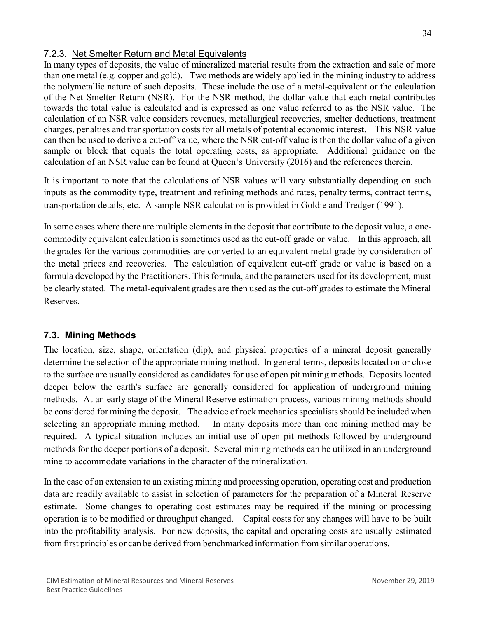## <span id="page-34-0"></span>7.2.3. Net Smelter Return and Metal Equivalents

In many types of deposits, the value of mineralized material results from the extraction and sale of more than one metal (e.g. copper and gold). Two methods are widely applied in the mining industry to address the polymetallic nature of such deposits. These include the use of a metal-equivalent or the calculation of the Net Smelter Return (NSR). For the NSR method, the dollar value that each metal contributes towards the total value is calculated and is expressed as one value referred to as the NSR value. The calculation of an NSR value considers revenues, metallurgical recoveries, smelter deductions, treatment charges, penalties and transportation costs for all metals of potential economic interest. This NSR value can then be used to derive a cut-off value, where the NSR cut-off value is then the dollar value of a given sample or block that equals the total operating costs, as appropriate. Additional guidance on the calculation of an NSR value can be found at Queen's University (2016) and the references therein.

It is important to note that the calculations of NSR values will vary substantially depending on such inputs as the commodity type, treatment and refining methods and rates, penalty terms, contract terms, transportation details, etc. A sample NSR calculation is provided in Goldie and Tredger (1991).

In some cases where there are multiple elements in the deposit that contribute to the deposit value, a onecommodity equivalent calculation is sometimes used as the cut-off grade or value. In this approach, all the grades for the various commodities are converted to an equivalent metal grade by consideration of the metal prices and recoveries. The calculation of equivalent cut-off grade or value is based on a formula developed by the Practitioners. This formula, and the parameters used for its development, must be clearly stated. The metal-equivalent grades are then used as the cut-off grades to estimate the Mineral Reserves.

# <span id="page-34-1"></span>**7.3. Mining Methods**

The location, size, shape, orientation (dip), and physical properties of a mineral deposit generally determine the selection of the appropriate mining method. In general terms, deposits located on or close to the surface are usually considered as candidates for use of open pit mining methods. Deposits located deeper below the earth's surface are generally considered for application of underground mining methods. At an early stage of the Mineral Reserve estimation process, various mining methods should be considered for mining the deposit. The advice of rock mechanics specialists should be included when selecting an appropriate mining method. In many deposits more than one mining method may be required. A typical situation includes an initial use of open pit methods followed by underground methods for the deeper portions of a deposit. Several mining methods can be utilized in an underground mine to accommodate variations in the character of the mineralization.

In the case of an extension to an existing mining and processing operation, operating cost and production data are readily available to assist in selection of parameters for the preparation of a Mineral Reserve estimate. Some changes to operating cost estimates may be required if the mining or processing operation is to be modified or throughput changed. Capital costs for any changes will have to be built into the profitability analysis. For new deposits, the capital and operating costs are usually estimated from first principles or can be derived from benchmarked information from similar operations.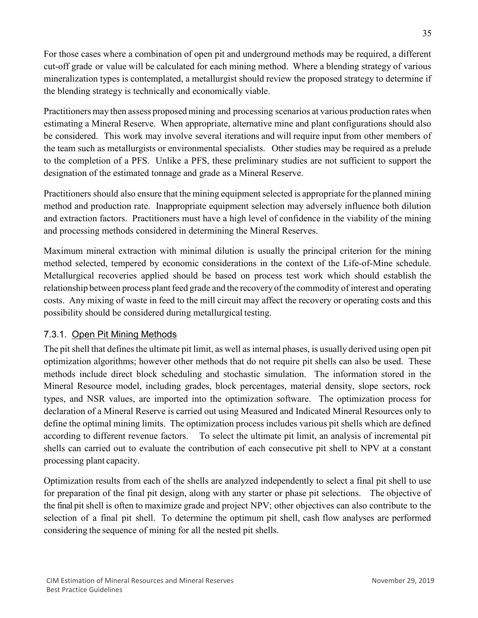For those cases where a combination of open pit and underground methods may be required, a different cut-off grade or value will be calculated for each mining method. Where a blending strategy of various mineralization types is contemplated, a metallurgist should review the proposed strategy to determine if the blending strategy is technically and economically viable.

Practitioners may then assess proposed mining and processing scenarios at various production rates when estimating a Mineral Reserve. When appropriate, alternative mine and plant configurations should also be considered. This work may involve several iterations and will require input from other members of the team such as metallurgists or environmental specialists. Other studies may be required as a prelude to the completion of a PFS. Unlike a PFS, these preliminary studies are not sufficient to support the designation of the estimated tonnage and grade as a Mineral Reserve.

Practitioners should also ensure that the mining equipment selected is appropriate for the planned mining method and production rate. Inappropriate equipment selection may adversely influence both dilution and extraction factors. Practitioners must have a high level of confidence in the viability of the mining and processing methods considered in determining the Mineral Reserves.

Maximum mineral extraction with minimal dilution is usually the principal criterion for the mining method selected, tempered by economic considerations in the context of the Life-of-Mine schedule. Metallurgical recoveries applied should be based on process test work which should establish the relationship between process plantfeed grade and the recovery of the commodity of interest and operating costs. Any mixing of waste in feed to the mill circuit may affect the recovery or operating costs and this possibility should be considered during metallurgical testing.

# <span id="page-35-0"></span>7.3.1. Open Pit Mining Methods

The pit shell that defines the ultimate pit limit, as well as internal phases, is usually derived using open pit optimization algorithms; however other methods that do not require pit shells can also be used. These methods include direct block scheduling and stochastic simulation. The information stored in the Mineral Resource model, including grades, block percentages, material density, slope sectors, rock types, and NSR values, are imported into the optimization software. The optimization process for declaration of a Mineral Reserve is carried out using Measured and Indicated Mineral Resources only to define the optimal mining limits. The optimization process includes various pit shells which are defined according to different revenue factors. To select the ultimate pit limit, an analysis of incremental pit shells can carried out to evaluate the contribution of each consecutive pit shell to NPV at a constant processing plant capacity.

Optimization results from each of the shells are analyzed independently to select a final pit shell to use for preparation of the final pit design, along with any starter or phase pit selections. The objective of the final pit shell is often to maximize grade and project NPV; other objectives can also contribute to the selection of a final pit shell. To determine the optimum pit shell, cash flow analyses are performed considering the sequence of mining for all the nested pit shells.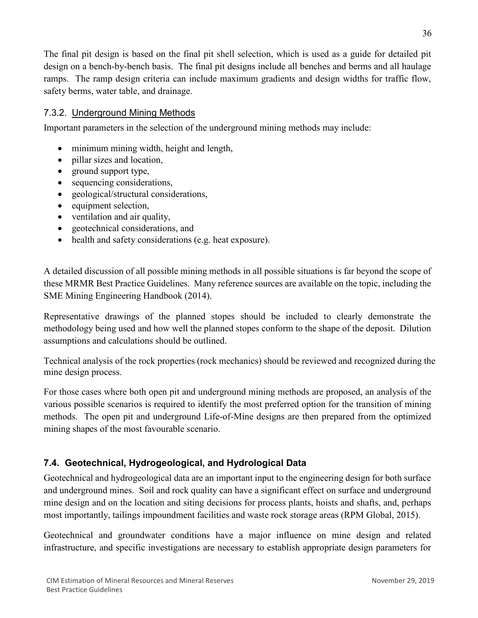The final pit design is based on the final pit shell selection, which is used as a guide for detailed pit design on a bench-by-bench basis. The final pit designs include all benches and berms and all haulage ramps. The ramp design criteria can include maximum gradients and design widths for traffic flow, safety berms, water table, and drainage.

## 7.3.2. Underground Mining Methods

Important parameters in the selection of the underground mining methods may include:

- minimum mining width, height and length,
- pillar sizes and location,
- ground support type,
- sequencing considerations,
- geological/structural considerations,
- equipment selection,
- ventilation and air quality,
- geotechnical considerations, and
- health and safety considerations (e.g. heat exposure).

A detailed discussion of all possible mining methods in all possible situations is far beyond the scope of these MRMR Best Practice Guidelines. Many reference sources are available on the topic, including the SME Mining Engineering Handbook (2014).

Representative drawings of the planned stopes should be included to clearly demonstrate the methodology being used and how well the planned stopes conform to the shape of the deposit. Dilution assumptions and calculations should be outlined.

Technical analysis of the rock properties (rock mechanics) should be reviewed and recognized during the mine design process.

For those cases where both open pit and underground mining methods are proposed, an analysis of the various possible scenarios is required to identify the most preferred option for the transition of mining methods. The open pit and underground Life-of-Mine designs are then prepared from the optimized mining shapes of the most favourable scenario.

## **7.4. Geotechnical, Hydrogeological, and Hydrological Data**

Geotechnical and hydrogeological data are an important input to the engineering design for both surface and underground mines. Soil and rock quality can have a significant effect on surface and underground mine design and on the location and siting decisions for process plants, hoists and shafts, and, perhaps most importantly, tailings impoundment facilities and waste rock storage areas (RPM Global, 2015).

Geotechnical and groundwater conditions have a major influence on mine design and related infrastructure, and specific investigations are necessary to establish appropriate design parameters for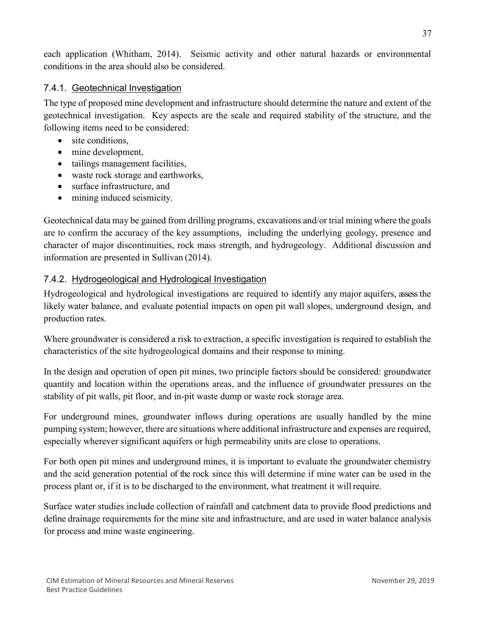each application (Whitham, 2014). Seismic activity and other natural hazards or environmental conditions in the area should also be considered.

## 7.4.1. Geotechnical Investigation

The type of proposed mine development and infrastructure should determine the nature and extent of the geotechnical investigation. Key aspects are the scale and required stability of the structure, and the following items need to be considered:

- site conditions,
- mine development,
- tailings management facilities,
- waste rock storage and earthworks,
- surface infrastructure, and
- mining induced seismicity.

Geotechnical data may be gained from drilling programs, excavations and/or trial mining where the goals are to confirm the accuracy of the key assumptions, including the underlying geology, presence and character of major discontinuities, rock mass strength, and hydrogeology. Additional discussion and information are presented in Sullivan (2014).

# 7.4.2. Hydrogeological and Hydrological Investigation

Hydrogeological and hydrological investigations are required to identify any major aquifers, assess the likely water balance, and evaluate potential impacts on open pit wall slopes, underground design, and production rates.

Where groundwater is considered a risk to extraction, a specific investigation is required to establish the characteristics of the site hydrogeological domains and their response to mining.

In the design and operation of open pit mines, two principle factors should be considered: groundwater quantity and location within the operations areas, and the influence of groundwater pressures on the stability of pit walls, pit floor, and in-pit waste dump or waste rock storage area.

For underground mines, groundwater inflows during operations are usually handled by the mine pumping system; however, there are situations where additional infrastructure and expenses are required, especially wherever significant aquifers or high permeability units are close to operations.

For both open pit mines and underground mines, it is important to evaluate the groundwater chemistry and the acid generation potential of the rock since this will determine if mine water can be used in the process plant or, if it is to be discharged to the environment, what treatment it willrequire.

Surface water studies include collection of rainfall and catchment data to provide flood predictions and define drainage requirements for the mine site and infrastructure, and are used in water balance analysis for process and mine waste engineering.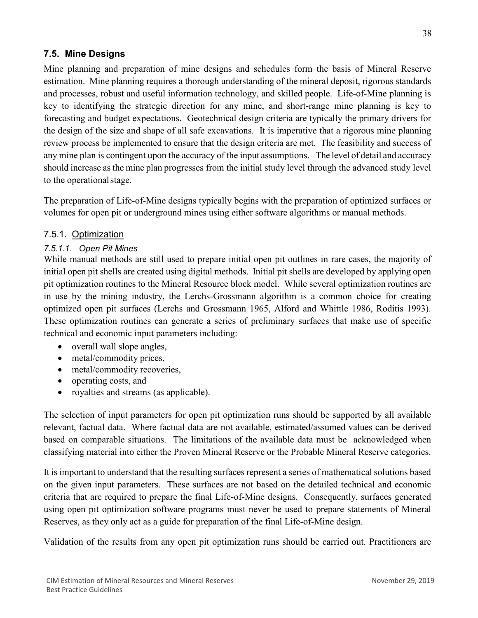## **7.5. Mine Designs**

Mine planning and preparation of mine designs and schedules form the basis of Mineral Reserve estimation. Mine planning requires a thorough understanding of the mineral deposit, rigorous standards and processes, robust and useful information technology, and skilled people. Life-of-Mine planning is key to identifying the strategic direction for any mine, and short-range mine planning is key to forecasting and budget expectations. Geotechnical design criteria are typically the primary drivers for the design of the size and shape of all safe excavations. It is imperative that a rigorous mine planning review process be implemented to ensure that the design criteria are met. The feasibility and success of any mine plan is contingent upon the accuracy of the input assumptions. The level of detail and accuracy should increase as the mine plan progresses from the initial study level through the advanced study level to the operationalstage.

The preparation of Life-of-Mine designs typically begins with the preparation of optimized surfaces or volumes for open pit or underground mines using either software algorithms or manual methods.

## 7.5.1. Optimization

#### *7.5.1.1. Open Pit Mines*

While manual methods are still used to prepare initial open pit outlines in rare cases, the majority of initial open pit shells are created using digital methods. Initial pit shells are developed by applying open pit optimization routines to the Mineral Resource block model. While several optimization routines are in use by the mining industry, the Lerchs-Grossmann algorithm is a common choice for creating optimized open pit surfaces (Lerchs and Grossmann 1965, Alford and Whittle 1986, Roditis 1993). These optimization routines can generate a series of preliminary surfaces that make use of specific technical and economic input parameters including:

- overall wall slope angles,
- metal/commodity prices,
- metal/commodity recoveries,
- operating costs, and
- royalties and streams (as applicable).

The selection of input parameters for open pit optimization runs should be supported by all available relevant, factual data. Where factual data are not available, estimated/assumed values can be derived based on comparable situations. The limitations of the available data must be acknowledged when classifying material into either the Proven Mineral Reserve or the Probable Mineral Reserve categories.

It is important to understand that the resulting surfaces represent a series of mathematical solutions based on the given input parameters. These surfaces are not based on the detailed technical and economic criteria that are required to prepare the final Life-of-Mine designs. Consequently, surfaces generated using open pit optimization software programs must never be used to prepare statements of Mineral Reserves, as they only act as a guide for preparation of the final Life-of-Mine design.

Validation of the results from any open pit optimization runs should be carried out. Practitioners are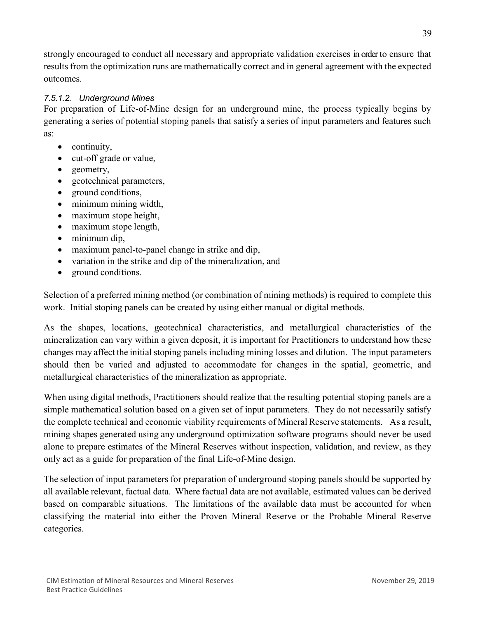strongly encouraged to conduct all necessary and appropriate validation exercises in order to ensure that results from the optimization runs are mathematically correct and in general agreement with the expected outcomes.

## *7.5.1.2. Underground Mines*

For preparation of Life-of-Mine design for an underground mine, the process typically begins by generating a series of potential stoping panels that satisfy a series of input parameters and features such as:

- continuity,
- cut-off grade or value,
- geometry,
- geotechnical parameters,
- ground conditions,
- minimum mining width,
- maximum stope height,
- maximum stope length,
- minimum dip,
- maximum panel-to-panel change in strike and dip,
- variation in the strike and dip of the mineralization, and
- ground conditions.

Selection of a preferred mining method (or combination of mining methods) is required to complete this work. Initial stoping panels can be created by using either manual or digital methods.

As the shapes, locations, geotechnical characteristics, and metallurgical characteristics of the mineralization can vary within a given deposit, it is important for Practitioners to understand how these changes may affect the initial stoping panels including mining losses and dilution. The input parameters should then be varied and adjusted to accommodate for changes in the spatial, geometric, and metallurgical characteristics of the mineralization as appropriate.

When using digital methods, Practitioners should realize that the resulting potential stoping panels are a simple mathematical solution based on a given set of input parameters. They do not necessarily satisfy the complete technical and economic viability requirements of Mineral Reserve statements. As a result, mining shapes generated using any underground optimization software programs should never be used alone to prepare estimates of the Mineral Reserves without inspection, validation, and review, as they only act as a guide for preparation of the final Life-of-Mine design.

The selection of input parameters for preparation of underground stoping panels should be supported by all available relevant, factual data. Where factual data are not available, estimated values can be derived based on comparable situations. The limitations of the available data must be accounted for when classifying the material into either the Proven Mineral Reserve or the Probable Mineral Reserve categories.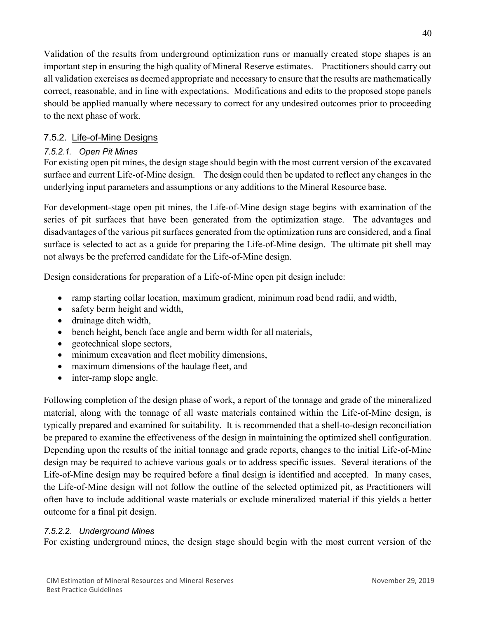Validation of the results from underground optimization runs or manually created stope shapes is an important step in ensuring the high quality of Mineral Reserve estimates. Practitioners should carry out all validation exercises as deemed appropriate and necessary to ensure that the results are mathematically correct, reasonable, and in line with expectations. Modifications and edits to the proposed stope panels should be applied manually where necessary to correct for any undesired outcomes prior to proceeding to the next phase of work.

## 7.5.2. Life-of-Mine Designs

## *7.5.2.1. Open Pit Mines*

For existing open pit mines, the design stage should begin with the most current version of the excavated surface and current Life-of-Mine design. The design could then be updated to reflect any changes in the underlying input parameters and assumptions or any additions to the Mineral Resource base.

For development-stage open pit mines, the Life-of-Mine design stage begins with examination of the series of pit surfaces that have been generated from the optimization stage. The advantages and disadvantages of the various pit surfaces generated from the optimization runs are considered, and a final surface is selected to act as a guide for preparing the Life-of-Mine design. The ultimate pit shell may not always be the preferred candidate for the Life-of-Mine design.

Design considerations for preparation of a Life-of-Mine open pit design include:

- ramp starting collar location, maximum gradient, minimum road bend radii, and width,
- safety berm height and width,
- drainage ditch width,
- bench height, bench face angle and berm width for all materials,
- geotechnical slope sectors,
- minimum excavation and fleet mobility dimensions,
- maximum dimensions of the haulage fleet, and
- inter-ramp slope angle.

Following completion of the design phase of work, a report of the tonnage and grade of the mineralized material, along with the tonnage of all waste materials contained within the Life-of-Mine design, is typically prepared and examined for suitability. It is recommended that a shell-to-design reconciliation be prepared to examine the effectiveness of the design in maintaining the optimized shell configuration. Depending upon the results of the initial tonnage and grade reports, changes to the initial Life-of-Mine design may be required to achieve various goals or to address specific issues. Several iterations of the Life-of-Mine design may be required before a final design is identified and accepted. In many cases, the Life-of-Mine design will not follow the outline of the selected optimized pit, as Practitioners will often have to include additional waste materials or exclude mineralized material if this yields a better outcome for a final pit design.

## *7.5.2.2. Underground Mines*

For existing underground mines, the design stage should begin with the most current version of the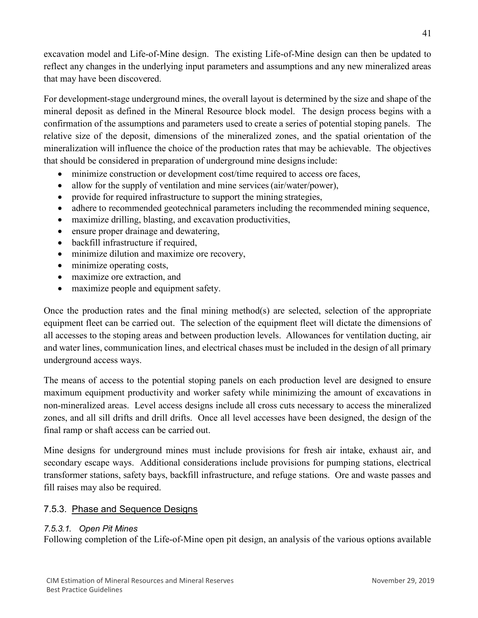excavation model and Life-of-Mine design. The existing Life-of-Mine design can then be updated to reflect any changes in the underlying input parameters and assumptions and any new mineralized areas that may have been discovered.

For development-stage underground mines, the overall layout is determined by the size and shape of the mineral deposit as defined in the Mineral Resource block model. The design process begins with a confirmation of the assumptions and parameters used to create a series of potential stoping panels. The relative size of the deposit, dimensions of the mineralized zones, and the spatial orientation of the mineralization will influence the choice of the production rates that may be achievable. The objectives that should be considered in preparation of underground mine designsinclude:

- minimize construction or development cost/time required to access ore faces,
- allow for the supply of ventilation and mine services (air/water/power),
- provide for required infrastructure to support the mining strategies,
- adhere to recommended geotechnical parameters including the recommended mining sequence,
- maximize drilling, blasting, and excavation productivities,
- ensure proper drainage and dewatering,
- backfill infrastructure if required,
- minimize dilution and maximize ore recovery,
- minimize operating costs,
- maximize ore extraction, and
- maximize people and equipment safety.

Once the production rates and the final mining method(s) are selected, selection of the appropriate equipment fleet can be carried out. The selection of the equipment fleet will dictate the dimensions of all accesses to the stoping areas and between production levels. Allowances for ventilation ducting, air and water lines, communication lines, and electrical chases must be included in the design of all primary underground access ways.

The means of access to the potential stoping panels on each production level are designed to ensure maximum equipment productivity and worker safety while minimizing the amount of excavations in non-mineralized areas. Level access designs include all cross cuts necessary to access the mineralized zones, and all sill drifts and drill drifts. Once all level accesses have been designed, the design of the final ramp or shaft access can be carried out.

Mine designs for underground mines must include provisions for fresh air intake, exhaust air, and secondary escape ways. Additional considerations include provisions for pumping stations, electrical transformer stations, safety bays, backfill infrastructure, and refuge stations. Ore and waste passes and fill raises may also be required.

## 7.5.3. Phase and Sequence Designs

## *7.5.3.1. Open Pit Mines*

Following completion of the Life-of-Mine open pit design, an analysis of the various options available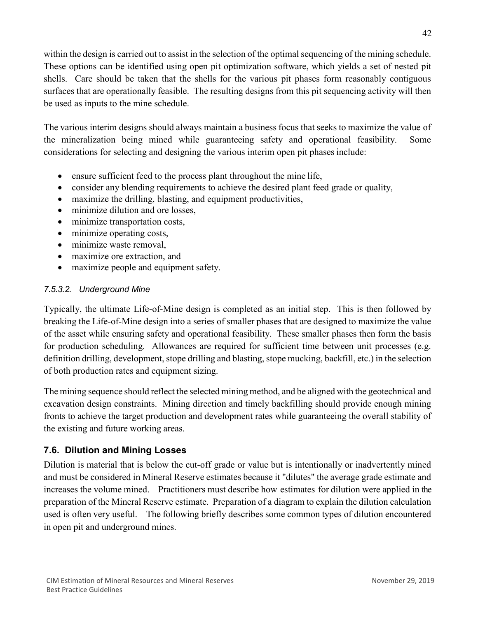within the design is carried out to assist in the selection of the optimal sequencing of the mining schedule. These options can be identified using open pit optimization software, which yields a set of nested pit shells. Care should be taken that the shells for the various pit phases form reasonably contiguous surfaces that are operationally feasible. The resulting designs from this pit sequencing activity will then be used as inputs to the mine schedule.

The various interim designs should always maintain a business focus that seeks to maximize the value of the mineralization being mined while guaranteeing safety and operational feasibility. Some considerations for selecting and designing the various interim open pit phases include:

- ensure sufficient feed to the process plant throughout the mine life,
- consider any blending requirements to achieve the desired plant feed grade or quality,
- maximize the drilling, blasting, and equipment productivities,
- minimize dilution and ore losses,
- minimize transportation costs,
- minimize operating costs,
- minimize waste removal,
- maximize ore extraction, and
- maximize people and equipment safety.

#### *7.5.3.2. Underground Mine*

Typically, the ultimate Life-of-Mine design is completed as an initial step. This is then followed by breaking the Life-of-Mine design into a series of smaller phases that are designed to maximize the value of the asset while ensuring safety and operational feasibility. These smaller phases then form the basis for production scheduling. Allowances are required for sufficient time between unit processes (e.g. definition drilling, development, stope drilling and blasting, stope mucking, backfill, etc.) in the selection of both production rates and equipment sizing.

The mining sequence should reflect the selected mining method, and be aligned with the geotechnical and excavation design constraints. Mining direction and timely backfilling should provide enough mining fronts to achieve the target production and development rates while guaranteeing the overall stability of the existing and future working areas.

## **7.6. Dilution and Mining Losses**

Dilution is material that is below the cut-off grade or value but is intentionally or inadvertently mined and must be considered in Mineral Reserve estimates because it "dilutes" the average grade estimate and increases the volume mined. Practitioners must describe how estimates for dilution were applied in the preparation of the Mineral Reserve estimate. Preparation of a diagram to explain the dilution calculation used is often very useful. The following briefly describes some common types of dilution encountered in open pit and underground mines.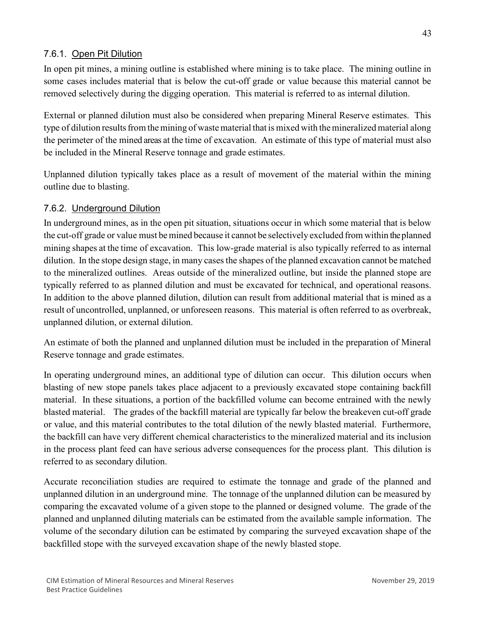## 7.6.1. Open Pit Dilution

In open pit mines, a mining outline is established where mining is to take place. The mining outline in some cases includes material that is below the cut-off grade or value because this material cannot be removed selectively during the digging operation. This material is referred to as internal dilution.

External or planned dilution must also be considered when preparing Mineral Reserve estimates. This type of dilution results from the mining of waste material that is mixed with the mineralized material along the perimeter of the mined areas at the time of excavation. An estimate of this type of material must also be included in the Mineral Reserve tonnage and grade estimates.

Unplanned dilution typically takes place as a result of movement of the material within the mining outline due to blasting.

## 7.6.2. Underground Dilution

In underground mines, as in the open pit situation, situations occur in which some material that is below the cut-off grade or value must bemined because it cannot be selectively excluded from within the planned mining shapes at the time of excavation. This low-grade material is also typically referred to as internal dilution. In the stope design stage, in many cases the shapes of the planned excavation cannot be matched to the mineralized outlines. Areas outside of the mineralized outline, but inside the planned stope are typically referred to as planned dilution and must be excavated for technical, and operational reasons. In addition to the above planned dilution, dilution can result from additional material that is mined as a result of uncontrolled, unplanned, or unforeseen reasons. This material is often referred to as overbreak, unplanned dilution, or external dilution.

An estimate of both the planned and unplanned dilution must be included in the preparation of Mineral Reserve tonnage and grade estimates.

In operating underground mines, an additional type of dilution can occur. This dilution occurs when blasting of new stope panels takes place adjacent to a previously excavated stope containing backfill material. In these situations, a portion of the backfilled volume can become entrained with the newly blasted material. The grades of the backfill material are typically far below the breakeven cut-off grade or value, and this material contributes to the total dilution of the newly blasted material. Furthermore, the backfill can have very different chemical characteristics to the mineralized material and its inclusion in the process plant feed can have serious adverse consequences for the process plant. This dilution is referred to as secondary dilution.

Accurate reconciliation studies are required to estimate the tonnage and grade of the planned and unplanned dilution in an underground mine. The tonnage of the unplanned dilution can be measured by comparing the excavated volume of a given stope to the planned or designed volume. The grade of the planned and unplanned diluting materials can be estimated from the available sample information. The volume of the secondary dilution can be estimated by comparing the surveyed excavation shape of the backfilled stope with the surveyed excavation shape of the newly blasted stope.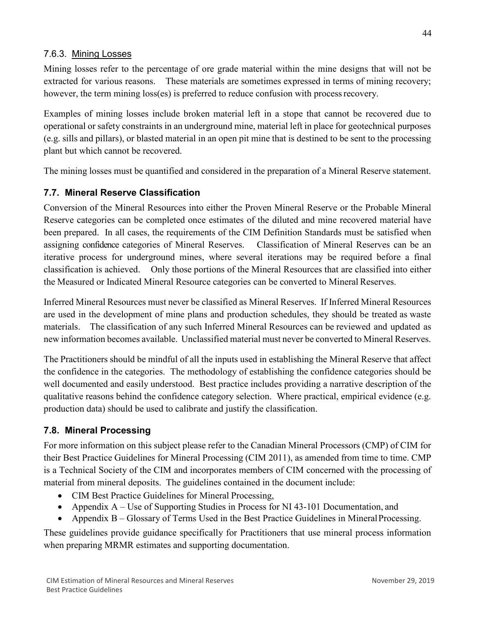## 7.6.3. Mining Losses

Mining losses refer to the percentage of ore grade material within the mine designs that will not be extracted for various reasons. These materials are sometimes expressed in terms of mining recovery; however, the term mining loss(es) is preferred to reduce confusion with process recovery.

Examples of mining losses include broken material left in a stope that cannot be recovered due to operational or safety constraints in an underground mine, material left in place for geotechnical purposes (e.g. sills and pillars), or blasted material in an open pit mine that is destined to be sent to the processing plant but which cannot be recovered.

The mining losses must be quantified and considered in the preparation of a Mineral Reserve statement.

## **7.7. Mineral Reserve Classification**

Conversion of the Mineral Resources into either the Proven Mineral Reserve or the Probable Mineral Reserve categories can be completed once estimates of the diluted and mine recovered material have been prepared. In all cases, the requirements of the CIM Definition Standards must be satisfied when assigning confidence categories of Mineral Reserves. Classification of Mineral Reserves can be an iterative process for underground mines, where several iterations may be required before a final classification is achieved. Only those portions of the Mineral Resources that are classified into either the Measured or Indicated Mineral Resource categories can be converted to Mineral Reserves.

Inferred Mineral Resources must never be classified as Mineral Reserves. If Inferred Mineral Resources are used in the development of mine plans and production schedules, they should be treated as waste materials. The classification of any such Inferred Mineral Resources can be reviewed and updated as new information becomes available. Unclassified material must never be converted to Mineral Reserves.

The Practitioners should be mindful of all the inputs used in establishing the Mineral Reserve that affect the confidence in the categories. The methodology of establishing the confidence categories should be well documented and easily understood. Best practice includes providing a narrative description of the qualitative reasons behind the confidence category selection. Where practical, empirical evidence (e.g. production data) should be used to calibrate and justify the classification.

# **7.8. Mineral Processing**

For more information on this subject please refer to the Canadian Mineral Processors (CMP) of CIM for their Best Practice Guidelines for Mineral Processing (CIM 2011), as amended from time to time. CMP is a Technical Society of the CIM and incorporates members of CIM concerned with the processing of material from mineral deposits. The guidelines contained in the document include:

- CIM Best Practice Guidelines for Mineral Processing,
- Appendix A Use of Supporting Studies in Process for NI 43-101 Documentation, and
- Appendix B Glossary of Terms Used in the Best Practice Guidelines in Mineral Processing.

These guidelines provide guidance specifically for Practitioners that use mineral process information when preparing MRMR estimates and supporting documentation.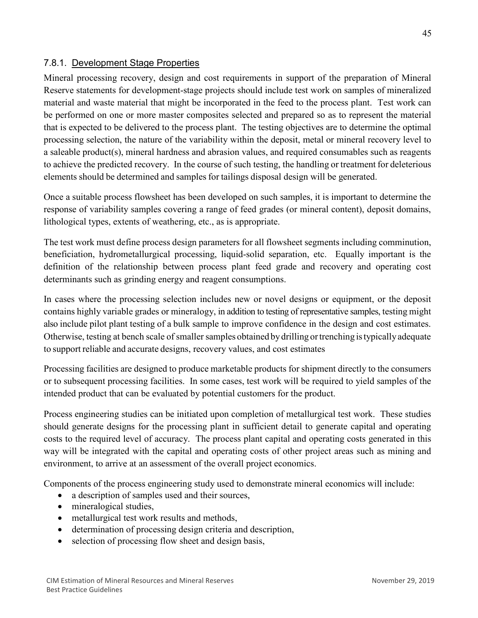## 7.8.1. Development Stage Properties

Mineral processing recovery, design and cost requirements in support of the preparation of Mineral Reserve statements for development-stage projects should include test work on samples of mineralized material and waste material that might be incorporated in the feed to the process plant. Test work can be performed on one or more master composites selected and prepared so as to represent the material that is expected to be delivered to the process plant. The testing objectives are to determine the optimal processing selection, the nature of the variability within the deposit, metal or mineral recovery level to a saleable product(s), mineral hardness and abrasion values, and required consumables such as reagents to achieve the predicted recovery. In the course of such testing, the handling or treatment for deleterious elements should be determined and samples for tailings disposal design will be generated.

Once a suitable process flowsheet has been developed on such samples, it is important to determine the response of variability samples covering a range of feed grades (or mineral content), deposit domains, lithological types, extents of weathering, etc., as is appropriate.

The test work must define process design parameters for all flowsheet segments including comminution, beneficiation, hydrometallurgical processing, liquid-solid separation, etc. Equally important is the definition of the relationship between process plant feed grade and recovery and operating cost determinants such as grinding energy and reagent consumptions.

In cases where the processing selection includes new or novel designs or equipment, or the deposit contains highly variable grades or mineralogy, in addition to testing of representative samples, testing might also include pilot plant testing of a bulk sample to improve confidence in the design and cost estimates. Otherwise, testing at bench scale of smaller samples obtained bydrilling ortrenching istypicallyadequate to support reliable and accurate designs, recovery values, and cost estimates

Processing facilities are designed to produce marketable products for shipment directly to the consumers or to subsequent processing facilities. In some cases, test work will be required to yield samples of the intended product that can be evaluated by potential customers for the product.

Process engineering studies can be initiated upon completion of metallurgical test work. These studies should generate designs for the processing plant in sufficient detail to generate capital and operating costs to the required level of accuracy. The process plant capital and operating costs generated in this way will be integrated with the capital and operating costs of other project areas such as mining and environment, to arrive at an assessment of the overall project economics.

Components of the process engineering study used to demonstrate mineral economics will include:

- a description of samples used and their sources,
- mineralogical studies,
- metallurgical test work results and methods,
- determination of processing design criteria and description,
- selection of processing flow sheet and design basis,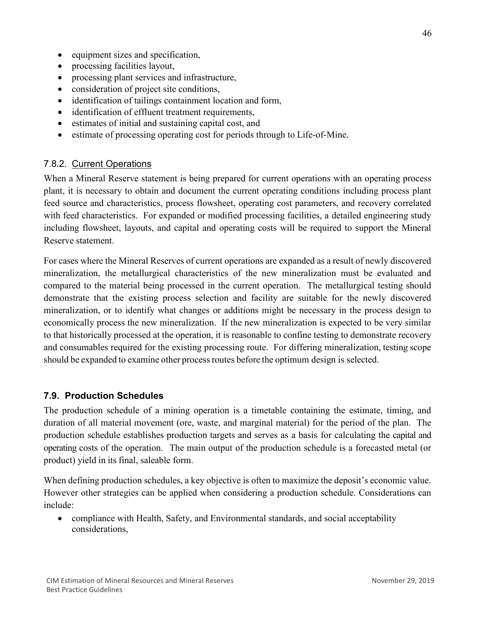- equipment sizes and specification,
- processing facilities layout,
- processing plant services and infrastructure,
- consideration of project site conditions,
- identification of tailings containment location and form,
- identification of effluent treatment requirements,
- estimates of initial and sustaining capital cost, and
- estimate of processing operating cost for periods through to Life-of-Mine.

## 7.8.2. Current Operations

When a Mineral Reserve statement is being prepared for current operations with an operating process plant, it is necessary to obtain and document the current operating conditions including process plant feed source and characteristics, process flowsheet, operating cost parameters, and recovery correlated with feed characteristics. For expanded or modified processing facilities, a detailed engineering study including flowsheet, layouts, and capital and operating costs will be required to support the Mineral Reserve statement.

For cases where the Mineral Reserves of current operations are expanded as a result of newly discovered mineralization, the metallurgical characteristics of the new mineralization must be evaluated and compared to the material being processed in the current operation. The metallurgical testing should demonstrate that the existing process selection and facility are suitable for the newly discovered mineralization, or to identify what changes or additions might be necessary in the process design to economically process the new mineralization. If the new mineralization is expected to be very similar to that historically processed at the operation, it is reasonable to confine testing to demonstrate recovery and consumables required for the existing processing route. For differing mineralization, testing scope should be expanded to examine other process routes before the optimum design is selected.

## **7.9. Production Schedules**

The production schedule of a mining operation is a timetable containing the estimate, timing, and duration of all material movement (ore, waste, and marginal material) for the period of the plan. The production schedule establishes production targets and serves as a basis for calculating the capital and operating costs of the operation. The main output of the production schedule is a forecasted metal (or product) yield in its final, saleable form.

When defining production schedules, a key objective is often to maximize the deposit's economic value. However other strategies can be applied when considering a production schedule. Considerations can include:

• compliance with Health, Safety, and Environmental standards, and social acceptability considerations,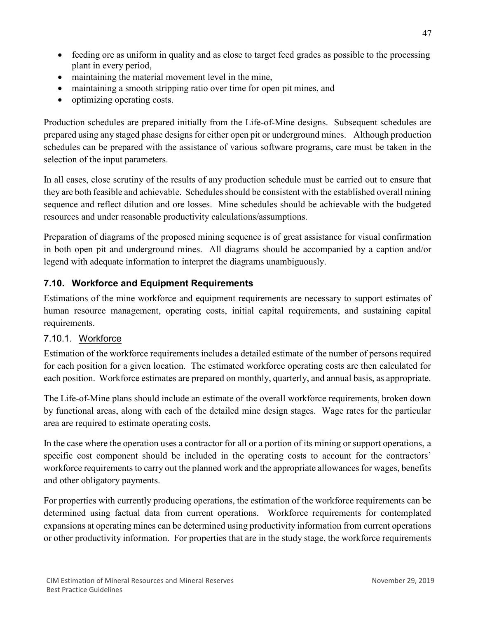- feeding ore as uniform in quality and as close to target feed grades as possible to the processing plant in every period,
- maintaining the material movement level in the mine,
- maintaining a smooth stripping ratio over time for open pit mines, and
- optimizing operating costs.

Production schedules are prepared initially from the Life-of-Mine designs. Subsequent schedules are prepared using any staged phase designsfor either open pit or underground mines. Although production schedules can be prepared with the assistance of various software programs, care must be taken in the selection of the input parameters.

In all cases, close scrutiny of the results of any production schedule must be carried out to ensure that they are both feasible and achievable. Schedules should be consistent with the established overall mining sequence and reflect dilution and ore losses. Mine schedules should be achievable with the budgeted resources and under reasonable productivity calculations/assumptions.

Preparation of diagrams of the proposed mining sequence is of great assistance for visual confirmation in both open pit and underground mines. All diagrams should be accompanied by a caption and/or legend with adequate information to interpret the diagrams unambiguously.

# **7.10. Workforce and Equipment Requirements**

Estimations of the mine workforce and equipment requirements are necessary to support estimates of human resource management, operating costs, initial capital requirements, and sustaining capital requirements.

## 7.10.1. Workforce

Estimation of the workforce requirements includes a detailed estimate of the number of persons required for each position for a given location. The estimated workforce operating costs are then calculated for each position. Workforce estimates are prepared on monthly, quarterly, and annual basis, as appropriate.

The Life-of-Mine plans should include an estimate of the overall workforce requirements, broken down by functional areas, along with each of the detailed mine design stages. Wage rates for the particular area are required to estimate operating costs.

In the case where the operation uses a contractor for all or a portion of its mining or support operations, a specific cost component should be included in the operating costs to account for the contractors' workforce requirements to carry out the planned work and the appropriate allowances for wages, benefits and other obligatory payments.

For properties with currently producing operations, the estimation of the workforce requirements can be determined using factual data from current operations. Workforce requirements for contemplated expansions at operating mines can be determined using productivity information from current operations or other productivity information. For properties that are in the study stage, the workforce requirements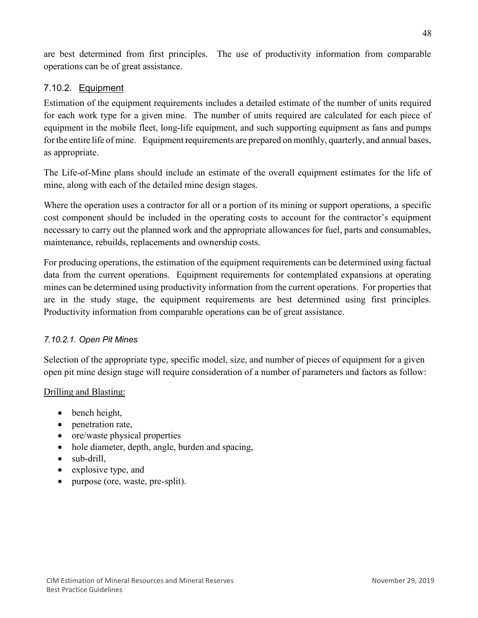are best determined from first principles. The use of productivity information from comparable operations can be of great assistance.

## 7.10.2. Equipment

Estimation of the equipment requirements includes a detailed estimate of the number of units required for each work type for a given mine. The number of units required are calculated for each piece of equipment in the mobile fleet, long-life equipment, and such supporting equipment as fans and pumps for the entire life of mine. Equipment requirements are prepared on monthly, quarterly, and annual bases, as appropriate.

The Life-of-Mine plans should include an estimate of the overall equipment estimates for the life of mine, along with each of the detailed mine design stages.

Where the operation uses a contractor for all or a portion of its mining or support operations, a specific cost component should be included in the operating costs to account for the contractor's equipment necessary to carry out the planned work and the appropriate allowances for fuel, parts and consumables, maintenance, rebuilds, replacements and ownership costs.

For producing operations, the estimation of the equipment requirements can be determined using factual data from the current operations. Equipment requirements for contemplated expansions at operating mines can be determined using productivity information from the current operations. For properties that are in the study stage, the equipment requirements are best determined using first principles. Productivity information from comparable operations can be of great assistance.

## *7.10.2.1. Open Pit Mines*

Selection of the appropriate type, specific model, size, and number of pieces of equipment for a given open pit mine design stage will require consideration of a number of parameters and factors as follow:

#### Drilling and Blasting:

- bench height,
- penetration rate,
- ore/waste physical properties
- hole diameter, depth, angle, burden and spacing,
- sub-drill,
- explosive type, and
- purpose (ore, waste, pre-split).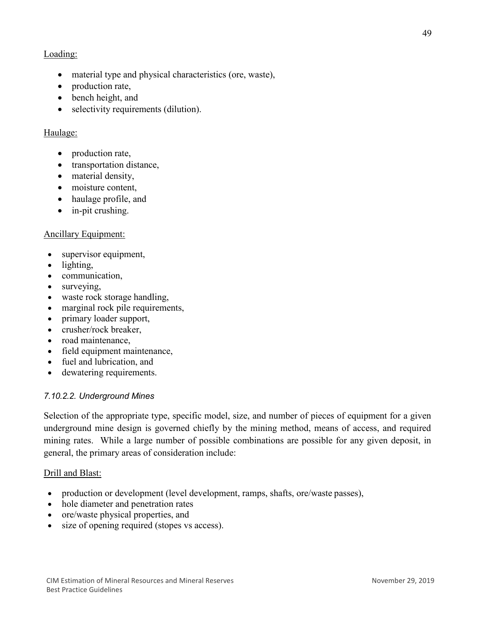## Loading:

- material type and physical characteristics (ore, waste),
- production rate,
- bench height, and
- selectivity requirements (dilution).

## Haulage:

- production rate,
- transportation distance,
- material density,
- moisture content,
- haulage profile, and
- in-pit crushing.

## Ancillary Equipment:

- supervisor equipment,
- lighting,
- communication,
- surveying,
- waste rock storage handling,
- marginal rock pile requirements,
- primary loader support,
- crusher/rock breaker,
- road maintenance,
- field equipment maintenance,
- fuel and lubrication, and
- dewatering requirements.

## *7.10.2.2. Underground Mines*

Selection of the appropriate type, specific model, size, and number of pieces of equipment for a given underground mine design is governed chiefly by the mining method, means of access, and required mining rates. While a large number of possible combinations are possible for any given deposit, in general, the primary areas of consideration include:

## Drill and Blast:

- production or development (level development, ramps, shafts, ore/waste passes),
- hole diameter and penetration rates
- ore/waste physical properties, and
- size of opening required (stopes vs access).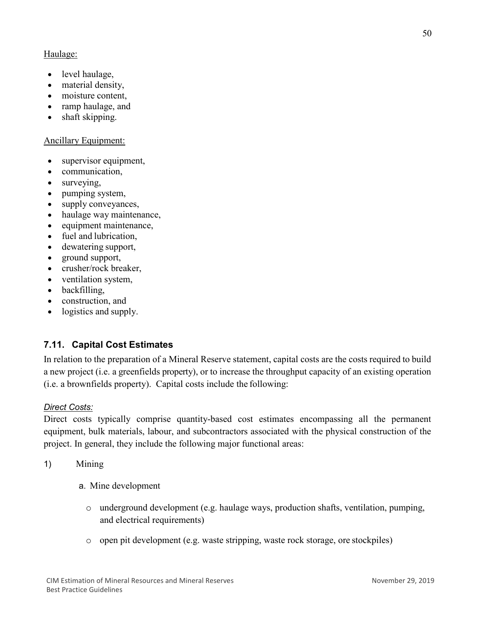## Haulage:

- level haulage,
- material density,
- moisture content.
- ramp haulage, and
- shaft skipping.

## Ancillary Equipment:

- supervisor equipment,
- communication,
- surveying,
- pumping system,
- supply conveyances,
- haulage way maintenance,
- equipment maintenance,
- fuel and lubrication,
- dewatering support,
- ground support,
- crusher/rock breaker,
- ventilation system,
- backfilling,
- construction, and
- logistics and supply.

# **7.11. Capital Cost Estimates**

In relation to the preparation of a Mineral Reserve statement, capital costs are the costs required to build a new project (i.e. a greenfields property), or to increase the throughput capacity of an existing operation (i.e. a brownfields property). Capital costs include the following:

## *Direct Costs:*

Direct costs typically comprise quantity-based cost estimates encompassing all the permanent equipment, bulk materials, labour, and subcontractors associated with the physical construction of the project. In general, they include the following major functional areas:

1) Mining

- a. Mine development
	- o underground development (e.g. haulage ways, production shafts, ventilation, pumping, and electrical requirements)
	- o open pit development (e.g. waste stripping, waste rock storage, ore stockpiles)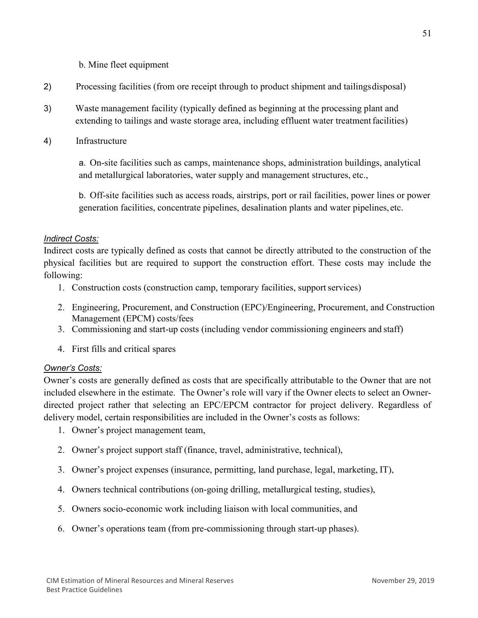b. Mine fleet equipment

- 2) Processing facilities (from ore receipt through to product shipment and tailingsdisposal)
- 3) Waste management facility (typically defined as beginning at the processing plant and extending to tailings and waste storage area, including effluent water treatment facilities)
- 4) Infrastructure

a. On-site facilities such as camps, maintenance shops, administration buildings, analytical and metallurgical laboratories, water supply and management structures, etc.,

b. Off-site facilities such as access roads, airstrips, port or rail facilities, power lines or power generation facilities, concentrate pipelines, desalination plants and water pipelines,etc.

#### *Indirect Costs:*

Indirect costs are typically defined as costs that cannot be directly attributed to the construction of the physical facilities but are required to support the construction effort. These costs may include the following:

- 1. Construction costs (construction camp, temporary facilities, supportservices)
- 2. Engineering, Procurement, and Construction (EPC)/Engineering, Procurement, and Construction Management (EPCM) costs/fees
- 3. Commissioning and start-up costs (including vendor commissioning engineers and staff)
- 4. First fills and critical spares

#### *Owner's Costs:*

Owner's costs are generally defined as costs that are specifically attributable to the Owner that are not included elsewhere in the estimate. The Owner's role will vary if the Owner elects to select an Ownerdirected project rather that selecting an EPC/EPCM contractor for project delivery. Regardless of delivery model, certain responsibilities are included in the Owner's costs as follows:

- 1. Owner's project management team,
- 2. Owner's project support staff (finance, travel, administrative, technical),
- 3. Owner's project expenses (insurance, permitting, land purchase, legal, marketing, IT),
- 4. Owners technical contributions (on-going drilling, metallurgical testing, studies),
- 5. Owners socio-economic work including liaison with local communities, and
- 6. Owner's operations team (from pre-commissioning through start-up phases).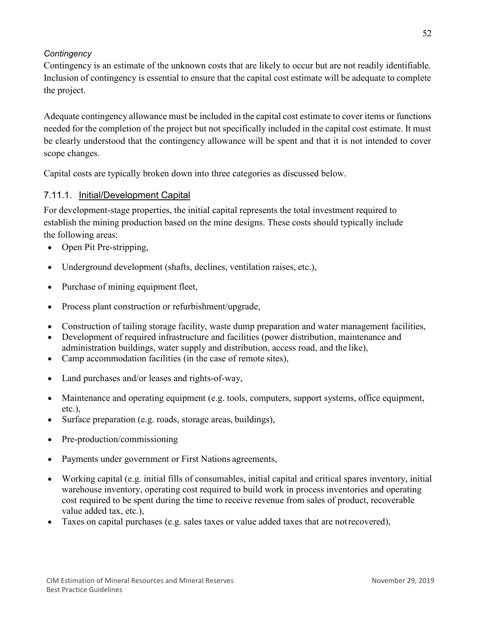## *Contingency*

Contingency is an estimate of the unknown costs that are likely to occur but are not readily identifiable. Inclusion of contingency is essential to ensure that the capital cost estimate will be adequate to complete the project.

Adequate contingency allowance must be included in the capital cost estimate to cover items or functions needed for the completion of the project but not specifically included in the capital cost estimate. It must be clearly understood that the contingency allowance will be spent and that it is not intended to cover scope changes.

Capital costs are typically broken down into three categories as discussed below.

## 7.11.1. Initial/Development Capital

For development-stage properties, the initial capital represents the total investment required to establish the mining production based on the mine designs. These costs should typically include the following areas:

- Open Pit Pre-stripping,
- Underground development (shafts, declines, ventilation raises, etc.),
- Purchase of mining equipment fleet,
- Process plant construction or refurbishment/upgrade,
- Construction of tailing storage facility, waste dump preparation and water management facilities,
- Development of required infrastructure and facilities (power distribution, maintenance and administration buildings, water supply and distribution, access road, and the like),
- Camp accommodation facilities (in the case of remote sites),
- Land purchases and/or leases and rights-of-way,
- Maintenance and operating equipment (e.g. tools, computers, support systems, office equipment, etc.),
- Surface preparation (e.g. roads, storage areas, buildings),
- Pre-production/commissioning
- Payments under government or First Nations agreements,
- Working capital (e.g. initial fills of consumables, initial capital and critical spares inventory, initial warehouse inventory, operating cost required to build work in process inventories and operating cost required to be spent during the time to receive revenue from sales of product, recoverable value added tax, etc.),
- Taxes on capital purchases (e.g. sales taxes or value added taxes that are notrecovered),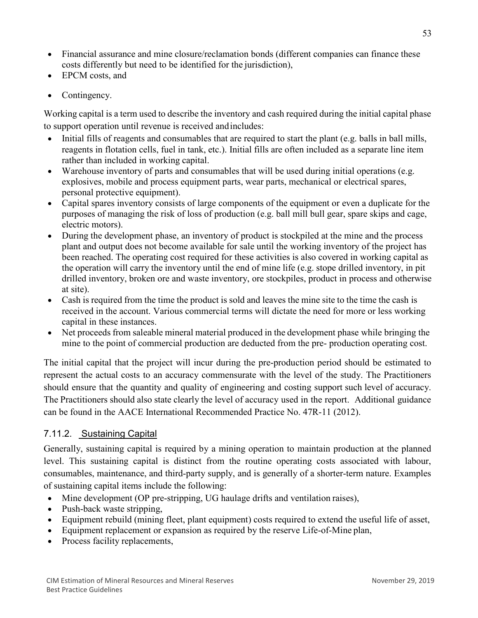- Financial assurance and mine closure/reclamation bonds (different companies can finance these costs differently but need to be identified for the jurisdiction),
- EPCM costs, and
- Contingency.

Working capital is a term used to describe the inventory and cash required during the initial capital phase to support operation until revenue is received andincludes:

- Initial fills of reagents and consumables that are required to start the plant (e.g. balls in ball mills, reagents in flotation cells, fuel in tank, etc.). Initial fills are often included as a separate line item rather than included in working capital.
- Warehouse inventory of parts and consumables that will be used during initial operations (e.g. explosives, mobile and process equipment parts, wear parts, mechanical or electrical spares, personal protective equipment).
- Capital spares inventory consists of large components of the equipment or even a duplicate for the purposes of managing the risk of loss of production (e.g. ball mill bull gear, spare skips and cage, electric motors).
- During the development phase, an inventory of product is stockpiled at the mine and the process plant and output does not become available for sale until the working inventory of the project has been reached. The operating cost required for these activities is also covered in working capital as the operation will carry the inventory until the end of mine life (e.g. stope drilled inventory, in pit drilled inventory, broken ore and waste inventory, ore stockpiles, product in process and otherwise at site).
- Cash is required from the time the product is sold and leaves the mine site to the time the cash is received in the account. Various commercial terms will dictate the need for more or less working capital in these instances.
- Net proceeds from saleable mineral material produced in the development phase while bringing the mine to the point of commercial production are deducted from the pre- production operating cost.

The initial capital that the project will incur during the pre-production period should be estimated to represent the actual costs to an accuracy commensurate with the level of the study. The Practitioners should ensure that the quantity and quality of engineering and costing support such level of accuracy. The Practitioners should also state clearly the level of accuracy used in the report. Additional guidance can be found in the AACE International Recommended Practice No. 47R-11 (2012).

# 7.11.2. Sustaining Capital

Generally, sustaining capital is required by a mining operation to maintain production at the planned level. This sustaining capital is distinct from the routine operating costs associated with labour, consumables, maintenance, and third-party supply, and is generally of a shorter-term nature. Examples of sustaining capital items include the following:

- Mine development (OP pre-stripping, UG haulage drifts and ventilation raises),
- Push-back waste stripping,
- Equipment rebuild (mining fleet, plant equipment) costs required to extend the useful life of asset,
- Equipment replacement or expansion as required by the reserve Life-of-Mine plan,
- Process facility replacements,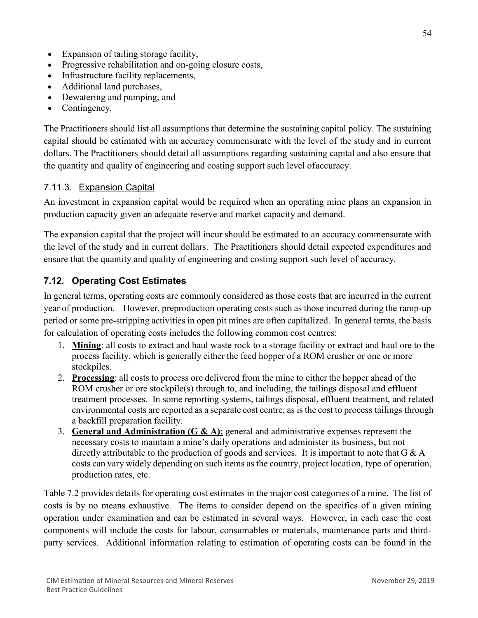- Expansion of tailing storage facility,
- Progressive rehabilitation and on-going closure costs,
- Infrastructure facility replacements,
- Additional land purchases,
- Dewatering and pumping, and
- Contingency.

The Practitioners should list all assumptions that determine the sustaining capital policy. The sustaining capital should be estimated with an accuracy commensurate with the level of the study and in current dollars. The Practitioners should detail all assumptions regarding sustaining capital and also ensure that the quantity and quality of engineering and costing support such level ofaccuracy.

## 7.11.3. Expansion Capital

An investment in expansion capital would be required when an operating mine plans an expansion in production capacity given an adequate reserve and market capacity and demand.

The expansion capital that the project will incur should be estimated to an accuracy commensurate with the level of the study and in current dollars. The Practitioners should detail expected expenditures and ensure that the quantity and quality of engineering and costing support such level of accuracy.

## **7.12. Operating Cost Estimates**

In general terms, operating costs are commonly considered as those costs that are incurred in the current year of production. However, preproduction operating costs such as those incurred during the ramp-up period or some pre-stripping activities in open pit mines are often capitalized. In general terms, the basis for calculation of operating costs includes the following common cost centres:

- 1. **Mining**: all costs to extract and haul waste rock to a storage facility or extract and haul ore to the process facility, which is generally either the feed hopper of a ROM crusher or one or more stockpiles.
- 2. **Processing**: all costs to process ore delivered from the mine to either the hopper ahead of the ROM crusher or ore stockpile(s) through to, and including, the tailings disposal and effluent treatment processes. In some reporting systems, tailings disposal, effluent treatment, and related environmental costs are reported as a separate cost centre, as isthe cost to process tailings through a backfill preparation facility.
- 3. **General and Administration (G & A):** [general and administrative](https://www.investopedia.com/terms/g/general-and-administrative-expenses.asp) expenses represent the necessary costs to maintain a mine's daily operations and administer its business, but not directly attributable to the production of goods and services. It is important to note that G & A costs can vary widely depending on such items as the country, project location, type of operation, production rates, etc.

Table 7.2 provides details for operating cost estimates in the major cost categories of a mine. The list of costs is by no means exhaustive. The items to consider depend on the specifics of a given mining operation under examination and can be estimated in several ways. However, in each case the cost components will include the costs for labour, consumables or materials, maintenance parts and thirdparty services. Additional information relating to estimation of operating costs can be found in the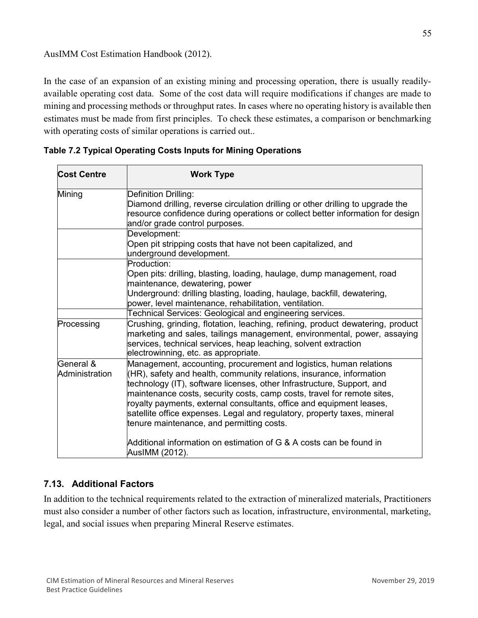## AusIMM Cost Estimation Handbook (2012).

In the case of an expansion of an existing mining and processing operation, there is usually readilyavailable operating cost data. Some of the cost data will require modifications if changes are made to mining and processing methods or throughput rates. In cases where no operating history is available then estimates must be made from first principles. To check these estimates, a comparison or benchmarking with operating costs of similar operations is carried out..

| <b>Cost Centre</b>          | <b>Work Type</b>                                                                                                                                                                                                                                                                                                                                                                                                                                                                                 |  |  |  |
|-----------------------------|--------------------------------------------------------------------------------------------------------------------------------------------------------------------------------------------------------------------------------------------------------------------------------------------------------------------------------------------------------------------------------------------------------------------------------------------------------------------------------------------------|--|--|--|
| Mining                      | Definition Drilling:<br>Diamond drilling, reverse circulation drilling or other drilling to upgrade the<br>resource confidence during operations or collect better information for design<br>and/or grade control purposes.                                                                                                                                                                                                                                                                      |  |  |  |
|                             | Development:<br>Open pit stripping costs that have not been capitalized, and<br>underground development.                                                                                                                                                                                                                                                                                                                                                                                         |  |  |  |
|                             | Production:<br>Open pits: drilling, blasting, loading, haulage, dump management, road<br>maintenance, dewatering, power<br>Underground: drilling blasting, loading, haulage, backfill, dewatering,<br>power, level maintenance, rehabilitation, ventilation.                                                                                                                                                                                                                                     |  |  |  |
|                             | Technical Services: Geological and engineering services.                                                                                                                                                                                                                                                                                                                                                                                                                                         |  |  |  |
| Processing                  | Crushing, grinding, flotation, leaching, refining, product dewatering, product<br>marketing and sales, tailings management, environmental, power, assaying<br>services, technical services, heap leaching, solvent extraction<br>electrowinning, etc. as appropriate.                                                                                                                                                                                                                            |  |  |  |
| General &<br>Administration | Management, accounting, procurement and logistics, human relations<br>(HR), safety and health, community relations, insurance, information<br>technology (IT), software licenses, other Infrastructure, Support, and<br>maintenance costs, security costs, camp costs, travel for remote sites,<br>royalty payments, external consultants, office and equipment leases,<br>satellite office expenses. Legal and regulatory, property taxes, mineral<br>tenure maintenance, and permitting costs. |  |  |  |
|                             | Additional information on estimation of G & A costs can be found in<br>AusIMM (2012).                                                                                                                                                                                                                                                                                                                                                                                                            |  |  |  |

| Table 7.2 Typical Operating Costs Inputs for Mining Operations |  |  |
|----------------------------------------------------------------|--|--|
|                                                                |  |  |

## **7.13. Additional Factors**

In addition to the technical requirements related to the extraction of mineralized materials, Practitioners must also consider a number of other factors such as location, infrastructure, environmental, marketing, legal, and social issues when preparing Mineral Reserve estimates.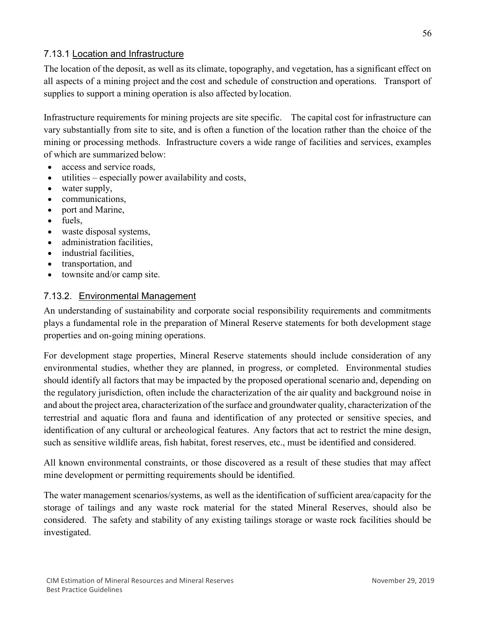## 7.13.1 Location and Infrastructure

The location of the deposit, as well as its climate, topography, and vegetation, has a significant effect on all aspects of a mining project and the cost and schedule of construction and operations. Transport of supplies to support a mining operation is also affected bylocation.

Infrastructure requirements for mining projects are site specific. The capital cost for infrastructure can vary substantially from site to site, and is often a function of the location rather than the choice of the mining or processing methods. Infrastructure covers a wide range of facilities and services, examples of which are summarized below:

- access and service roads,
- utilities especially power availability and costs,
- water supply,
- communications,
- port and Marine,
- fuels,
- waste disposal systems,
- administration facilities,
- industrial facilities,
- transportation, and
- townsite and/or camp site.

## 7.13.2. Environmental Management

An understanding of sustainability and corporate social responsibility requirements and commitments plays a fundamental role in the preparation of Mineral Reserve statements for both development stage properties and on-going mining operations.

For development stage properties, Mineral Reserve statements should include consideration of any environmental studies, whether they are planned, in progress, or completed. Environmental studies should identify all factors that may be impacted by the proposed operational scenario and, depending on the regulatory jurisdiction, often include the characterization of the air quality and background noise in and about the project area, characterization of the surface and groundwater quality, characterization of the terrestrial and aquatic flora and fauna and identification of any protected or sensitive species, and identification of any cultural or archeological features. Any factors that act to restrict the mine design, such as sensitive wildlife areas, fish habitat, forest reserves, etc., must be identified and considered.

All known environmental constraints, or those discovered as a result of these studies that may affect mine development or permitting requirements should be identified.

The water management scenarios/systems, as well as the identification of sufficient area/capacity for the storage of tailings and any waste rock material for the stated Mineral Reserves, should also be considered. The safety and stability of any existing tailings storage or waste rock facilities should be investigated.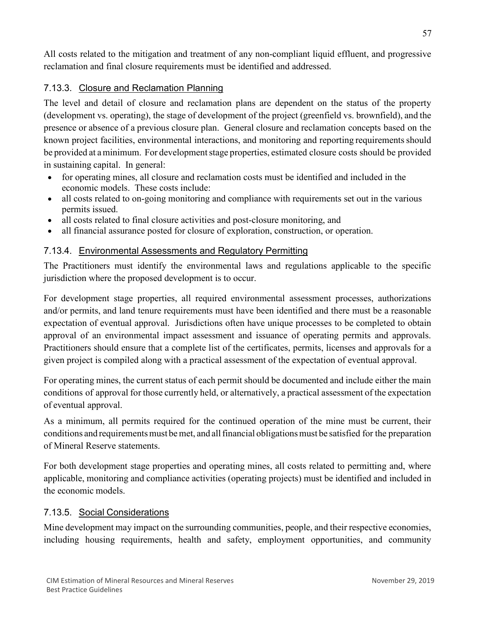All costs related to the mitigation and treatment of any non-compliant liquid effluent, and progressive reclamation and final closure requirements must be identified and addressed.

## 7.13.3. Closure and Reclamation Planning

The level and detail of closure and reclamation plans are dependent on the status of the property (development vs. operating), the stage of development of the project (greenfield vs. brownfield), and the presence or absence of a previous closure plan. General closure and reclamation concepts based on the known project facilities, environmental interactions, and monitoring and reporting requirements should be provided at aminimum. For developmentstage properties, estimated closure costs should be provided in sustaining capital. In general:

- for operating mines, all closure and reclamation costs must be identified and included in the economic models. These costs include:
- all costs related to on-going monitoring and compliance with requirements set out in the various permits issued.
- all costs related to final closure activities and post-closure monitoring, and
- all financial assurance posted for closure of exploration, construction, or operation.

## 7.13.4. Environmental Assessments and Regulatory Permitting

The Practitioners must identify the environmental laws and regulations applicable to the specific jurisdiction where the proposed development is to occur.

For development stage properties, all required environmental assessment processes, authorizations and/or permits, and land tenure requirements must have been identified and there must be a reasonable expectation of eventual approval. Jurisdictions often have unique processes to be completed to obtain approval of an environmental impact assessment and issuance of operating permits and approvals. Practitioners should ensure that a complete list of the certificates, permits, licenses and approvals for a given project is compiled along with a practical assessment of the expectation of eventual approval.

For operating mines, the current status of each permit should be documented and include either the main conditions of approval for those currently held, or alternatively, a practical assessment of the expectation of eventual approval.

As a minimum, all permits required for the continued operation of the mine must be current, their conditions and requirements must be met, and all financial obligations must be satisfied for the preparation of Mineral Reserve statements.

For both development stage properties and operating mines, all costs related to permitting and, where applicable, monitoring and compliance activities (operating projects) must be identified and included in the economic models.

## 7.13.5. Social Considerations

Mine development may impact on the surrounding communities, people, and their respective economies, including housing requirements, health and safety, employment opportunities, and community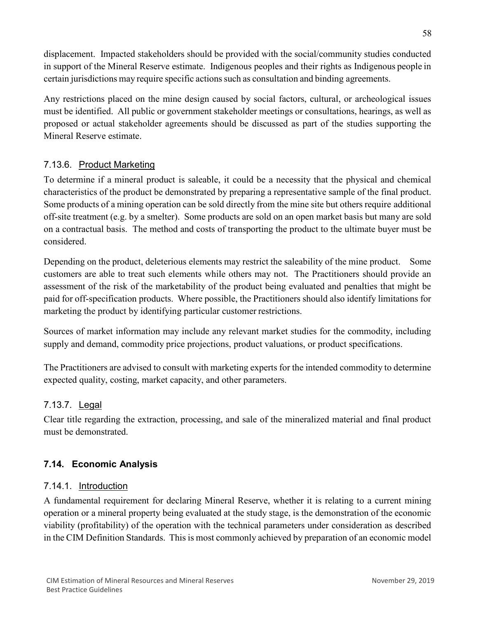displacement. Impacted stakeholders should be provided with the social/community studies conducted in support of the Mineral Reserve estimate. Indigenous peoples and their rights as Indigenous people in certain jurisdictions may require specific actionssuch as consultation and binding agreements.

Any restrictions placed on the mine design caused by social factors, cultural, or archeological issues must be identified. All public or government stakeholder meetings or consultations, hearings, as well as proposed or actual stakeholder agreements should be discussed as part of the studies supporting the Mineral Reserve estimate.

## 7.13.6. Product Marketing

To determine if a mineral product is saleable, it could be a necessity that the physical and chemical characteristics of the product be demonstrated by preparing a representative sample of the final product. Some products of a mining operation can be sold directly from the mine site but others require additional off-site treatment (e.g. by a smelter). Some products are sold on an open market basis but many are sold on a contractual basis. The method and costs of transporting the product to the ultimate buyer must be considered.

Depending on the product, deleterious elements may restrict the saleability of the mine product. Some customers are able to treat such elements while others may not. The Practitioners should provide an assessment of the risk of the marketability of the product being evaluated and penalties that might be paid for off-specification products. Where possible, the Practitioners should also identify limitations for marketing the product by identifying particular customer restrictions.

Sources of market information may include any relevant market studies for the commodity, including supply and demand, commodity price projections, product valuations, or product specifications.

The Practitioners are advised to consult with marketing experts for the intended commodity to determine expected quality, costing, market capacity, and other parameters.

## 7.13.7. Legal

Clear title regarding the extraction, processing, and sale of the mineralized material and final product must be demonstrated.

## **7.14. Economic Analysis**

## 7.14.1. Introduction

A fundamental requirement for declaring Mineral Reserve, whether it is relating to a current mining operation or a mineral property being evaluated at the study stage, is the demonstration of the economic viability (profitability) of the operation with the technical parameters under consideration as described in the CIM Definition Standards. This is most commonly achieved by preparation of an economic model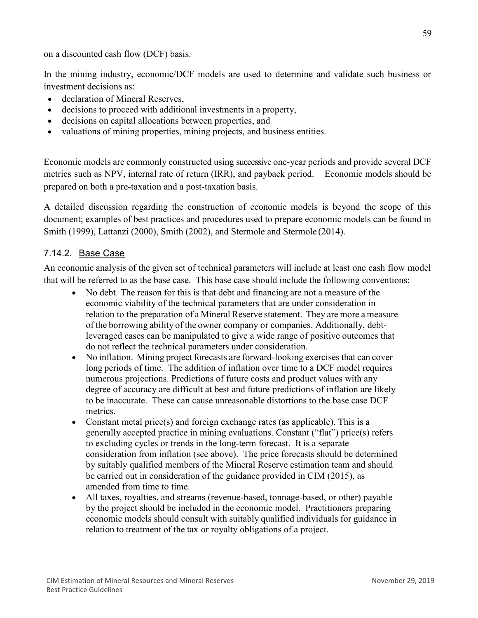on a discounted cash flow (DCF) basis.

In the mining industry, economic/DCF models are used to determine and validate such business or investment decisions as:

- declaration of Mineral Reserves,
- decisions to proceed with additional investments in a property,
- decisions on capital allocations between properties, and
- valuations of mining properties, mining projects, and business entities.

Economic models are commonly constructed using successive one-year periods and provide several DCF metrics such as NPV, internal rate of return (IRR), and payback period. Economic models should be prepared on both a pre-taxation and a post-taxation basis.

A detailed discussion regarding the construction of economic models is beyond the scope of this document; examples of best practices and procedures used to prepare economic models can be found in Smith (1999), Lattanzi (2000), Smith (2002), and Stermole and Stermole (2014).

## 7.14.2. Base Case

An economic analysis of the given set of technical parameters will include at least one cash flow model that will be referred to as the base case. This base case should include the following conventions:

- No debt. The reason for this is that debt and financing are not a measure of the economic viability of the technical parameters that are under consideration in relation to the preparation of a Mineral Reserve statement. They are more a measure of the borrowing ability of the owner company or companies. Additionally, debtleveraged cases can be manipulated to give a wide range of positive outcomes that do not reflect the technical parameters under consideration.
- No inflation. Mining project forecasts are forward-looking exercises that can cover long periods of time. The addition of inflation over time to a DCF model requires numerous projections. Predictions of future costs and product values with any degree of accuracy are difficult at best and future predictions of inflation are likely to be inaccurate. These can cause unreasonable distortions to the base case DCF metrics.
- Constant metal price(s) and foreign exchange rates (as applicable). This is a generally accepted practice in mining evaluations. Constant ("flat") price(s) refers to excluding cycles or trends in the long-term forecast. It is a separate consideration from inflation (see above). The price forecasts should be determined by suitably qualified members of the Mineral Reserve estimation team and should be carried out in consideration of the guidance provided in CIM (2015), as amended from time to time.
- All taxes, royalties, and streams (revenue-based, tonnage-based, or other) payable by the project should be included in the economic model. Practitioners preparing economic models should consult with suitably qualified individuals for guidance in relation to treatment of the tax or royalty obligations of a project.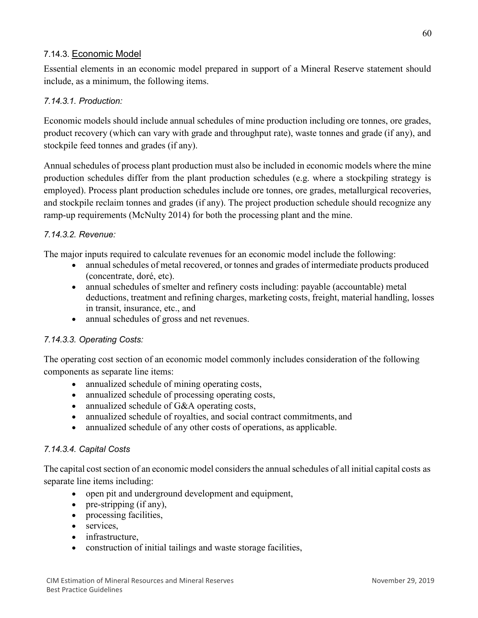## 7.14.3. Economic Model

Essential elements in an economic model prepared in support of a Mineral Reserve statement should include, as a minimum, the following items.

## *7.14.3.1. Production:*

Economic models should include annual schedules of mine production including ore tonnes, ore grades, product recovery (which can vary with grade and throughput rate), waste tonnes and grade (if any), and stockpile feed tonnes and grades (if any).

Annual schedules of process plant production must also be included in economic models where the mine production schedules differ from the plant production schedules (e.g. where a stockpiling strategy is employed). Process plant production schedules include ore tonnes, ore grades, metallurgical recoveries, and stockpile reclaim tonnes and grades (if any). The project production schedule should recognize any ramp-up requirements (McNulty 2014) for both the processing plant and the mine.

## *7.14.3.2. Revenue:*

The major inputs required to calculate revenues for an economic model include the following:

- annual schedules of metal recovered, or tonnes and grades of intermediate products produced (concentrate, doré, etc).
- annual schedules of smelter and refinery costs including: payable (accountable) metal deductions, treatment and refining charges, marketing costs, freight, material handling, losses in transit, insurance, etc., and
- annual schedules of gross and net revenues.

#### *7.14.3.3. Operating Costs:*

The operating cost section of an economic model commonly includes consideration of the following components as separate line items:

- annualized schedule of mining operating costs,
- annualized schedule of processing operating costs,
- annualized schedule of G&A operating costs,
- annualized schedule of royalties, and social contract commitments, and
- annualized schedule of any other costs of operations, as applicable.

#### *7.14.3.4. Capital Costs*

The capital cost section of an economic model considers the annual schedules of all initial capital costs as separate line items including:

- open pit and underground development and equipment,
- pre-stripping (if any),
- processing facilities,
- services.
- infrastructure,
- construction of initial tailings and waste storage facilities,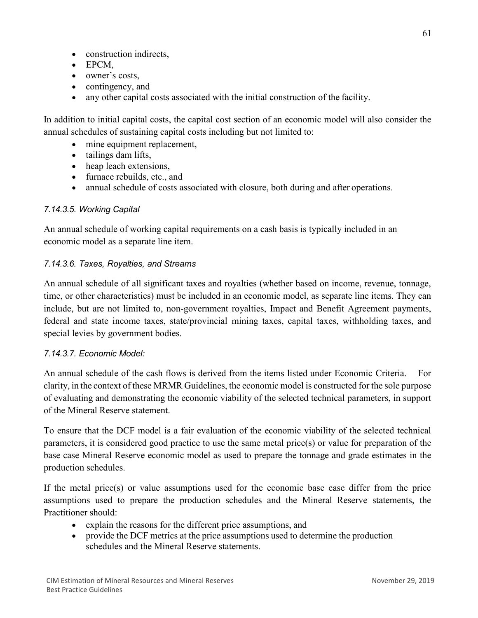- construction indirects,
- EPCM,
- owner's costs,
- contingency, and
- any other capital costs associated with the initial construction of the facility.

In addition to initial capital costs, the capital cost section of an economic model will also consider the annual schedules of sustaining capital costs including but not limited to:

- mine equipment replacement,
- tailings dam lifts,
- heap leach extensions,
- furnace rebuilds, etc., and
- annual schedule of costs associated with closure, both during and after operations.

## *7.14.3.5. Working Capital*

An annual schedule of working capital requirements on a cash basis is typically included in an economic model as a separate line item.

## *7.14.3.6. Taxes, Royalties, and Streams*

An annual schedule of all significant taxes and royalties (whether based on income, revenue, tonnage, time, or other characteristics) must be included in an economic model, as separate line items. They can include, but are not limited to, non-government royalties, Impact and Benefit Agreement payments, federal and state income taxes, state/provincial mining taxes, capital taxes, withholding taxes, and special levies by government bodies.

## *7.14.3.7. Economic Model:*

An annual schedule of the cash flows is derived from the items listed under Economic Criteria. For clarity, in the context of these MRMR Guidelines, the economic model is constructed for the sole purpose of evaluating and demonstrating the economic viability of the selected technical parameters, in support of the Mineral Reserve statement.

To ensure that the DCF model is a fair evaluation of the economic viability of the selected technical parameters, it is considered good practice to use the same metal price(s) or value for preparation of the base case Mineral Reserve economic model as used to prepare the tonnage and grade estimates in the production schedules.

If the metal price(s) or value assumptions used for the economic base case differ from the price assumptions used to prepare the production schedules and the Mineral Reserve statements, the Practitioner should:

- explain the reasons for the different price assumptions, and
- provide the DCF metrics at the price assumptions used to determine the production schedules and the Mineral Reserve statements.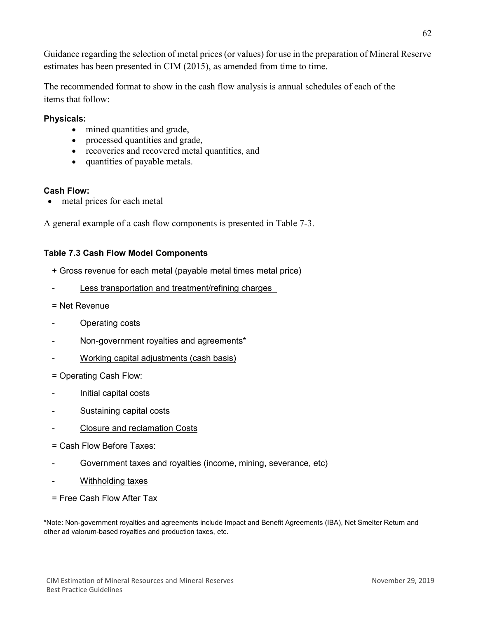Guidance regarding the selection of metal prices (or values) for use in the preparation of Mineral Reserve estimates has been presented in CIM (2015), as amended from time to time.

The recommended format to show in the cash flow analysis is annual schedules of each of the items that follow:

## **Physicals:**

- mined quantities and grade,
- processed quantities and grade,
- recoveries and recovered metal quantities, and
- quantities of payable metals.

## **Cash Flow:**

metal prices for each metal

A general example of a cash flow components is presented in Table 7-3.

## **Table 7.3 Cash Flow Model Components**

- + Gross revenue for each metal (payable metal times metal price)
- Less transportation and treatment/refining charges
- = Net Revenue
- Operating costs
- Non-government royalties and agreements\*
- Working capital adjustments (cash basis)
- = Operating Cash Flow:
- Initial capital costs
- Sustaining capital costs
- Closure and reclamation Costs
- = Cash Flow Before Taxes:
- Government taxes and royalties (income, mining, severance, etc)
- Withholding taxes
- = Free Cash Flow After Tax

\*Note: Non-government royalties and agreements include Impact and Benefit Agreements (IBA), Net Smelter Return and other ad valorum-based royalties and production taxes, etc.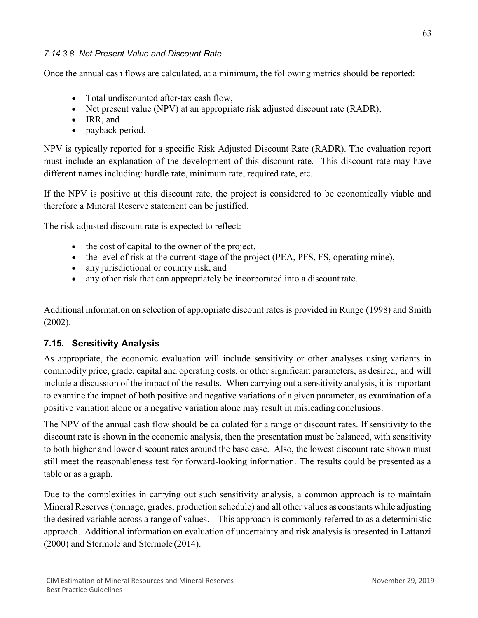#### *7.14.3.8. Net Present Value and Discount Rate*

Once the annual cash flows are calculated, at a minimum, the following metrics should be reported:

- Total undiscounted after-tax cash flow,
- Net present value (NPV) at an appropriate risk adjusted discount rate (RADR),
- IRR, and
- payback period.

NPV is typically reported for a specific Risk Adjusted Discount Rate (RADR). The evaluation report must include an explanation of the development of this discount rate. This discount rate may have different names including: hurdle rate, minimum rate, required rate, etc.

If the NPV is positive at this discount rate, the project is considered to be economically viable and therefore a Mineral Reserve statement can be justified.

The risk adjusted discount rate is expected to reflect:

- the cost of capital to the owner of the project,
- the level of risk at the current stage of the project (PEA, PFS, FS, operating mine),
- any jurisdictional or country risk, and
- any other risk that can appropriately be incorporated into a discount rate.

Additional information on selection of appropriate discount rates is provided in Runge (1998) and Smith (2002).

## **7.15. Sensitivity Analysis**

As appropriate, the economic evaluation will include sensitivity or other analyses using variants in commodity price, grade, capital and operating costs, or other significant parameters, as desired, and will include a discussion of the impact of the results. When carrying out a sensitivity analysis, it is important to examine the impact of both positive and negative variations of a given parameter, as examination of a positive variation alone or a negative variation alone may result in misleading conclusions.

The NPV of the annual cash flow should be calculated for a range of discount rates. If sensitivity to the discount rate is shown in the economic analysis, then the presentation must be balanced, with sensitivity to both higher and lower discount rates around the base case. Also, the lowest discount rate shown must still meet the reasonableness test for forward-looking information. The results could be presented as a table or as a graph.

Due to the complexities in carrying out such sensitivity analysis, a common approach is to maintain Mineral Reserves (tonnage, grades, production schedule) and all other values as constants while adjusting the desired variable across a range of values. This approach is commonly referred to as a deterministic approach. Additional information on evaluation of uncertainty and risk analysis is presented in Lattanzi (2000) and Stermole and Stermole (2014).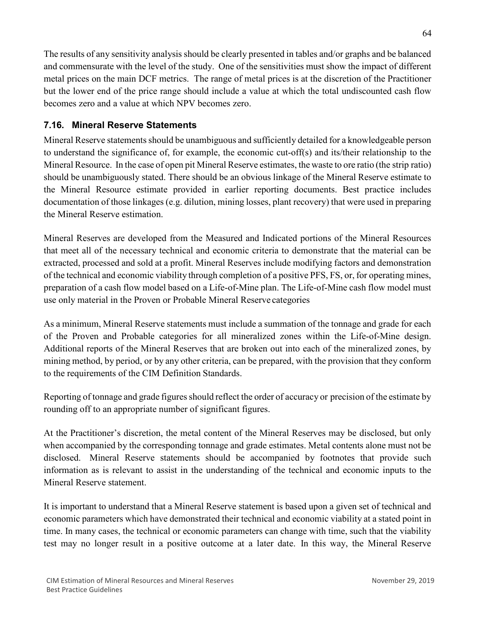The results of any sensitivity analysis should be clearly presented in tables and/or graphs and be balanced and commensurate with the level of the study. One of the sensitivities must show the impact of different metal prices on the main DCF metrics. The range of metal prices is at the discretion of the Practitioner but the lower end of the price range should include a value at which the total undiscounted cash flow becomes zero and a value at which NPV becomes zero.

## **7.16. Mineral Reserve Statements**

Mineral Reserve statements should be unambiguous and sufficiently detailed for a knowledgeable person to understand the significance of, for example, the economic cut-off(s) and its/their relationship to the Mineral Resource. In the case of open pit Mineral Reserve estimates, the waste to ore ratio (the strip ratio) should be unambiguously stated. There should be an obvious linkage of the Mineral Reserve estimate to the Mineral Resource estimate provided in earlier reporting documents. Best practice includes documentation of those linkages (e.g. dilution, mining losses, plant recovery) that were used in preparing the Mineral Reserve estimation.

Mineral Reserves are developed from the Measured and Indicated portions of the Mineral Resources that meet all of the necessary technical and economic criteria to demonstrate that the material can be extracted, processed and sold at a profit. Mineral Reserves include modifying factors and demonstration of the technical and economic viability through completion of a positive PFS, FS, or, for operating mines, preparation of a cash flow model based on a Life-of-Mine plan. The Life-of-Mine cash flow model must use only material in the Proven or Probable Mineral Reserve categories

As a minimum, Mineral Reserve statements must include a summation of the tonnage and grade for each of the Proven and Probable categories for all mineralized zones within the Life-of-Mine design. Additional reports of the Mineral Reserves that are broken out into each of the mineralized zones, by mining method, by period, or by any other criteria, can be prepared, with the provision that they conform to the requirements of the CIM Definition Standards.

Reporting of tonnage and grade figures should reflect the order of accuracy or precision of the estimate by rounding off to an appropriate number of significant figures.

At the Practitioner's discretion, the metal content of the Mineral Reserves may be disclosed, but only when accompanied by the corresponding tonnage and grade estimates. Metal contents alone must not be disclosed. Mineral Reserve statements should be accompanied by footnotes that provide such information as is relevant to assist in the understanding of the technical and economic inputs to the Mineral Reserve statement.

It is important to understand that a Mineral Reserve statement is based upon a given set of technical and economic parameters which have demonstrated their technical and economic viability at a stated point in time. In many cases, the technical or economic parameters can change with time, such that the viability test may no longer result in a positive outcome at a later date. In this way, the Mineral Reserve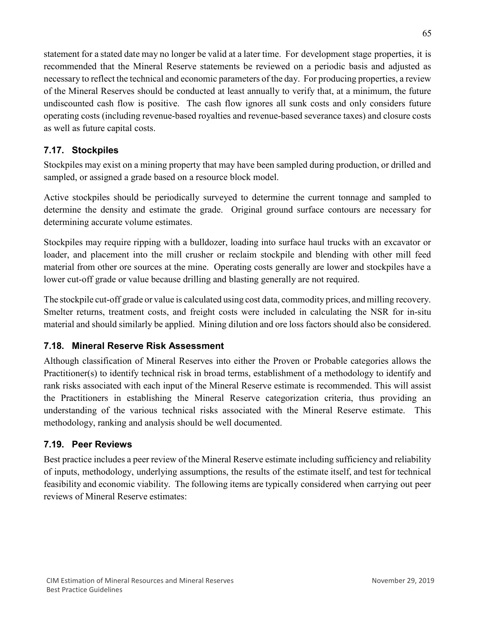statement for a stated date may no longer be valid at a later time. For development stage properties, it is recommended that the Mineral Reserve statements be reviewed on a periodic basis and adjusted as necessary to reflect the technical and economic parameters of the day. For producing properties, a review of the Mineral Reserves should be conducted at least annually to verify that, at a minimum, the future undiscounted cash flow is positive. The cash flow ignores all sunk costs and only considers future operating costs (including revenue-based royalties and revenue-based severance taxes) and closure costs as well as future capital costs.

## **7.17. Stockpiles**

Stockpiles may exist on a mining property that may have been sampled during production, or drilled and sampled, or assigned a grade based on a resource block model.

Active stockpiles should be periodically surveyed to determine the current tonnage and sampled to determine the density and estimate the grade. Original ground surface contours are necessary for determining accurate volume estimates.

Stockpiles may require ripping with a bulldozer, loading into surface haul trucks with an excavator or loader, and placement into the mill crusher or reclaim stockpile and blending with other mill feed material from other ore sources at the mine. Operating costs generally are lower and stockpiles have a lower cut-off grade or value because drilling and blasting generally are not required.

The stockpile cut-off grade or value is calculated using cost data, commodity prices, and milling recovery. Smelter returns, treatment costs, and freight costs were included in calculating the NSR for in-situ material and should similarly be applied. Mining dilution and ore loss factors should also be considered.

## **7.18. Mineral Reserve Risk Assessment**

Although classification of Mineral Reserves into either the Proven or Probable categories allows the Practitioner(s) to identify technical risk in broad terms, establishment of a methodology to identify and rank risks associated with each input of the Mineral Reserve estimate is recommended. This will assist the Practitioners in establishing the Mineral Reserve categorization criteria, thus providing an understanding of the various technical risks associated with the Mineral Reserve estimate. This methodology, ranking and analysis should be well documented.

## **7.19. Peer Reviews**

Best practice includes a peer review of the Mineral Reserve estimate including sufficiency and reliability of inputs, methodology, underlying assumptions, the results of the estimate itself, and test for technical feasibility and economic viability. The following items are typically considered when carrying out peer reviews of Mineral Reserve estimates: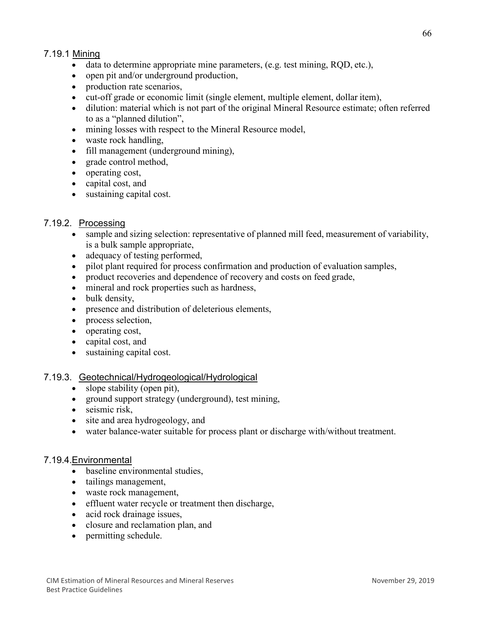## 7.19.1 Mining

- data to determine appropriate mine parameters, (e.g. test mining, RQD, etc.),
- open pit and/or underground production,
- production rate scenarios.
- cut-off grade or economic limit (single element, multiple element, dollar item),
- dilution: material which is not part of the original Mineral Resource estimate; often referred to as a "planned dilution",
- mining losses with respect to the Mineral Resource model,
- waste rock handling,
- fill management (underground mining),
- grade control method,
- operating cost,
- capital cost, and
- sustaining capital cost.

#### 7.19.2. Processing

- sample and sizing selection: representative of planned mill feed, measurement of variability, is a bulk sample appropriate,
- adequacy of testing performed,
- pilot plant required for process confirmation and production of evaluation samples,
- product recoveries and dependence of recovery and costs on feed grade,
- mineral and rock properties such as hardness,
- bulk density,
- presence and distribution of deleterious elements,
- process selection,
- operating cost,
- capital cost, and
- sustaining capital cost.

#### 7.19.3. Geotechnical/Hydrogeological/Hydrological

- slope stability (open pit),
- ground support strategy (underground), test mining,
- seismic risk.
- site and area hydrogeology, and
- water balance-water suitable for process plant or discharge with/without treatment.

#### 7.19.4.Environmental

- baseline environmental studies,
- tailings management,
- waste rock management,
- effluent water recycle or treatment then discharge,
- acid rock drainage issues,
- closure and reclamation plan, and
- permitting schedule.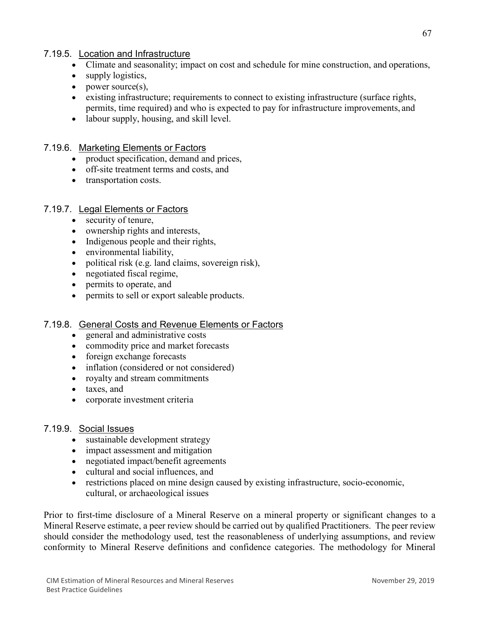## 7.19.5. Location and Infrastructure

- Climate and seasonality; impact on cost and schedule for mine construction, and operations,
- supply logistics,
- power source(s),
- existing infrastructure; requirements to connect to existing infrastructure (surface rights, permits, time required) and who is expected to pay for infrastructure improvements, and
- labour supply, housing, and skill level.

## 7.19.6. Marketing Elements or Factors

- product specification, demand and prices,
- off-site treatment terms and costs, and
- transportation costs.

## 7.19.7. Legal Elements or Factors

- security of tenure,
- ownership rights and interests,
- Indigenous people and their rights,
- environmental liability,
- political risk (e.g. land claims, sovereign risk),
- negotiated fiscal regime,
- permits to operate, and
- permits to sell or export saleable products.

## 7.19.8. General Costs and Revenue Elements or Factors

- general and administrative costs
- commodity price and market forecasts
- foreign exchange forecasts
- inflation (considered or not considered)
- royalty and stream commitments
- taxes, and
- corporate investment criteria

## 7.19.9. Social Issues

- sustainable development strategy
- impact assessment and mitigation
- negotiated impact/benefit agreements
- cultural and social influences, and
- restrictions placed on mine design caused by existing infrastructure, socio-economic, cultural, or archaeological issues

Prior to first-time disclosure of a Mineral Reserve on a mineral property or significant changes to a Mineral Reserve estimate, a peer review should be carried out by qualified Practitioners. The peer review should consider the methodology used, test the reasonableness of underlying assumptions, and review conformity to Mineral Reserve definitions and confidence categories. The methodology for Mineral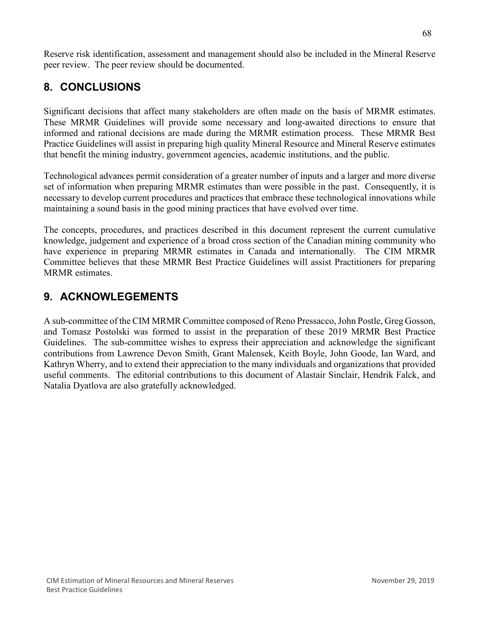Reserve risk identification, assessment and management should also be included in the Mineral Reserve peer review. The peer review should be documented.

# **8. CONCLUSIONS**

Significant decisions that affect many stakeholders are often made on the basis of MRMR estimates. These MRMR Guidelines will provide some necessary and long-awaited directions to ensure that informed and rational decisions are made during the MRMR estimation process. These MRMR Best Practice Guidelines will assist in preparing high quality Mineral Resource and Mineral Reserve estimates that benefit the mining industry, government agencies, academic institutions, and the public.

Technological advances permit consideration of a greater number of inputs and a larger and more diverse set of information when preparing MRMR estimates than were possible in the past. Consequently, it is necessary to develop current procedures and practices that embrace these technological innovations while maintaining a sound basis in the good mining practices that have evolved over time.

The concepts, procedures, and practices described in this document represent the current cumulative knowledge, judgement and experience of a broad cross section of the Canadian mining community who have experience in preparing MRMR estimates in Canada and internationally. The CIM MRMR Committee believes that these MRMR Best Practice Guidelines will assist Practitioners for preparing MRMR estimates.

# **9. ACKNOWLEGEMENTS**

A sub-committee of the CIM MRMR Committee composed of Reno Pressacco, John Postle, Greg Gosson, and Tomasz Postolski was formed to assist in the preparation of these 2019 MRMR Best Practice Guidelines. The sub-committee wishes to express their appreciation and acknowledge the significant contributions from Lawrence Devon Smith, Grant Malensek, Keith Boyle, John Goode, Ian Ward, and Kathryn Wherry, and to extend their appreciation to the many individuals and organizations that provided useful comments. The editorial contributions to this document of Alastair Sinclair, Hendrik Falck, and Natalia Dyatlova are also gratefully acknowledged.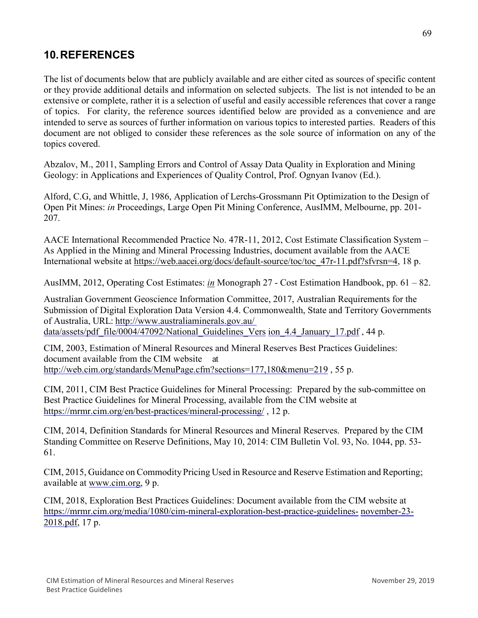# **10.REFERENCES**

The list of documents below that are publicly available and are either cited as sources of specific content or they provide additional details and information on selected subjects. The list is not intended to be an extensive or complete, rather it is a selection of useful and easily accessible references that cover a range of topics. For clarity, the reference sources identified below are provided as a convenience and are intended to serve as sources of further information on various topics to interested parties. Readers of this document are not obliged to consider these references as the sole source of information on any of the topics covered.

Abzalov, M., 2011, Sampling Errors and Control of Assay Data Quality in Exploration and Mining Geology: in Applications and Experiences of Quality Control, Prof. Ognyan Ivanov (Ed.).

Alford, C.G, and Whittle, J, 1986, Application of Lerchs-Grossmann Pit Optimization to the Design of Open Pit Mines: *in* Proceedings, Large Open Pit Mining Conference, AusIMM, Melbourne, pp. 201- 207.

AACE International Recommended Practice No. 47R-11, 2012, Cost Estimate Classification System – As Applied in the Mining and Mineral Processing Industries, document available from the AACE International website at [https://web.aacei.org/docs/default-source/toc/toc\\_47r-11.pdf?sfvrsn=4,](https://web.aacei.org/docs/default-source/toc/toc_47r-11.pdf?sfvrsn=4) 18 p.

AusIMM, 2012, Operating Cost Estimates: *in* Monograph 27 - Cost Estimation Handbook, pp. 61 – 82.

Australian Government Geoscience Information Committee, 2017, Australian Requirements for the Submission of Digital Exploration Data Version 4.4. Commonwealth, State and Territory Governments of Australia, URL: [http://www.australiaminerals.gov.au/](http://www.australiaminerals.gov.au/__data/assets/pdf_file/0004/47092/National_Guidelines_Version_4.4_January_17.pdf) 

[data/assets/pdf\\_file/0004/47092/National\\_Guidelines\\_Vers](http://www.australiaminerals.gov.au/__data/assets/pdf_file/0004/47092/National_Guidelines_Version_4.4_January_17.pdf) [ion\\_4.4\\_January\\_17.pdf](http://www.australiaminerals.gov.au/__data/assets/pdf_file/0004/47092/National_Guidelines_Version_4.4_January_17.pdf), 44 p.

CIM, 2003, Estimation of Mineral Resources and Mineral Reserves Best Practices Guidelines: document available from the CIM website at [http://web.cim.org/standards/MenuPage.cfm?sections=177,180&menu=219](http://web.cim.org/standards/MenuPage.cfm?sections=177%2C180&menu=219) , 55 p.

CIM, 2011, CIM Best Practice Guidelines for Mineral Processing: Prepared by the sub-committee on Best Practice Guidelines for Mineral Processing, available from the CIM website at <https://mrmr.cim.org/en/best-practices/mineral-processing/> , 12 p.

CIM, 2014, Definition Standards for Mineral Resources and Mineral Reserves. Prepared by the CIM Standing Committee on Reserve Definitions, May 10, 2014: CIM Bulletin Vol. 93, No. 1044, pp. 53- 61.

CIM, 2015, Guidance on Commodity Pricing Used in Resource and Reserve Estimation and Reporting; available at [www.cim.org,](http://www.cim.org/) 9 p.

CIM, 2018, Exploration Best Practices Guidelines: Document available from the CIM website at [https://mrmr.cim.org/media/1080/cim-mineral-exploration-best-practice-guidelines-](https://mrmr.cim.org/media/1080/cim-mineral-exploration-best-practice-guidelines-november-23-2018.pdf) [november-23-](https://mrmr.cim.org/media/1080/cim-mineral-exploration-best-practice-guidelines-november-23-2018.pdf) [2018.pdf,](https://mrmr.cim.org/media/1080/cim-mineral-exploration-best-practice-guidelines-november-23-2018.pdf) 17 p.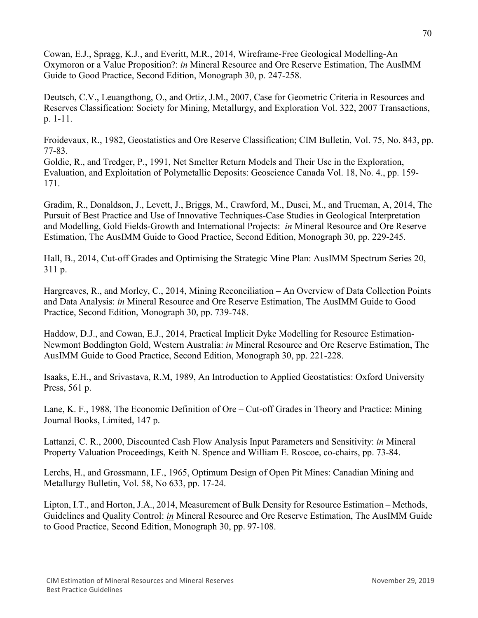Cowan, E.J., Spragg, K.J., and Everitt, M.R., 2014, Wireframe-Free Geological Modelling-An Oxymoron or a Value Proposition?: *in* Mineral Resource and Ore Reserve Estimation, The AusIMM Guide to Good Practice, Second Edition, Monograph 30, p. 247-258.

Deutsch, C.V., Leuangthong, O., and Ortiz, J.M., 2007, Case for Geometric Criteria in Resources and Reserves Classification: Society for Mining, Metallurgy, and Exploration Vol. 322, 2007 Transactions, p. 1-11.

Froidevaux, R., 1982, Geostatistics and Ore Reserve Classification; CIM Bulletin, Vol. 75, No. 843, pp. 77-83.

Goldie, R., and Tredger, P., 1991, Net Smelter Return Models and Their Use in the Exploration, Evaluation, and Exploitation of Polymetallic Deposits: Geoscience Canada Vol. 18, No. 4., pp. 159- 171.

Gradim, R., Donaldson, J., Levett, J., Briggs, M., Crawford, M., Dusci, M., and Trueman, A, 2014, The Pursuit of Best Practice and Use of Innovative Techniques-Case Studies in Geological Interpretation and Modelling, Gold Fields-Growth and International Projects: *in* Mineral Resource and Ore Reserve Estimation, The AusIMM Guide to Good Practice, Second Edition, Monograph 30, pp. 229-245.

Hall, B., 2014, Cut-off Grades and Optimising the Strategic Mine Plan: AusIMM Spectrum Series 20, 311 p.

Hargreaves, R., and Morley, C., 2014, Mining Reconciliation – An Overview of Data Collection Points and Data Analysis: *in* Mineral Resource and Ore Reserve Estimation, The AusIMM Guide to Good Practice, Second Edition, Monograph 30, pp. 739-748.

Haddow, D.J., and Cowan, E.J., 2014, Practical Implicit Dyke Modelling for Resource Estimation-Newmont Boddington Gold, Western Australia: *in* Mineral Resource and Ore Reserve Estimation, The AusIMM Guide to Good Practice, Second Edition, Monograph 30, pp. 221-228.

Isaaks, E.H., and Srivastava, R.M, 1989, An Introduction to Applied Geostatistics: Oxford University Press, 561 p.

Lane, K. F., 1988, The Economic Definition of Ore – Cut-off Grades in Theory and Practice: Mining Journal Books, Limited, 147 p.

Lattanzi, C. R., 2000, Discounted Cash Flow Analysis Input Parameters and Sensitivity: *in* Mineral Property Valuation Proceedings, Keith N. Spence and William E. Roscoe, co-chairs, pp. 73-84.

Lerchs, H., and Grossmann, I.F., 1965, Optimum Design of Open Pit Mines: Canadian Mining and Metallurgy Bulletin, Vol. 58, No 633, pp. 17-24.

Lipton, I.T., and Horton, J.A., 2014, Measurement of Bulk Density for Resource Estimation – Methods, Guidelines and Quality Control: *in* Mineral Resource and Ore Reserve Estimation, The AusIMM Guide to Good Practice, Second Edition, Monograph 30, pp. 97-108.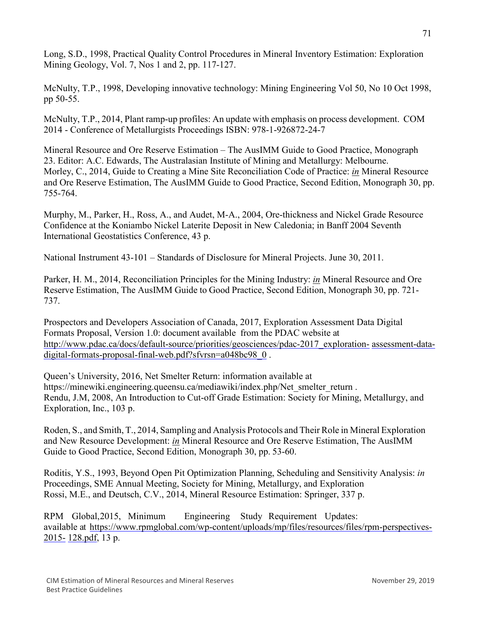Long, S.D., 1998, Practical Quality Control Procedures in Mineral Inventory Estimation: Exploration Mining Geology, Vol. 7, Nos 1 and 2, pp. 117-127.

McNulty, T.P., 1998, Developing innovative technology: Mining Engineering Vol 50, No 10 Oct 1998, pp 50-55.

McNulty, T.P., 2014, Plant ramp-up profiles: An update with emphasis on process development. COM 2014 - Conference of Metallurgists Proceedings ISBN: 978-1-926872-24-7

Mineral Resource and Ore Reserve Estimation – The AusIMM Guide to Good Practice, Monograph 23. Editor: A.C. Edwards, The Australasian Institute of Mining and Metallurgy: Melbourne. Morley, C., 2014, Guide to Creating a Mine Site Reconciliation Code of Practice: *in* Mineral Resource and Ore Reserve Estimation, The AusIMM Guide to Good Practice, Second Edition, Monograph 30, pp. 755-764.

Murphy, M., Parker, H., Ross, A., and Audet, M-A., 2004, Ore-thickness and Nickel Grade Resource Confidence at the Koniambo Nickel Laterite Deposit in New Caledonia; in Banff 2004 Seventh International Geostatistics Conference, 43 p.

National Instrument 43-101 – Standards of Disclosure for Mineral Projects. June 30, 2011.

Parker, H. M., 2014, Reconciliation Principles for the Mining Industry: *in* Mineral Resource and Ore Reserve Estimation, The AusIMM Guide to Good Practice, Second Edition, Monograph 30, pp. 721- 737.

Prospectors and Developers Association of Canada, 2017, Exploration Assessment Data Digital Formats Proposal, Version 1.0: document available from the PDAC website at [http://www.pdac.ca/docs/default-source/priorities/geosciences/pdac-2017\\_exploration-](http://www.pdac.ca/docs/default-source/priorities/geosciences/pdac-2017_exploration-assessment-data-digital-formats-proposal-final-web.pdf?sfvrsn=a048bc98_0) [assessment-data](http://www.pdac.ca/docs/default-source/priorities/geosciences/pdac-2017_exploration-assessment-data-digital-formats-proposal-final-web.pdf?sfvrsn=a048bc98_0)[digital-formats-proposal-final-web.pdf?sfvrsn=a048bc98\\_0](http://www.pdac.ca/docs/default-source/priorities/geosciences/pdac-2017_exploration-assessment-data-digital-formats-proposal-final-web.pdf?sfvrsn=a048bc98_0) .

Queen's University, 2016, Net Smelter Return: information available at https://minewiki.engineering.queensu.ca/mediawiki/index.php/Net\_smelter\_return . Rendu, J.M, 2008, An Introduction to Cut-off Grade Estimation: Society for Mining, Metallurgy, and Exploration, Inc., 103 p.

Roden, S., and Smith, T., 2014, Sampling and Analysis Protocols and Their Role in Mineral Exploration and New Resource Development: *in* Mineral Resource and Ore Reserve Estimation, The AusIMM Guide to Good Practice, Second Edition, Monograph 30, pp. 53-60.

Roditis, Y.S., 1993, Beyond Open Pit Optimization Planning, Scheduling and Sensitivity Analysis: *in* Proceedings, SME Annual Meeting, Society for Mining, Metallurgy, and Exploration Rossi, M.E., and Deutsch, C.V., 2014, Mineral Resource Estimation: Springer, 337 p.

RPM Global,2015, Minimum Engineering Study Requirement Updates: available at [https://www.rpmglobal.com/wp-content/uploads/mp/files/resources/files/rpm-perspectives-](https://www.rpmglobal.com/wp-content/uploads/mp/files/resources/files/rpm-perspectives-2015-128.pdf)[2015-](https://www.rpmglobal.com/wp-content/uploads/mp/files/resources/files/rpm-perspectives-2015-128.pdf) [128.pdf,](https://www.rpmglobal.com/wp-content/uploads/mp/files/resources/files/rpm-perspectives-2015-128.pdf) 13 p.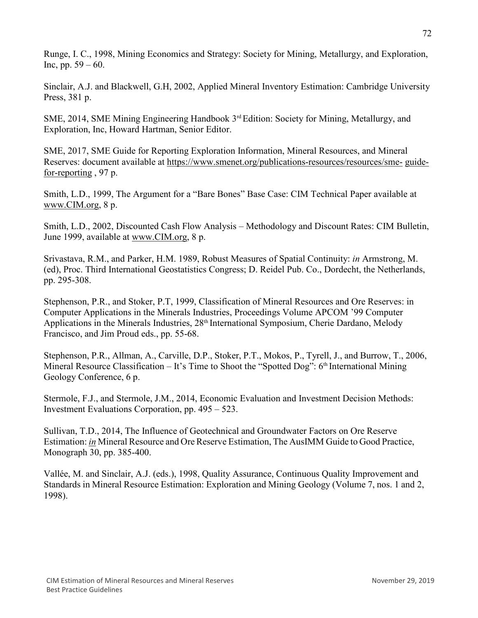Runge, I. C., 1998, Mining Economics and Strategy: Society for Mining, Metallurgy, and Exploration, Inc, pp. 59 – 60.

Sinclair, A.J. and Blackwell, G.H, 2002, Applied Mineral Inventory Estimation: Cambridge University Press, 381 p.

SME, 2014, SME Mining Engineering Handbook 3rd Edition: Society for Mining, Metallurgy, and Exploration, Inc, Howard Hartman, Senior Editor.

SME, 2017, SME Guide for Reporting Exploration Information, Mineral Resources, and Mineral Reserves: document available at [https://www.smenet.org/publications-resources/resources/sme-](https://www.smenet.org/publications-resources/resources/sme-guide-for-reporting) [guide](https://www.smenet.org/publications-resources/resources/sme-guide-for-reporting)[for-reporting](https://www.smenet.org/publications-resources/resources/sme-guide-for-reporting) , 97 p.

Smith, L.D., 1999, The Argument for a "Bare Bones" Base Case: CIM Technical Paper available at [www.CIM.org,](http://www.cim.org/) 8 p.

Smith, L.D., 2002, Discounted Cash Flow Analysis – Methodology and Discount Rates: CIM Bulletin, June 1999, available at [www.CIM.org,](http://www.cim.org/) 8 p.

Srivastava, R.M., and Parker, H.M. 1989, Robust Measures of Spatial Continuity: *in* Armstrong, M. (ed), Proc. Third International Geostatistics Congress; D. Reidel Pub. Co., Dordecht, the Netherlands, pp. 295-308.

Stephenson, P.R., and Stoker, P.T, 1999, Classification of Mineral Resources and Ore Reserves: in Computer Applications in the Minerals Industries, Proceedings Volume APCOM '99 Computer Applications in the Minerals Industries, 28<sup>th</sup> International Symposium, Cherie Dardano, Melody Francisco, and Jim Proud eds., pp. 55-68.

Stephenson, P.R., Allman, A., Carville, D.P., Stoker, P.T., Mokos, P., Tyrell, J., and Burrow, T., 2006, Mineral Resource Classification – It's Time to Shoot the "Spotted Dog": 6<sup>th</sup> International Mining Geology Conference, 6 p.

Stermole, F.J., and Stermole, J.M., 2014, Economic Evaluation and Investment Decision Methods: Investment Evaluations Corporation, pp. 495 – 523.

Sullivan, T.D., 2014, The Influence of Geotechnical and Groundwater Factors on Ore Reserve Estimation: *in* Mineral Resource and Ore Reserve Estimation, The AusIMM Guide to Good Practice, Monograph 30, pp. 385-400.

Vallée, M. and Sinclair, A.J. (eds.), 1998, Quality Assurance, Continuous Quality Improvement and Standards in Mineral Resource Estimation: Exploration and Mining Geology (Volume 7, nos. 1 and 2, 1998).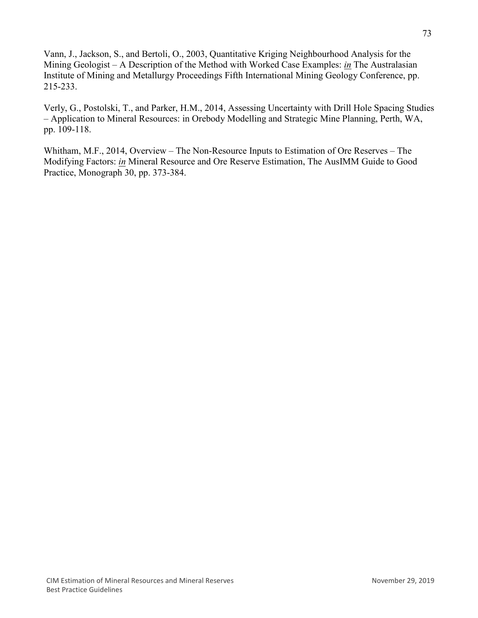Vann, J., Jackson, S., and Bertoli, O., 2003, Quantitative Kriging Neighbourhood Analysis for the Mining Geologist – A Description of the Method with Worked Case Examples: *in* The Australasian Institute of Mining and Metallurgy Proceedings Fifth International Mining Geology Conference, pp. 215-233.

Verly, G., Postolski, T., and Parker, H.M., 2014, Assessing Uncertainty with Drill Hole Spacing Studies – Application to Mineral Resources: in Orebody Modelling and Strategic Mine Planning, Perth, WA, pp. 109-118.

Whitham, M.F., 2014, Overview – The Non-Resource Inputs to Estimation of Ore Reserves – The Modifying Factors: *in* Mineral Resource and Ore Reserve Estimation, The AusIMM Guide to Good Practice, Monograph 30, pp. 373-384.